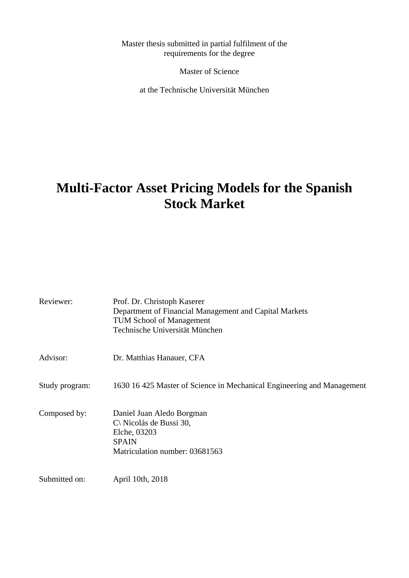Master thesis submitted in partial fulfilment of the requirements for the degree

Master of Science

at the Technische Universität München

# **Multi-Factor Asset Pricing Models for the Spanish Stock Market**

| Reviewer:      | Prof. Dr. Christoph Kaserer<br>Department of Financial Management and Capital Markets<br><b>TUM School of Management</b><br>Technische Universität München |
|----------------|------------------------------------------------------------------------------------------------------------------------------------------------------------|
| Advisor:       | Dr. Matthias Hanauer, CFA                                                                                                                                  |
| Study program: | 1630 16 425 Master of Science in Mechanical Engineering and Management                                                                                     |
| Composed by:   | Daniel Juan Aledo Borgman<br>$C\$ Nicolás de Bussi 30,<br>Elche, 03203<br><b>SPAIN</b><br>Matriculation number: 03681563                                   |
| Submitted on:  | April 10th, 2018                                                                                                                                           |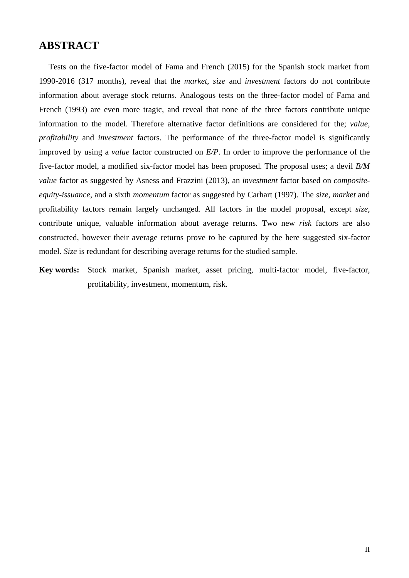## **ABSTRACT**

Tests on the five-factor model of Fama and French (2015) for the Spanish stock market from 1990-2016 (317 months), reveal that the *market*, *size* and *investment* factors do not contribute information about average stock returns. Analogous tests on the three-factor model of Fama and French (1993) are even more tragic, and reveal that none of the three factors contribute unique information to the model. Therefore alternative factor definitions are considered for the; *value*, *profitability* and *investment* factors. The performance of the three-factor model is significantly improved by using a *value* factor constructed on *E/P*. In order to improve the performance of the five-factor model, a modified six-factor model has been proposed. The proposal uses; a devil *B/M value* factor as suggested by Asness and Frazzini (2013), an *investment* factor based on *compositeequity-issuance*, and a sixth *momentum* factor as suggested by Carhart (1997). The *size*, *market* and profitability factors remain largely unchanged. All factors in the model proposal, except *size*, contribute unique, valuable information about average returns. Two new *risk* factors are also constructed, however their average returns prove to be captured by the here suggested six-factor model. *Size* is redundant for describing average returns for the studied sample.

**Key words:** Stock market, Spanish market, asset pricing, multi-factor model, five-factor, profitability, investment, momentum, risk.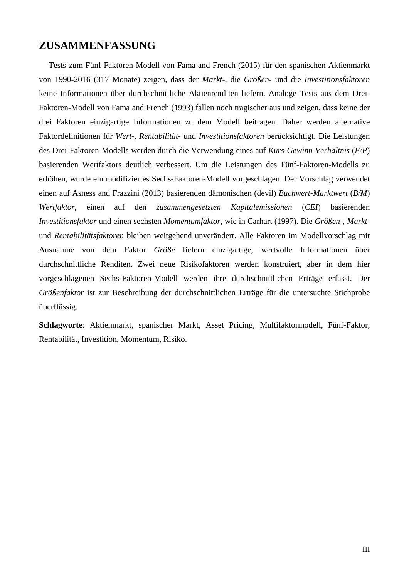# **ZUSAMMENFASSUNG**

Tests zum Fünf-Faktoren-Modell von Fama and French (2015) für den spanischen Aktienmarkt von 1990-2016 (317 Monate) zeigen, dass der *Markt-*, die *Größen-* und die *Investitionsfaktoren* keine Informationen über durchschnittliche Aktienrenditen liefern. Analoge Tests aus dem Drei-Faktoren-Modell von Fama and French (1993) fallen noch tragischer aus und zeigen, dass keine der drei Faktoren einzigartige Informationen zu dem Modell beitragen. Daher werden alternative Faktordefinitionen für *Wert-*, *Rentabilität-* und *Investitionsfaktoren* berücksichtigt. Die Leistungen des Drei-Faktoren-Modells werden durch die Verwendung eines auf *Kurs-Gewinn-Verhältnis* (*E/P*) basierenden Wertfaktors deutlich verbessert. Um die Leistungen des Fünf-Faktoren-Modells zu erhöhen, wurde ein modifiziertes Sechs-Faktoren-Modell vorgeschlagen. Der Vorschlag verwendet einen auf Asness and Frazzini (2013) basierenden dämonischen (devil) *Buchwert-Marktwert* (*B/M*) *Wertfaktor*, einen auf den *zusammengesetzten Kapitalemissionen* (*CEI*) basierenden *Investitionsfaktor* und einen sechsten *Momentumfaktor*, wie in Carhart (1997). Die *Größen*-, *Markt*und *Rentabilitätsfaktoren* bleiben weitgehend unverändert. Alle Faktoren im Modellvorschlag mit Ausnahme von dem Faktor *Größe* liefern einzigartige, wertvolle Informationen über durchschnittliche Renditen. Zwei neue Risikofaktoren werden konstruiert, aber in dem hier vorgeschlagenen Sechs-Faktoren-Modell werden ihre durchschnittlichen Erträge erfasst. Der *Größenfaktor* ist zur Beschreibung der durchschnittlichen Erträge für die untersuchte Stichprobe überflüssig.

**Schlagworte**: Aktienmarkt, spanischer Markt, Asset Pricing, Multifaktormodell, Fünf-Faktor, Rentabilität, Investition, Momentum, Risiko.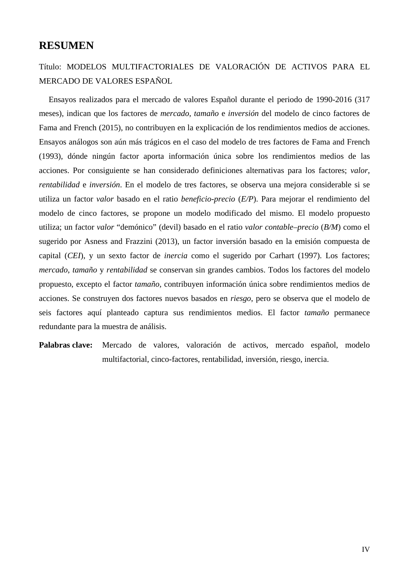## **RESUMEN**

# Título: MODELOS MULTIFACTORIALES DE VALORACIÓN DE ACTIVOS PARA EL MERCADO DE VALORES ESPAÑOL

Ensayos realizados para el mercado de valores Español durante el periodo de 1990-2016 (317 meses), indican que los factores de *mercado*, *tamaño* e *inversión* del modelo de cinco factores de Fama and French (2015), no contribuyen en la explicación de los rendimientos medios de acciones. Ensayos análogos son aún más trágicos en el caso del modelo de tres factores de Fama and French (1993), dónde ningún factor aporta información única sobre los rendimientos medios de las acciones. Por consiguiente se han considerado definiciones alternativas para los factores; *valor*, *rentabilidad* e *inversión*. En el modelo de tres factores, se observa una mejora considerable si se utiliza un factor *valor* basado en el ratio *beneficio*-*precio* (*E/P*). Para mejorar el rendimiento del modelo de cinco factores, se propone un modelo modificado del mismo. El modelo propuesto utiliza; un factor *valor* "demónico" (devil) basado en el ratio *valor contable*–*precio* (*B/M*) como el sugerido por Asness and Frazzini (2013), un factor inversión basado en la emisión compuesta de capital (*CEI*), y un sexto factor de *inercia* como el sugerido por Carhart (1997). Los factores; *mercado*, *tamaño* y *rentabilidad* se conservan sin grandes cambios. Todos los factores del modelo propuesto, excepto el factor *tamaño*, contribuyen información única sobre rendimientos medios de acciones. Se construyen dos factores nuevos basados en *riesgo*, pero se observa que el modelo de seis factores aquí planteado captura sus rendimientos medios. El factor *tamaño* permanece redundante para la muestra de análisis.

**Palabras clave:** Mercado de valores, valoración de activos, mercado español, modelo multifactorial, cinco-factores, rentabilidad, inversión, riesgo, inercia.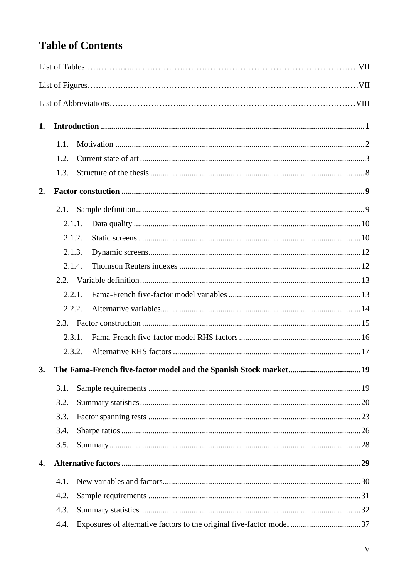# **Table of Contents**

| 1. |        |                                                                       |  |
|----|--------|-----------------------------------------------------------------------|--|
|    | 1.1.   |                                                                       |  |
|    | 1.2.   |                                                                       |  |
|    | 1.3.   |                                                                       |  |
| 2. |        |                                                                       |  |
|    | 2.1.   |                                                                       |  |
|    | 2.1.1. |                                                                       |  |
|    | 2.1.2. |                                                                       |  |
|    | 2.1.3. |                                                                       |  |
|    | 2.1.4. |                                                                       |  |
|    |        |                                                                       |  |
|    | 2.2.1  |                                                                       |  |
|    |        | 2.2.2.                                                                |  |
|    | 2.3.   |                                                                       |  |
|    | 2.3.1. |                                                                       |  |
|    |        | 2.3.2.                                                                |  |
|    |        | 3. The Fama-French five-factor model and the Spanish Stock market 19  |  |
|    | 3.1.   |                                                                       |  |
|    | 3.2.   |                                                                       |  |
|    | 3.3.   |                                                                       |  |
|    | 3.4.   |                                                                       |  |
|    | 3.5.   |                                                                       |  |
| 4. |        |                                                                       |  |
|    | 4.1.   |                                                                       |  |
|    | 4.2.   |                                                                       |  |
|    | 4.3.   |                                                                       |  |
|    | 4.4.   | Exposures of alternative factors to the original five-factor model 37 |  |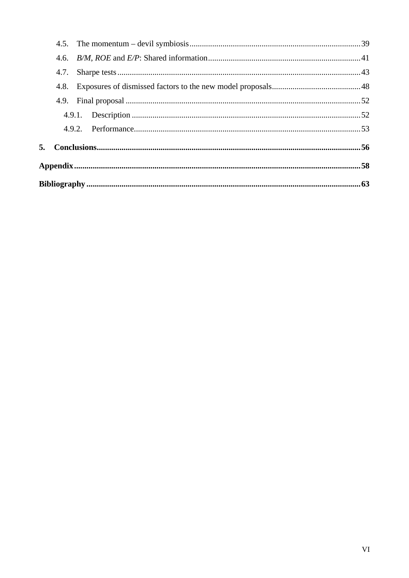| 4.6. |  |
|------|--|
| 4.7. |  |
| 4.8. |  |
|      |  |
|      |  |
|      |  |
|      |  |
|      |  |
|      |  |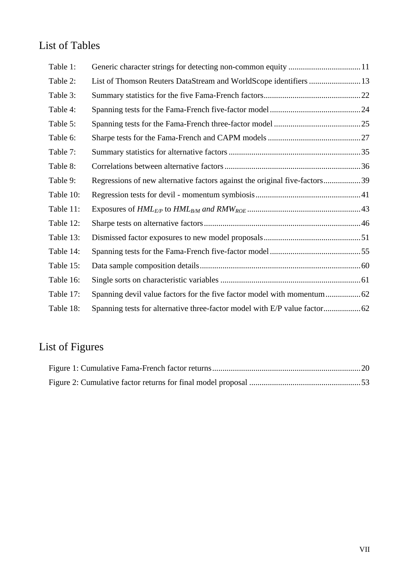# List of Tables

| Table 1:  |                                                                            |  |
|-----------|----------------------------------------------------------------------------|--|
| Table 2:  | List of Thomson Reuters DataStream and WorldScope identifiers  13          |  |
| Table 3:  |                                                                            |  |
| Table 4:  |                                                                            |  |
| Table 5:  |                                                                            |  |
| Table 6:  |                                                                            |  |
| Table 7:  |                                                                            |  |
| Table 8:  |                                                                            |  |
| Table 9:  | Regressions of new alternative factors against the original five-factors39 |  |
| Table 10: |                                                                            |  |
| Table 11: |                                                                            |  |
| Table 12: |                                                                            |  |
| Table 13: |                                                                            |  |
| Table 14: |                                                                            |  |
| Table 15: |                                                                            |  |
| Table 16: |                                                                            |  |
| Table 17: |                                                                            |  |
| Table 18: |                                                                            |  |

# List of Figures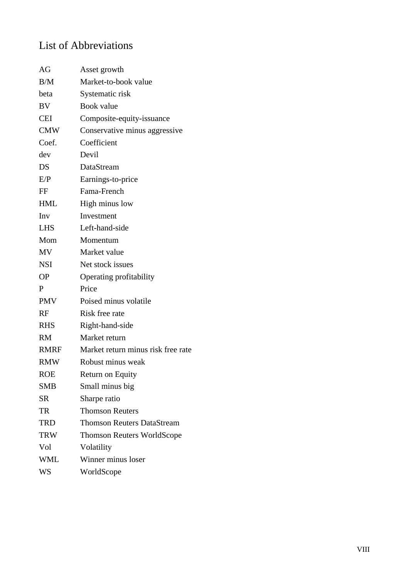# List of Abbreviations

| AG          | Asset growth                       |
|-------------|------------------------------------|
| B/M         | Market-to-book value               |
| beta        | Systematic risk                    |
| BV          | <b>Book</b> value                  |
| <b>CEI</b>  | Composite-equity-issuance          |
| <b>CMW</b>  | Conservative minus aggressive      |
| Coef.       | Coefficient                        |
| dev         | Devil                              |
| DS          | DataStream                         |
| E/P         | Earnings-to-price                  |
| FF          | Fama-French                        |
| <b>HML</b>  | High minus low                     |
| Inv         | Investment                         |
| LHS         | Left-hand-side                     |
| Mom         | Momentum                           |
| <b>MV</b>   | Market value                       |
| <b>NSI</b>  | Net stock issues                   |
| <b>OP</b>   | Operating profitability            |
| P           | Price                              |
| <b>PMV</b>  | Poised minus volatile              |
| RF          | Risk free rate                     |
| <b>RHS</b>  | Right-hand-side                    |
| <b>RM</b>   | Market return                      |
| <b>RMRF</b> | Market return minus risk free rate |
| <b>RMW</b>  | Robust minus weak                  |
| <b>ROE</b>  | Return on Equity                   |
| <b>SMB</b>  | Small minus big                    |
| <b>SR</b>   | Sharpe ratio                       |
| TR          | <b>Thomson Reuters</b>             |
| <b>TRD</b>  | <b>Thomson Reuters DataStream</b>  |
| <b>TRW</b>  | <b>Thomson Reuters WorldScope</b>  |
| Vol         | Volatility                         |
| <b>WML</b>  | Winner minus loser                 |
| WS          | WorldScope                         |
|             |                                    |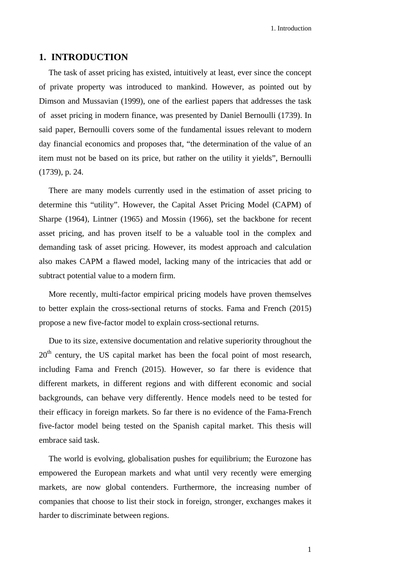### <span id="page-8-0"></span>**1. INTRODUCTION**

The task of asset pricing has existed, intuitively at least, ever since the concept of private property was introduced to mankind. However, as pointed out by Dimson and Mussavian (1999), one of the earliest papers that addresses the task of asset pricing in modern finance, was presented by Daniel Bernoulli (1739). In said paper, Bernoulli covers some of the fundamental issues relevant to modern day financial economics and proposes that, "the determination of the value of an item must not be based on its price, but rather on the utility it yields", Bernoulli (1739), p. 24.

There are many models currently used in the estimation of asset pricing to determine this "utility". However, the Capital Asset Pricing Model (CAPM) of Sharpe (1964), Lintner (1965) and Mossin (1966), set the backbone for recent asset pricing, and has proven itself to be a valuable tool in the complex and demanding task of asset pricing. However, its modest approach and calculation also makes CAPM a flawed model, lacking many of the intricacies that add or subtract potential value to a modern firm.

More recently, multi-factor empirical pricing models have proven themselves to better explain the cross-sectional returns of stocks. Fama and French (2015) propose a new five-factor model to explain cross-sectional returns.

Due to its size, extensive documentation and relative superiority throughout the 20<sup>th</sup> century, the US capital market has been the focal point of most research, including Fama and French (2015). However, so far there is evidence that different markets, in different regions and with different economic and social backgrounds, can behave very differently. Hence models need to be tested for their efficacy in foreign markets. So far there is no evidence of the Fama-French five-factor model being tested on the Spanish capital market. This thesis will embrace said task.

The world is evolving, globalisation pushes for equilibrium; the Eurozone has empowered the European markets and what until very recently were emerging markets, are now global contenders. Furthermore, the increasing number of companies that choose to list their stock in foreign, stronger, exchanges makes it harder to discriminate between regions.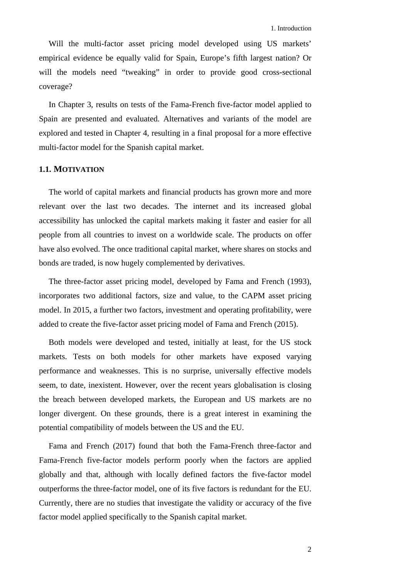Will the multi-factor asset pricing model developed using US markets' empirical evidence be equally valid for Spain, Europe's fifth largest nation? Or will the models need "tweaking" in order to provide good cross-sectional coverage?

In Chapter [3,](#page-26-0) results on tests of the Fama-French five-factor model applied to Spain are presented and evaluated. Alternatives and variants of the model are explored and tested in Chapter [4,](#page-36-0) resulting in a final proposal for a more effective multi-factor model for the Spanish capital market.

### <span id="page-9-0"></span>**1.1. MOTIVATION**

The world of capital markets and financial products has grown more and more relevant over the last two decades. The internet and its increased global accessibility has unlocked the capital markets making it faster and easier for all people from all countries to invest on a worldwide scale. The products on offer have also evolved. The once traditional capital market, where shares on stocks and bonds are traded, is now hugely complemented by derivatives.

The three-factor asset pricing model, developed by Fama and French (1993), incorporates two additional factors, size and value, to the CAPM asset pricing model. In 2015, a further two factors, investment and operating profitability, were added to create the five-factor asset pricing model of Fama and French (2015).

Both models were developed and tested, initially at least, for the US stock markets. Tests on both models for other markets have exposed varying performance and weaknesses. This is no surprise, universally effective models seem, to date, inexistent. However, over the recent years globalisation is closing the breach between developed markets, the European and US markets are no longer divergent. On these grounds, there is a great interest in examining the potential compatibility of models between the US and the EU.

Fama and French (2017) found that both the Fama-French three-factor and Fama-French five-factor models perform poorly when the factors are applied globally and that, although with locally defined factors the five-factor model outperforms the three-factor model, one of its five factors is redundant for the EU. Currently, there are no studies that investigate the validity or accuracy of the five factor model applied specifically to the Spanish capital market.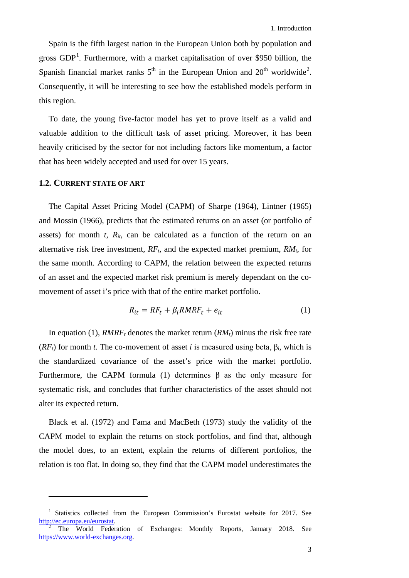Spain is the fifth largest nation in the European Union both by population and gross  $GDP<sup>1</sup>$  $GDP<sup>1</sup>$  $GDP<sup>1</sup>$ . Furthermore, with a market capitalisation of over \$950 billion, the Spanish financial market ranks  $5<sup>th</sup>$  in the European Union and  $20<sup>th</sup>$  $20<sup>th</sup>$  worldwide<sup>2</sup>. Consequently, it will be interesting to see how the established models perform in this region.

To date, the young five-factor model has yet to prove itself as a valid and valuable addition to the difficult task of asset pricing. Moreover, it has been heavily criticised by the sector for not including factors like momentum, a factor that has been widely accepted and used for over 15 years.

#### <span id="page-10-0"></span>**1.2. CURRENT STATE OF ART**

<u>.</u>

The Capital Asset Pricing Model (CAPM) of Sharpe (1964), Lintner (1965) and Mossin (1966), predicts that the estimated returns on an asset (or portfolio of assets) for month  $t$ ,  $R_{it}$ , can be calculated as a function of the return on an alternative risk free investment,  $RF_t$ , and the expected market premium,  $RM_t$ , for the same month. According to CAPM, the relation between the expected returns of an asset and the expected market risk premium is merely dependant on the comovement of asset i's price with that of the entire market portfolio.

<span id="page-10-1"></span>
$$
R_{it} = RF_t + \beta_i RMRF_t + e_{it}
$$
 (1)

In equation (1),  $RMRF<sub>t</sub>$  denotes the market return  $(RM<sub>t</sub>)$  minus the risk free rate  $(RF_t)$  for month *t*. The co-movement of asset *i* is measured using beta,  $\beta_i$ , which is the standardized covariance of the asset's price with the market portfolio. Furthermore, the CAPM formula [\(1\)](#page-10-1) determines β as the only measure for systematic risk, and concludes that further characteristics of the asset should not alter its expected return.

Black et al. (1972) and Fama and MacBeth (1973) study the validity of the CAPM model to explain the returns on stock portfolios, and find that, although the model does, to an extent, explain the returns of different portfolios, the relation is too flat. In doing so, they find that the CAPM model underestimates the

<span id="page-10-2"></span><sup>&</sup>lt;sup>1</sup> Statistics collected from the European Commission's Eurostat website for 2017. See [http://ec.europa.eu/eurostat.](http://ec.europa.eu/eurostat) <sup>2</sup> The World Federation of Exchanges: Monthly Reports, January 2018. See

<span id="page-10-3"></span>[https://www.world-exchanges.org.](https://www.world-exchanges.org/)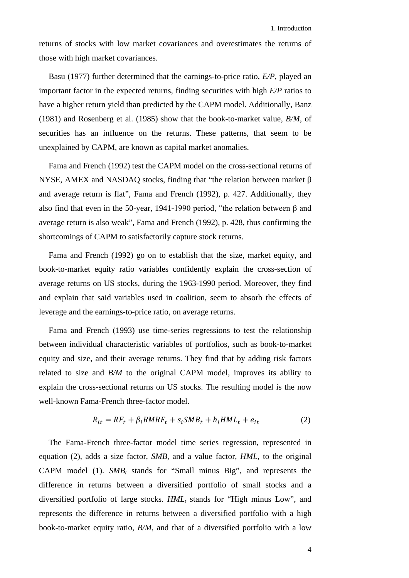returns of stocks with low market covariances and overestimates the returns of those with high market covariances.

Basu (1977) further determined that the earnings-to-price ratio, *E/P*, played an important factor in the expected returns, finding securities with high *E/P* ratios to have a higher return yield than predicted by the CAPM model. Additionally, Banz (1981) and Rosenberg et al. (1985) show that the book-to-market value, *B/M*, of securities has an influence on the returns. These patterns, that seem to be unexplained by CAPM, are known as capital market anomalies.

Fama and French (1992) test the CAPM model on the cross-sectional returns of NYSE, AMEX and NASDAQ stocks, finding that "the relation between market  $\beta$ and average return is flat", Fama and French (1992), p. 427. Additionally, they also find that even in the 50-year, 1941-1990 period, "the relation between β and average return is also weak", Fama and French (1992), p. 428, thus confirming the shortcomings of CAPM to satisfactorily capture stock returns.

Fama and French (1992) go on to establish that the size, market equity, and book-to-market equity ratio variables confidently explain the cross-section of average returns on US stocks, during the 1963-1990 period. Moreover, they find and explain that said variables used in coalition, seem to absorb the effects of leverage and the earnings-to-price ratio, on average returns.

Fama and French (1993) use time-series regressions to test the relationship between individual characteristic variables of portfolios, such as book-to-market equity and size, and their average returns. They find that by adding risk factors related to size and *B/M* to the original CAPM model, improves its ability to explain the cross-sectional returns on US stocks. The resulting model is the now well-known Fama-French three-factor model.

<span id="page-11-0"></span>
$$
R_{it} = RF_t + \beta_i RMRF_t + s_i SMB_t + h_i HML_t + e_{it}
$$
\n<sup>(2)</sup>

The Fama-French three-factor model time series regression, represented in equation (2), adds a size factor, *SMB,* and a value factor, *HML*, to the original CAPM model [\(1\).](#page-10-1)  $SMB_t$  stands for "Small minus Big", and represents the difference in returns between a diversified portfolio of small stocks and a diversified portfolio of large stocks.  $HML_t$  stands for "High minus Low", and represents the difference in returns between a diversified portfolio with a high book-to-market equity ratio, *B/M*, and that of a diversified portfolio with a low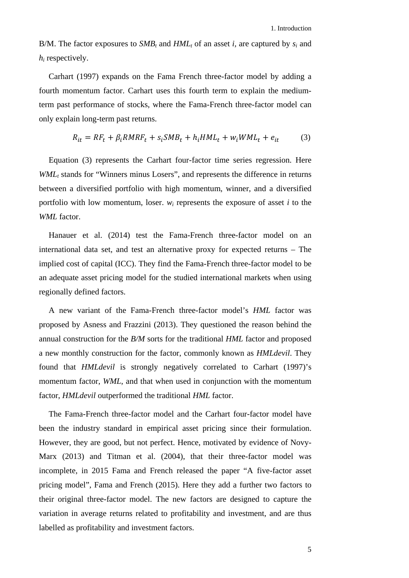B/M. The factor exposures to *SMB<sub>t</sub>* and  $HML_t$  of an asset *i*, are captured by  $s_i$  and *hi* respectively.

Carhart (1997) expands on the Fama French three-factor model by adding a fourth momentum factor. Carhart uses this fourth term to explain the mediumterm past performance of stocks, where the Fama-French three-factor model can only explain long-term past returns.

$$
R_{it} = RF_t + \beta_i RMRF_t + s_i SMB_t + h_i HML_t + w_i WML_t + e_{it}
$$
 (3)

Equation (3) represents the Carhart four-factor time series regression. Here *WML*<sub>t</sub> stands for "Winners minus Losers", and represents the difference in returns between a diversified portfolio with high momentum, winner, and a diversified portfolio with low momentum, loser.  $w_i$  represents the exposure of asset  $i$  to the *WML* factor.

Hanauer et al. (2014) test the Fama-French three-factor model on an international data set, and test an alternative proxy for expected returns – The implied cost of capital (ICC). They find the Fama-French three-factor model to be an adequate asset pricing model for the studied international markets when using regionally defined factors.

A new variant of the Fama-French three-factor model's *HML* factor was proposed by Asness and Frazzini (2013). They questioned the reason behind the annual construction for the *B/M* sorts for the traditional *HML* factor and proposed a new monthly construction for the factor, commonly known as *HMLdevil*. They found that *HMLdevil* is strongly negatively correlated to Carhart (1997)'s momentum factor, *WML*, and that when used in conjunction with the momentum factor, *HMLdevil* outperformed the traditional *HML* factor.

The Fama-French three-factor model and the Carhart four-factor model have been the industry standard in empirical asset pricing since their formulation. However, they are good, but not perfect. Hence, motivated by evidence of Novy-Marx (2013) and Titman et al. (2004), that their three-factor model was incomplete, in 2015 Fama and French released the paper "A five-factor asset pricing model", Fama and French (2015). Here they add a further two factors to their original three-factor model. The new factors are designed to capture the variation in average returns related to profitability and investment, and are thus labelled as profitability and investment factors.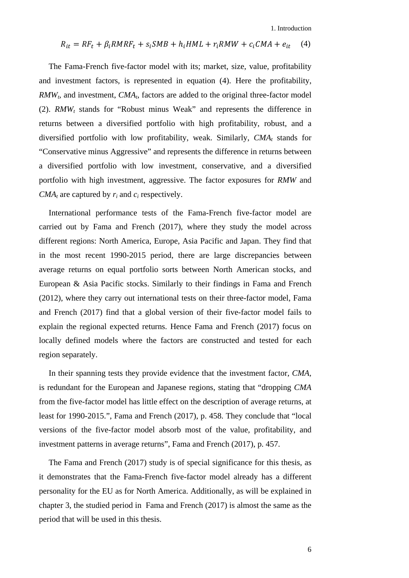<span id="page-13-0"></span>1. Introduction

$$
R_{it} = RF_t + \beta_i RMRF_t + s_i SMB + h_i HML + r_i RMW + c_i CMA + e_{it} \quad (4)
$$

The Fama-French five-factor model with its; market, size, value, profitability and investment factors, is represented in equation (4). Here the profitability, *RMW<sub>t</sub>*, and investment, *CMA<sub>t</sub>*, factors are added to the original three-factor model [\(2\).](#page-11-0) *RMWt* stands for "Robust minus Weak" and represents the difference in returns between a diversified portfolio with high profitability, robust, and a diversified portfolio with low profitability, weak. Similarly,  $CMA_t$  stands for "Conservative minus Aggressive" and represents the difference in returns between a diversified portfolio with low investment, conservative, and a diversified portfolio with high investment, aggressive. The factor exposures for *RMW* and  $CMA_t$  are captured by  $r_i$  and  $c_i$  respectively.

International performance tests of the Fama-French five-factor model are carried out by Fama and French (2017), where they study the model across different regions: North America, Europe, Asia Pacific and Japan. They find that in the most recent 1990-2015 period, there are large discrepancies between average returns on equal portfolio sorts between North American stocks, and European & Asia Pacific stocks. Similarly to their findings in Fama and French (2012), where they carry out international tests on their three-factor model, Fama and French (2017) find that a global version of their five-factor model fails to explain the regional expected returns. Hence Fama and French (2017) focus on locally defined models where the factors are constructed and tested for each region separately.

In their spanning tests they provide evidence that the investment factor, *CMA,*  is redundant for the European and Japanese regions, stating that "dropping *CMA* from the five-factor model has little effect on the description of average returns, at least for 1990-2015.", Fama and French (2017), p. 458. They conclude that "local versions of the five-factor model absorb most of the value, profitability, and investment patterns in average returns", Fama and French (2017), p. 457.

The Fama and French (2017) study is of special significance for this thesis, as it demonstrates that the Fama-French five-factor model already has a different personality for the EU as for North America. Additionally, as will be explained in chapter [3,](#page-26-0) the studied period in Fama and French (2017) is almost the same as the period that will be used in this thesis.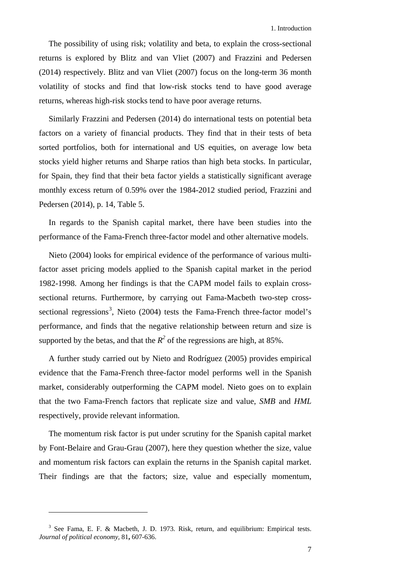The possibility of using risk; volatility and beta, to explain the cross-sectional returns is explored by Blitz and van Vliet (2007) and Frazzini and Pedersen (2014) respectively. Blitz and van Vliet (2007) focus on the long-term 36 month volatility of stocks and find that low-risk stocks tend to have good average returns, whereas high-risk stocks tend to have poor average returns.

Similarly Frazzini and Pedersen (2014) do international tests on potential beta factors on a variety of financial products. They find that in their tests of beta sorted portfolios, both for international and US equities, on average low beta stocks yield higher returns and Sharpe ratios than high beta stocks. In particular, for Spain, they find that their beta factor yields a statistically significant average monthly excess return of 0.59% over the 1984-2012 studied period, Frazzini and Pedersen (2014), p. 14, Table 5.

In regards to the Spanish capital market, there have been studies into the performance of the Fama-French three-factor model and other alternative models.

Nieto (2004) looks for empirical evidence of the performance of various multifactor asset pricing models applied to the Spanish capital market in the period 1982-1998. Among her findings is that the CAPM model fails to explain crosssectional returns. Furthermore, by carrying out Fama-Macbeth two-step cross-sectional regressions<sup>[3](#page-14-0)</sup>, Nieto (2004) tests the Fama-French three-factor model's performance, and finds that the negative relationship between return and size is supported by the betas, and that the  $R^2$  of the regressions are high, at 85%.

A further study carried out by Nieto and Rodríguez (2005) provides empirical evidence that the Fama-French three-factor model performs well in the Spanish market, considerably outperforming the CAPM model. Nieto goes on to explain that the two Fama-French factors that replicate size and value, *SMB* and *HML* respectively, provide relevant information.

The momentum risk factor is put under scrutiny for the Spanish capital market by Font-Belaire and Grau-Grau (2007), here they question whether the size, value and momentum risk factors can explain the returns in the Spanish capital market. Their findings are that the factors; size, value and especially momentum,

<u>.</u>

<span id="page-14-0"></span><sup>3</sup> See Fama, E. F. & Macbeth, J. D. 1973. Risk, return, and equilibrium: Empirical tests. *Journal of political economy,* 81**,** 607-636.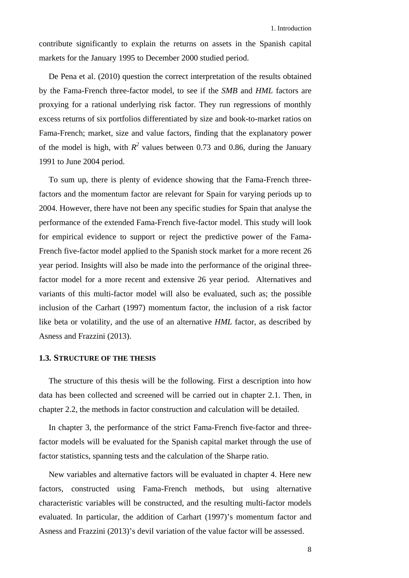contribute significantly to explain the returns on assets in the Spanish capital markets for the January 1995 to December 2000 studied period.

De Pena et al. (2010) question the correct interpretation of the results obtained by the Fama-French three-factor model, to see if the *SMB* and *HML* factors are proxying for a rational underlying risk factor. They run regressions of monthly excess returns of six portfolios differentiated by size and book-to-market ratios on Fama-French; market, size and value factors, finding that the explanatory power of the model is high, with  $R^2$  values between 0.73 and 0.86, during the January 1991 to June 2004 period.

To sum up, there is plenty of evidence showing that the Fama-French threefactors and the momentum factor are relevant for Spain for varying periods up to 2004. However, there have not been any specific studies for Spain that analyse the performance of the extended Fama-French five-factor model. This study will look for empirical evidence to support or reject the predictive power of the Fama-French five-factor model applied to the Spanish stock market for a more recent 26 year period. Insights will also be made into the performance of the original threefactor model for a more recent and extensive 26 year period. Alternatives and variants of this multi-factor model will also be evaluated, such as; the possible inclusion of the Carhart (1997) momentum factor, the inclusion of a risk factor like beta or volatility, and the use of an alternative *HML* factor, as described by Asness and Frazzini (2013).

#### <span id="page-15-0"></span>**1.3. STRUCTURE OF THE THESIS**

The structure of this thesis will be the following. First a description into how data has been collected and screened will be carried out in chapter [2.1.](#page-16-1) Then, in chapter [2.2,](#page-20-0) the methods in factor construction and calculation will be detailed.

In chapter [3,](#page-26-0) the performance of the strict Fama-French five-factor and threefactor models will be evaluated for the Spanish capital market through the use of factor statistics, spanning tests and the calculation of the Sharpe ratio.

New variables and alternative factors will be evaluated in chapter [4.](#page-36-0) Here new factors, constructed using Fama-French methods, but using alternative characteristic variables will be constructed, and the resulting multi-factor models evaluated. In particular, the addition of Carhart (1997)'s momentum factor and Asness and Frazzini (2013)'s devil variation of the value factor will be assessed.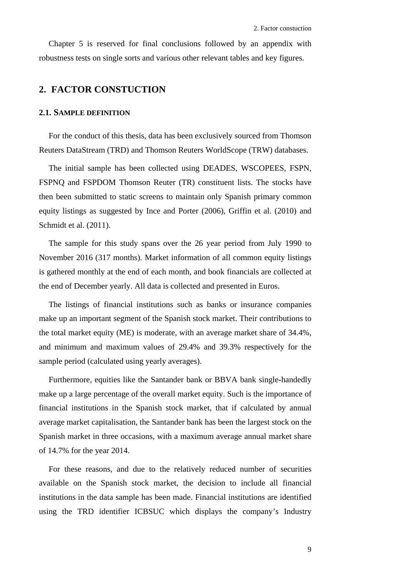Chapter [5](#page-62-1) is reserved for final conclusions followed by an appendix with robustness tests on single sorts and various other relevant tables and key figures.

## <span id="page-16-0"></span>**2. FACTOR CONSTUCTION**

#### <span id="page-16-1"></span>**2.1. SAMPLE DEFINITION**

For the conduct of this thesis, data has been exclusively sourced from Thomson Reuters DataStream (TRD) and Thomson Reuters WorldScope (TRW) databases.

The initial sample has been collected using DEADES, WSCOPEES, FSPN, FSPNQ and FSPDOM Thomson Reuter (TR) constituent lists. The stocks have then been submitted to static screens to maintain only Spanish primary common equity listings as suggested by Ince and Porter (2006), Griffin et al. (2010) and Schmidt et al. (2011).

The sample for this study spans over the 26 year period from July 1990 to November 2016 (317 months). Market information of all common equity listings is gathered monthly at the end of each month, and book financials are collected at the end of December yearly. All data is collected and presented in Euros.

The listings of financial institutions such as banks or insurance companies make up an important segment of the Spanish stock market. Their contributions to the total market equity (ME) is moderate, with an average market share of 34.4%, and minimum and maximum values of 29.4% and 39.3% respectively for the sample period (calculated using yearly averages).

Furthermore, equities like the Santander bank or BBVA bank single-handedly make up a large percentage of the overall market equity. Such is the importance of financial institutions in the Spanish stock market, that if calculated by annual average market capitalisation, the Santander bank has been the largest stock on the Spanish market in three occasions, with a maximum average annual market share of 14.7% for the year 2014.

For these reasons, and due to the relatively reduced number of securities available on the Spanish stock market, the decision to include all financial institutions in the data sample has been made. Financial institutions are identified using the TRD identifier ICBSUC which displays the company's Industry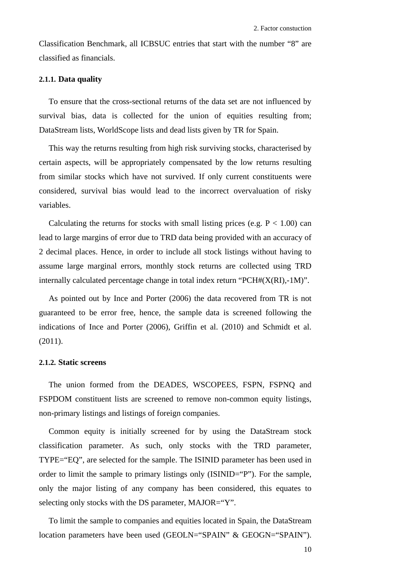Classification Benchmark, all ICBSUC entries that start with the number "8" are classified as financials.

### <span id="page-17-0"></span>**2.1.1. Data quality**

To ensure that the cross-sectional returns of the data set are not influenced by survival bias, data is collected for the union of equities resulting from; DataStream lists, WorldScope lists and dead lists given by TR for Spain.

This way the returns resulting from high risk surviving stocks, characterised by certain aspects, will be appropriately compensated by the low returns resulting from similar stocks which have not survived. If only current constituents were considered, survival bias would lead to the incorrect overvaluation of risky variables.

Calculating the returns for stocks with small listing prices (e.g.  $P < 1.00$ ) can lead to large margins of error due to TRD data being provided with an accuracy of 2 decimal places. Hence, in order to include all stock listings without having to assume large marginal errors, monthly stock returns are collected using TRD internally calculated percentage change in total index return " $PCH#(X(RI),-1M)$ ".

As pointed out by Ince and Porter (2006) the data recovered from TR is not guaranteed to be error free, hence, the sample data is screened following the indications of Ince and Porter (2006), Griffin et al. (2010) and Schmidt et al. (2011).

#### <span id="page-17-1"></span>**2.1.2. Static screens**

The union formed from the DEADES, WSCOPEES, FSPN, FSPNQ and FSPDOM constituent lists are screened to remove non-common equity listings, non-primary listings and listings of foreign companies.

Common equity is initially screened for by using the DataStream stock classification parameter. As such, only stocks with the TRD parameter, TYPE="EQ", are selected for the sample. The ISINID parameter has been used in order to limit the sample to primary listings only  $(ISINID= "P").$  For the sample, only the major listing of any company has been considered, this equates to selecting only stocks with the DS parameter, MAJOR="Y".

To limit the sample to companies and equities located in Spain, the DataStream location parameters have been used (GEOLN="SPAIN" & GEOGN="SPAIN").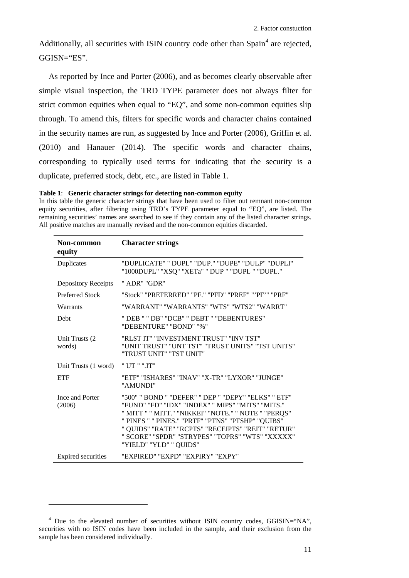Additionally, all securities with ISIN country code other than Spain<sup>[4](#page-18-1)</sup> are rejected, GGISN="ES".

As reported by Ince and Porter (2006), and as becomes clearly observable after simple visual inspection, the TRD TYPE parameter does not always filter for strict common equities when equal to "EQ", and some non-common equities slip through. To amend this, filters for specific words and character chains contained in the security names are run, as suggested by Ince and Porter (2006), Griffin et al. (2010) and Hanauer (2014). The specific words and character chains, corresponding to typically used terms for indicating that the security is a duplicate, preferred stock, debt, etc., are listed in [Table 1.](#page-18-0)

<span id="page-18-0"></span>**Table 1**: **Generic character strings for detecting non-common equity**

In this table the generic character strings that have been used to filter out remnant non-common equity securities, after filtering using TRD's TYPE parameter equal to "EQ", are listed. The remaining securities' names are searched to see if they contain any of the listed character strings. All positive matches are manually revised and the non-common equities discarded.

| Non-common<br>equity       | <b>Character strings</b>                                                                                                                                                                                                                                                                                                                              |
|----------------------------|-------------------------------------------------------------------------------------------------------------------------------------------------------------------------------------------------------------------------------------------------------------------------------------------------------------------------------------------------------|
| Duplicates                 | "DUPLICATE" "DUPL" "DUP." "DUPE" "DULP" "DUPLI"<br>"1000DUPL" "XSQ" "XETa" " DUP " "DUPL " "DUPL."                                                                                                                                                                                                                                                    |
| <b>Depository Receipts</b> | " ADR" "GDR"                                                                                                                                                                                                                                                                                                                                          |
| <b>Preferred Stock</b>     | "Stock" "PREFERRED" "PF." "PFD" "PREF" "'PF'" "PRF"                                                                                                                                                                                                                                                                                                   |
| Warrants                   | "WARRANT" "WARRANTS" "WTS" "WTS2" "WARRT"                                                                                                                                                                                                                                                                                                             |
| Debt                       | " DEB " " DB" "DCB" " DEBT " "DEBENTURES"<br>"DEBENTURE" "BOND" "%"                                                                                                                                                                                                                                                                                   |
| Unit Trusts (2)<br>words)  | "RLST IT" "INVESTMENT TRUST" "INV TST"<br>"UNIT TRUST" "UNT TST" "TRUST UNITS" "TST UNITS"<br>"TRUST UNIT" "TST UNIT"                                                                                                                                                                                                                                 |
| Unit Trusts (1 word)       | " UT " ".IT"                                                                                                                                                                                                                                                                                                                                          |
| <b>ETF</b>                 | "ETF" "ISHARES" "INAV" "X-TR" "LYXOR" "JUNGE"<br>"AMUNDI"                                                                                                                                                                                                                                                                                             |
| Ince and Porter<br>(2006)  | "500" " BOND " "DEFER" " DEP " "DEPY" "ELKS" " ETF"<br>"FUND" "FD" "IDX" "INDEX" " MIPS" "MITS" "MITS."<br>" MITT " " MITT." "NIKKEI" "NOTE." " NOTE " "PERQS"<br>" PINES " " PINES." "PRTF" "PTNS" "PTSHP" "QUIBS"<br>" QUIDS" "RATE" "RCPTS" "RECEIPTS" "REIT" "RETUR"<br>" SCORE" "SPDR" "STRYPES" "TOPRS" "WTS" "XXXXX"<br>"YIELD" "YLD" " QUIDS" |
| <b>Expired</b> securities  | "EXPIRED" "EXPD" "EXPIRY" "EXPY"                                                                                                                                                                                                                                                                                                                      |

-

<span id="page-18-1"></span><sup>&</sup>lt;sup>4</sup> Due to the elevated number of securities without ISIN country codes, GGISIN="NA", securities with no ISIN codes have been included in the sample, and their exclusion from the sample has been considered individually.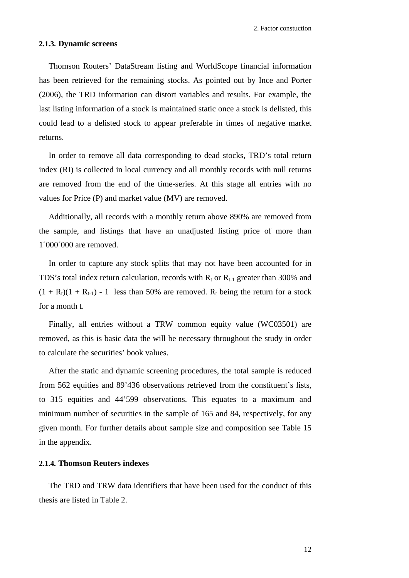#### <span id="page-19-0"></span>**2.1.3. Dynamic screens**

Thomson Routers' DataStream listing and WorldScope financial information has been retrieved for the remaining stocks. As pointed out by Ince and Porter (2006), the TRD information can distort variables and results. For example, the last listing information of a stock is maintained static once a stock is delisted, this could lead to a delisted stock to appear preferable in times of negative market returns.

In order to remove all data corresponding to dead stocks, TRD's total return index (RI) is collected in local currency and all monthly records with null returns are removed from the end of the time-series. At this stage all entries with no values for Price (P) and market value (MV) are removed.

Additionally, all records with a monthly return above 890% are removed from the sample, and listings that have an unadjusted listing price of more than 1´000´000 are removed.

In order to capture any stock splits that may not have been accounted for in TDS's total index return calculation, records with  $R_t$  or  $R_{t-1}$  greater than 300% and  $(1 + R_t)(1 + R_{t-1})$  - 1 less than 50% are removed. R<sub>t</sub> being the return for a stock for a month t.

Finally, all entries without a TRW common equity value (WC03501) are removed, as this is basic data the will be necessary throughout the study in order to calculate the securities' book values.

After the static and dynamic screening procedures, the total sample is reduced from 562 equities and 89'436 observations retrieved from the constituent's lists, to 315 equities and 44'599 observations. This equates to a maximum and minimum number of securities in the sample of 165 and 84, respectively, for any given month. For further details about sample size and composition see [Table 15](#page-67-0) in the appendix.

## <span id="page-19-1"></span>**2.1.4. Thomson Reuters indexes**

<span id="page-19-2"></span>The TRD and TRW data identifiers that have been used for the conduct of this thesis are listed in [Table 2.](#page-19-2)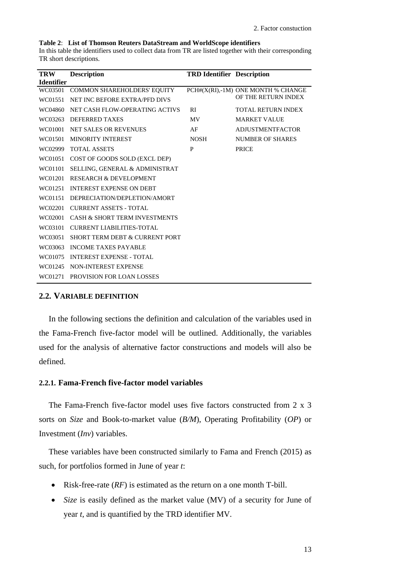#### <span id="page-20-2"></span>**Table 2**: **List of Thomson Reuters DataStream and WorldScope identifiers**

In this table the identifiers used to collect data from TR are listed together with their corresponding TR short descriptions.

| <b>TRW</b>        | <b>Description</b>                        | <b>TRD Identifier Description</b> |                                    |
|-------------------|-------------------------------------------|-----------------------------------|------------------------------------|
| <b>Identifier</b> |                                           |                                   |                                    |
| WC03501           | COMMON SHAREHOLDERS' EQUITY               |                                   | PCH#(X(RI),-1M) ONE MONTH % CHANGE |
| WC01551           | NET INC BEFORE EXTRA/PFD DIVS             |                                   | OF THE RETURN INDEX                |
| WC04860           | NET CASH FLOW-OPERATING ACTIVS            | <b>RI</b>                         | <b>TOTAL RETURN INDEX</b>          |
| WC03263           | <b>DEFERRED TAXES</b>                     | <b>MV</b>                         | <b>MARKET VALUE</b>                |
| WC01001           | <b>NET SALES OR REVENUES</b>              | AF                                | <b>ADJUSTMENTFACTOR</b>            |
| WC01501           | <b>MINORITY INTEREST</b>                  | <b>NOSH</b>                       | NUMBER OF SHARES                   |
| WC02999           | <b>TOTAL ASSETS</b>                       | P                                 | <b>PRICE</b>                       |
| WC01051           | COST OF GOODS SOLD (EXCL DEP)             |                                   |                                    |
| WC01101           | <b>SELLING, GENERAL &amp; ADMINISTRAT</b> |                                   |                                    |
| WC01201           | <b>RESEARCH &amp; DEVELOPMENT</b>         |                                   |                                    |
| WC01251           | <b>INTEREST EXPENSE ON DEBT</b>           |                                   |                                    |
| WC01151           | DEPRECIATION/DEPLETION/AMORT              |                                   |                                    |
| WC02201           | <b>CURRENT ASSETS - TOTAL</b>             |                                   |                                    |
| WC02001           | <b>CASH &amp; SHORT TERM INVESTMENTS</b>  |                                   |                                    |
| WC03101           | <b>CURRENT LIABILITIES-TOTAL</b>          |                                   |                                    |
| WC03051           | SHORT TERM DEBT & CURRENT PORT            |                                   |                                    |
| WC03063           | <b>INCOME TAXES PAYABLE</b>               |                                   |                                    |
| WC01075           | <b>INTEREST EXPENSE - TOTAL</b>           |                                   |                                    |
| WC01245           | NON-INTEREST EXPENSE                      |                                   |                                    |
| WC01271           | <b>PROVISION FOR LOAN LOSSES</b>          |                                   |                                    |

#### <span id="page-20-0"></span>**2.2. VARIABLE DEFINITION**

In the following sections the definition and calculation of the variables used in the Fama-French five-factor model will be outlined. Additionally, the variables used for the analysis of alternative factor constructions and models will also be defined.

### <span id="page-20-1"></span>**2.2.1. Fama-French five-factor model variables**

The Fama-French five-factor model uses five factors constructed from 2 x 3 sorts on *Size* and Book-to-market value (*B/M*), Operating Profitability (*OP*) or Investment (*Inv*) variables.

These variables have been constructed similarly to Fama and French (2015) as such, for portfolios formed in June of year *t*:

- Risk-free-rate (*RF*) is estimated as the return on a one month T-bill.
- *Size* is easily defined as the market value (MV) of a security for June of year *t*, and is quantified by the TRD identifier MV.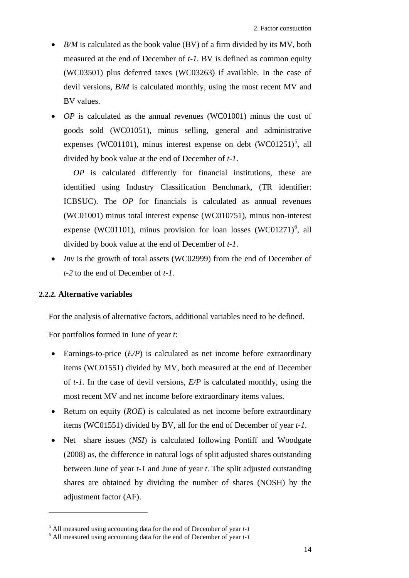- *B/M* is calculated as the book value (BV) of a firm divided by its MV, both measured at the end of December of *t-1.* BV is defined as common equity (WC03501) plus deferred taxes (WC03263) if available. In the case of devil versions, *B/M* is calculated monthly, using the most recent MV and BV values.
- *OP* is calculated as the annual revenues (WC01001) minus the cost of goods sold (WC01051), minus selling, general and administrative expenses (WC01101), minus interest expense on debt  $(WCO1251)^5$  $(WCO1251)^5$  $(WCO1251)^5$ , all divided by book value at the end of December of *t-1*.

*OP* is calculated differently for financial institutions, these are identified using Industry Classification Benchmark, (TR identifier: ICBSUC). The *OP* for financials is calculated as annual revenues (WC01001) minus total interest expense (WC010751), minus non-interest expense (WC01101), minus provision for loan losses (WC01271)<sup>[6](#page-21-2)</sup>, all divided by book value at the end of December of *t-1*.

• *Inv* is the growth of total assets (WC02999) from the end of December of *t-2* to the end of December of *t-1.*

## <span id="page-21-0"></span>**2.2.2. Alternative variables**

<u>.</u>

For the analysis of alternative factors, additional variables need to be defined.

For portfolios formed in June of year *t*:

- Earnings-to-price (*E/P*) is calculated as net income before extraordinary items (WC01551) divided by MV, both measured at the end of December of *t-1.* In the case of devil versions, *E/P* is calculated monthly, using the most recent MV and net income before extraordinary items values.
- Return on equity (*ROE*) is calculated as net income before extraordinary items (WC01551) divided by BV, all for the end of December of year *t-1*.
- Net share issues (*NSI*) is calculated following Pontiff and Woodgate (2008) as, the difference in natural logs of split adjusted shares outstanding between June of year *t-1* and June of year *t*. The split adjusted outstanding shares are obtained by dividing the number of shares (NOSH) by the adjustment factor (AF).

<span id="page-21-1"></span><sup>5</sup> All measured using accounting data for the end of December of year *t-1* <sup>6</sup> All measured using accounting data for the end of December of year *t-1*

<span id="page-21-2"></span>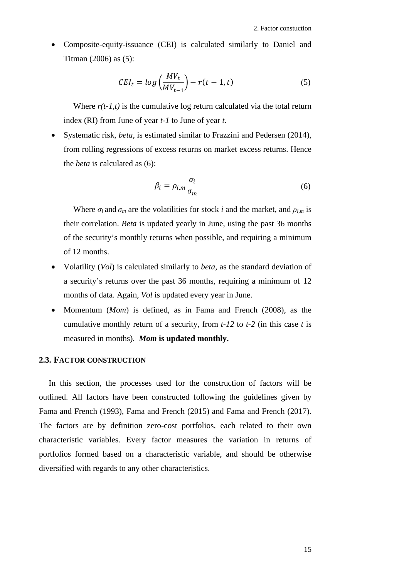• Composite-equity-issuance (CEI) is calculated similarly to Daniel and Titman (2006) as (5):

$$
CEI_t = \log\left(\frac{MV_t}{MV_{t-1}}\right) - r(t-1, t) \tag{5}
$$

Where  $r(t-1,t)$  is the cumulative log return calculated via the total return index (RI) from June of year *t-1* to June of year *t*.

• Systematic risk, *beta*, is estimated similar to Frazzini and Pedersen (2014), from rolling regressions of excess returns on market excess returns. Hence the *beta* is calculated as (6):

$$
\beta_i = \rho_{i,m} \frac{\sigma_i}{\sigma_m} \tag{6}
$$

Where  $\sigma_i$  and  $\sigma_m$  are the volatilities for stock *i* and the market, and  $\rho_{i,m}$  is their correlation. *Beta* is updated yearly in June, using the past 36 months of the security's monthly returns when possible, and requiring a minimum of 12 months.

- Volatility (*Vol*) is calculated similarly to *beta*, as the standard deviation of a security's returns over the past 36 months, requiring a minimum of 12 months of data. Again, *Vol* is updated every year in June.
- Momentum (*Mom*) is defined, as in Fama and French (2008), as the cumulative monthly return of a security, from *t-12* to *t-2* (in this case *t* is measured in months)*. Mom* **is updated monthly.**

#### <span id="page-22-0"></span>**2.3. FACTOR CONSTRUCTION**

In this section, the processes used for the construction of factors will be outlined. All factors have been constructed following the guidelines given by Fama and French (1993), Fama and French (2015) and Fama and French (2017). The factors are by definition zero-cost portfolios, each related to their own characteristic variables. Every factor measures the variation in returns of portfolios formed based on a characteristic variable, and should be otherwise diversified with regards to any other characteristics.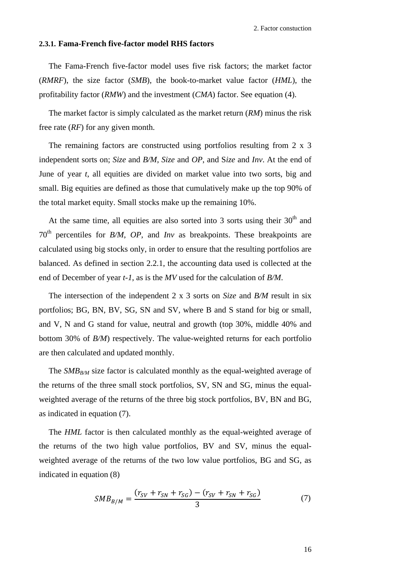#### <span id="page-23-0"></span>**2.3.1. Fama-French five-factor model RHS factors**

The Fama-French five-factor model uses five risk factors; the market factor (*RMRF*), the size factor (*SMB*), the book-to-market value factor (*HML*), the profitability factor (*RMW*) and the investment (*CMA*) factor. See equation [\(4\).](#page-13-0)

The market factor is simply calculated as the market return (*RM*) minus the risk free rate (*RF*) for any given month.

The remaining factors are constructed using portfolios resulting from 2 x 3 independent sorts on; *Size* and *B/M*, *Size* and *OP*, and S*ize* and *Inv*. At the end of June of year *t*, all equities are divided on market value into two sorts, big and small. Big equities are defined as those that cumulatively make up the top 90% of the total market equity. Small stocks make up the remaining 10%.

At the same time, all equities are also sorted into 3 sorts using their  $30<sup>th</sup>$  and 70th percentiles for *B/M*, *OP*, and *Inv* as breakpoints. These breakpoints are calculated using big stocks only, in order to ensure that the resulting portfolios are balanced. As defined in section [2.2.1,](#page-20-1) the accounting data used is collected at the end of December of year *t-1*, as is the *MV* used for the calculation of *B/M*.

The intersection of the independent 2 x 3 sorts on *Size* and *B/M* result in six portfolios; BG, BN, BV, SG, SN and SV, where B and S stand for big or small, and V, N and G stand for value, neutral and growth (top 30%, middle 40% and bottom 30% of *B/M*) respectively. The value-weighted returns for each portfolio are then calculated and updated monthly.

The *SMB<sub>B/M</sub>* size factor is calculated monthly as the equal-weighted average of the returns of the three small stock portfolios, SV, SN and SG, minus the equalweighted average of the returns of the three big stock portfolios, BV, BN and BG, as indicated in equation (7).

The *HML* factor is then calculated monthly as the equal-weighted average of the returns of the two high value portfolios, BV and SV, minus the equalweighted average of the returns of the two low value portfolios, BG and SG, as indicated in equation (8)

$$
SMB_{B/M} = \frac{(r_{SV} + r_{SN} + r_{SG}) - (r_{SV} + r_{SN} + r_{SG})}{3}
$$
(7)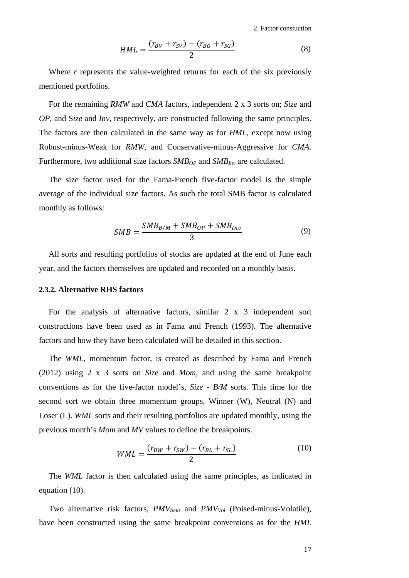<span id="page-24-1"></span>2. Factor constuction

$$
HML = \frac{(r_{BV} + r_{SV}) - (r_{BG} + r_{SG})}{2}
$$
 (8)

Where *r* represents the value-weighted returns for each of the six previously mentioned portfolios.

For the remaining *RMW* and *CMA* factors, independent 2 x 3 sorts on; *Size* and *OP*, and S*ize* and *Inv,* respectively, are constructed following the same principles. The factors are then calculated in the same way as for *HML*, except now using Robust-minus-Weak for *RMW*, and Conservative-minus-Aggressive for *CMA*. Furthermore, two additional size factors  $SMB_{OP}$  and  $SMB_{Inv}$  are calculated.

The size factor used for the Fama-French five-factor model is the simple average of the individual size factors. As such the total SMB factor is calculated monthly as follows:

$$
SMB = \frac{SMB_{B/M} + SMB_{OP} + SMB_{Inv}}{3}
$$
\n(9)

All sorts and resulting portfolios of stocks are updated at the end of June each year, and the factors themselves are updated and recorded on a monthly basis.

### <span id="page-24-0"></span>**2.3.2. Alternative RHS factors**

For the analysis of alternative factors, similar  $2 \times 3$  independent sort constructions have been used as in Fama and French (1993). The alternative factors and how they have been calculated will be detailed in this section.

The *WML,* momentum factor, is created as described by Fama and French (2012) using 2 x 3 sorts on *Size* and *Mom*, and using the same breakpoint conventions as for the five-factor model's, *Size* - *B/M* sorts. This time for the second sort we obtain three momentum groups, Winner (W), Neutral (N) and Loser (L). *WML* sorts and their resulting portfolios are updated monthly, using the previous month's *Mom* and *MV* values to define the breakpoints.

$$
WML = \frac{(r_{BW} + r_{SW}) - (r_{BL} + r_{SL})}{2}
$$
 (10)

The *WML* factor is then calculated using the same principles, as indicated in equation (10).

Two alternative risk factors, *PMV<sub>Beta</sub>* and *PMV<sub>Vol</sub>* (Poised-minus-Volatile), have been constructed using the same breakpoint conventions as for the *HML*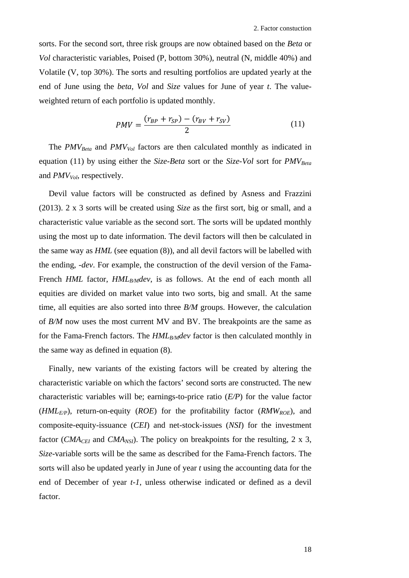sorts. For the second sort, three risk groups are now obtained based on the *Beta* or *Vol* characteristic variables, Poised (P, bottom 30%), neutral (N, middle 40%) and Volatile (V, top 30%). The sorts and resulting portfolios are updated yearly at the end of June using the *beta*, *Vol* and *Size* values for June of year *t*. The valueweighted return of each portfolio is updated monthly.

$$
PMV = \frac{(r_{BP} + r_{SP}) - (r_{BV} + r_{SV})}{2}
$$
 (11)

The *PMV<sub>Beta</sub>* and *PMV<sub>Vol</sub>* factors are then calculated monthly as indicated in equation (11) by using either the *Size-Beta* sort or the *Size-Vol* sort for *PMV<sub>Beta</sub>* and *PMV<sub>Vol</sub>*, respectively.

Devil value factors will be constructed as defined by Asness and Frazzini (2013). 2 x 3 sorts will be created using *Size* as the first sort, big or small, and a characteristic value variable as the second sort. The sorts will be updated monthly using the most up to date information. The devil factors will then be calculated in the same way as *HML* (see equation [\(8\)\)](#page-24-1), and all devil factors will be labelled with the ending, *-dev*. For example, the construction of the devil version of the Fama-French *HML* factor, *HML<sub>B/M</sub>dev*, is as follows. At the end of each month all equities are divided on market value into two sorts, big and small. At the same time, all equities are also sorted into three *B/M* groups. However, the calculation of *B/M* now uses the most current MV and BV. The breakpoints are the same as for the Fama-French factors. The *HML<sub>B/M</sub>dev* factor is then calculated monthly in the same way as defined in equation [\(8\).](#page-24-1)

Finally, new variants of the existing factors will be created by altering the characteristic variable on which the factors' second sorts are constructed. The new characteristic variables will be; earnings-to-price ratio (*E/P*) for the value factor (*HMLE/P*), return-on-equity (*ROE*) for the profitability factor (*RMWROE*), and composite-equity-issuance (*CEI*) and net-stock-issues (*NSI*) for the investment factor (*CMA<sub>CEI</sub>* and *CMA<sub>NSI</sub>*). The policy on breakpoints for the resulting, 2 x 3, *Size-*variable sorts will be the same as described for the Fama-French factors. The sorts will also be updated yearly in June of year *t* using the accounting data for the end of December of year *t-1*, unless otherwise indicated or defined as a devil factor.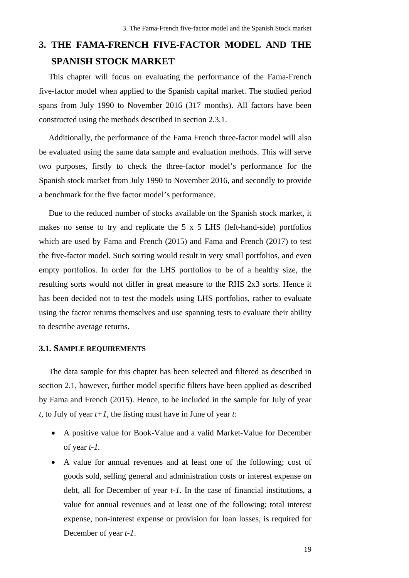# <span id="page-26-0"></span>**3. THE FAMA-FRENCH FIVE-FACTOR MODEL AND THE SPANISH STOCK MARKET**

This chapter will focus on evaluating the performance of the Fama-French five-factor model when applied to the Spanish capital market. The studied period spans from July 1990 to November 2016 (317 months). All factors have been constructed using the methods described in section [2.3.1.](#page-23-0)

Additionally, the performance of the Fama French three-factor model will also be evaluated using the same data sample and evaluation methods. This will serve two purposes, firstly to check the three-factor model's performance for the Spanish stock market from July 1990 to November 2016, and secondly to provide a benchmark for the five factor model's performance.

Due to the reduced number of stocks available on the Spanish stock market, it makes no sense to try and replicate the 5 x 5 LHS (left-hand-side) portfolios which are used by Fama and French (2015) and Fama and French (2017) to test the five-factor model. Such sorting would result in very small portfolios, and even empty portfolios. In order for the LHS portfolios to be of a healthy size, the resulting sorts would not differ in great measure to the RHS 2x3 sorts. Hence it has been decided not to test the models using LHS portfolios, rather to evaluate using the factor returns themselves and use spanning tests to evaluate their ability to describe average returns.

#### <span id="page-26-1"></span>**3.1. SAMPLE REQUIREMENTS**

The data sample for this chapter has been selected and filtered as described in section [2.1,](#page-16-1) however, further model specific filters have been applied as described by Fama and French (2015). Hence, to be included in the sample for July of year *t*, to July of year *t+1*, the listing must have in June of year *t*:

- A positive value for Book-Value and a valid Market-Value for December of year *t-1.*
- A value for annual revenues and at least one of the following; cost of goods sold, selling general and administration costs or interest expense on debt, all for December of year *t-1.* In the case of financial institutions, a value for annual revenues and at least one of the following; total interest expense, non-interest expense or provision for loan losses, is required for December of year *t-1*.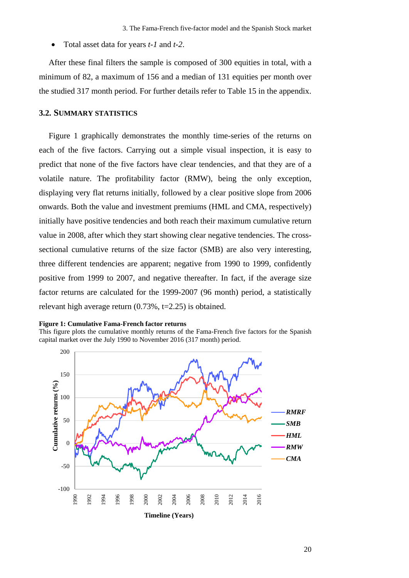• Total asset data for years *t-1* and *t-2*.

After these final filters the sample is composed of 300 equities in total, with a minimum of 82, a maximum of 156 and a median of 131 equities per month over the studied 317 month period. For further details refer to [Table 15](#page-67-0) in the appendix.

#### <span id="page-27-0"></span>**3.2. SUMMARY STATISTICS**

[Figure 1](#page-27-1) graphically demonstrates the monthly time-series of the returns on each of the five factors. Carrying out a simple visual inspection, it is easy to predict that none of the five factors have clear tendencies, and that they are of a volatile nature. The profitability factor (RMW), being the only exception, displaying very flat returns initially, followed by a clear positive slope from 2006 onwards. Both the value and investment premiums (HML and CMA, respectively) initially have positive tendencies and both reach their maximum cumulative return value in 2008, after which they start showing clear negative tendencies. The crosssectional cumulative returns of the size factor (SMB) are also very interesting, three different tendencies are apparent; negative from 1990 to 1999, confidently positive from 1999 to 2007, and negative thereafter. In fact, if the average size factor returns are calculated for the 1999-2007 (96 month) period, a statistically relevant high average return (0.73%, t=2.25) is obtained.

#### <span id="page-27-1"></span>**Figure 1: Cumulative Fama-French factor returns**

This figure plots the cumulative monthly returns of the Fama-French five factors for the Spanish capital market over the July 1990 to November 2016 (317 month) period.

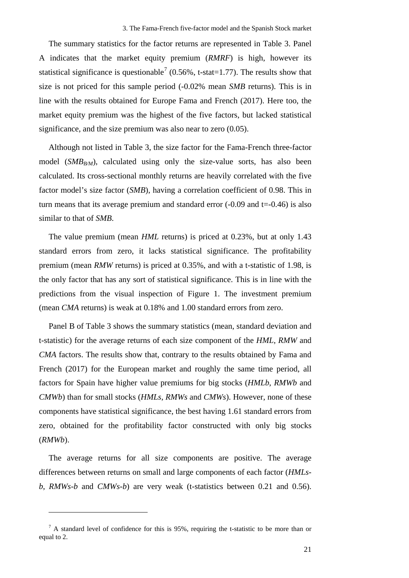The summary statistics for the factor returns are represented in [Table 3.](#page-29-0) Panel A indicates that the market equity premium (*RMRF*) is high, however its statistical significance is questionable<sup>[7](#page-28-0)</sup> (0.56%, t-stat=1.77). The results show that size is not priced for this sample period (-0.02% mean *SMB* returns). This is in line with the results obtained for Europe Fama and French (2017). Here too, the market equity premium was the highest of the five factors, but lacked statistical significance, and the size premium was also near to zero (0.05).

Although not listed in [Table 3,](#page-29-0) the size factor for the Fama-French three-factor model  $(SMB_{B/M})$ , calculated using only the size-value sorts, has also been calculated. Its cross-sectional monthly returns are heavily correlated with the five factor model's size factor (*SMB*), having a correlation coefficient of 0.98. This in turn means that its average premium and standard error  $(-0.09$  and  $t = -0.46$ ) is also similar to that of *SMB*.

The value premium (mean *HML* returns) is priced at 0.23%, but at only 1.43 standard errors from zero, it lacks statistical significance. The profitability premium (mean *RMW* returns) is priced at 0.35%, and with a t-statistic of 1.98, is the only factor that has any sort of statistical significance. This is in line with the predictions from the visual inspection of [Figure 1.](#page-27-1) The investment premium (mean *CMA* returns) is weak at 0.18% and 1.00 standard errors from zero.

Panel B of [Table 3](#page-29-0) shows the summary statistics (mean, standard deviation and t-statistic) for the average returns of each size component of the *HML*, *RMW* and *CMA* factors. The results show that, contrary to the results obtained by Fama and French (2017) for the European market and roughly the same time period, all factors for Spain have higher value premiums for big stocks (*HMLb*, *RMWb* and *CMWb*) than for small stocks (*HMLs*, *RMWs* and *CMWs*). However, none of these components have statistical significance, the best having 1.61 standard errors from zero, obtained for the profitability factor constructed with only big stocks (*RMWb*).

The average returns for all size components are positive. The average differences between returns on small and large components of each factor (*HMLsb*, *RMWs-b* and *CMWs-b*) are very weak (t-statistics between 0.21 and 0.56).

<u>.</u>

<span id="page-28-0"></span> $<sup>7</sup>$  A standard level of confidence for this is 95%, requiring the t-statistic to be more than or</sup> equal to 2.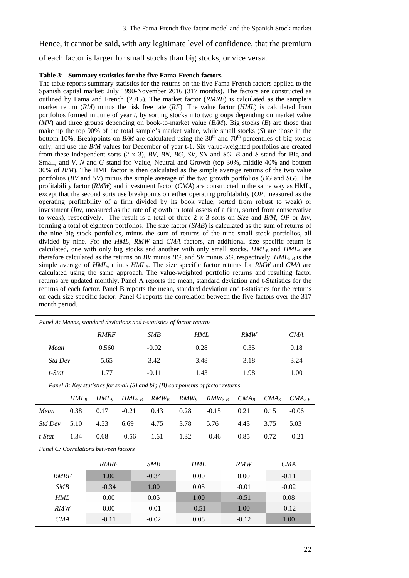Hence, it cannot be said, with any legitimate level of confidence, that the premium of each factor is larger for small stocks than big stocks, or vice versa.

#### <span id="page-29-0"></span>**Table 3**: **Summary statistics for the five Fama-French factors**

The table reports summary statistics for the returns on the five Fama-French factors applied to the Spanish capital market: July 1990-November 2016 (317 months). The factors are constructed as outlined by Fama and French (2015). The market factor (*RMRF*) is calculated as the sample's market return (*RM*) minus the risk free rate (*RF*). The value factor (*HML*) is calculated from portfolios formed in June of year *t*, by sorting stocks into two groups depending on market value (*MV*) and three groups depending on book-to-market value (*B/M*). Big stocks (*B*) are those that make up the top 90% of the total sample's market value, while small stocks (*S*) are those in the bottom 10%. Breakpoints on  $B/M$  are calculated using the 30<sup>th</sup> and 70<sup>th</sup> percentiles of big stocks only, and use the *B/M* values for December of year t-1. Six value-weighted portfolios are created from these independent sorts (2 x 3), *BV, BN, BG, SV, SN* and *SG*. *B* and *S* stand for Big and Small, and *V*, N and G stand for Value, Neutral and Growth (top 30%, middle 40% and bottom 30% of *B/M*). The HML factor is then calculated as the simple average returns of the two value portfolios (*BV* and *SV*) minus the simple average of the two growth portfolios (*BG* and *SG*). The profitability factor (*RMW*) and investment factor (*CMA*) are constructed in the same way as HML, except that the second sorts use breakpoints on either operating profitability (*OP,* measured as the operating profitability of a firm divided by its book value, sorted from robust to weak) or investment (*Inv*, measured as the rate of growth in total assets of a firm, sorted from conservative to weak), respectively. The result is a total of three 2 x 3 sorts on *Size* and *B/M*, *OP* or *Inv*, forming a total of eighteen portfolios. The size factor (*SMB*) is calculated as the sum of returns of the nine big stock portfolios, minus the sum of returns of the nine small stock portfolios, all divided by nine. For the *HML*, *RMW* and *CMA* factors, an additional size specific return is calculated, one with only big stocks and another with only small stocks.  $HML<sub>B</sub>$  and  $HML<sub>S</sub>$  are therefore calculated as the returns on *BV* minus *BG*, and *SV* minus *SG*, respectively. *HML*<sub>S-B</sub> is the simple average of  $HML<sub>s</sub>$  minus  $HML<sub>B</sub>$ . The size specific factor returns for *RMW* and *CMA* are calculated using the same approach. The value-weighted portfolio returns and resulting factor returns are updated monthly. Panel A reports the mean, standard deviation and t-Statistics for the returns of each factor. Panel B reports the mean, standard deviation and t-statistics for the returns on each size specific factor. Panel C reports the correlation between the five factors over the 317 month period.

| Panel A: Means, standard deviations and t-statistics of factor returns |       |         |      |      |      |  |  |  |  |  |
|------------------------------------------------------------------------|-------|---------|------|------|------|--|--|--|--|--|
| <b>RMRF</b><br>HML<br><b>SMB</b><br><b>RMW</b><br>CMA                  |       |         |      |      |      |  |  |  |  |  |
| Mean                                                                   | 0.560 | $-0.02$ | 0.28 | 0.35 | 0.18 |  |  |  |  |  |
| <b>Std Dev</b>                                                         | 5.65  | 3.42    | 3.48 | 3.18 | 3.24 |  |  |  |  |  |
| t-Stat                                                                 | 1.77  | $-0.11$ | 1.43 | 1.98 | 1.00 |  |  |  |  |  |

*Panel B: Key statistics for small (S) and big (B) components of factor returns*

|  |  |  | $HML_B$ $HML_S$ $HML_{S-B}$ $RMW_B$ $RMW_S$ $RMW_{S-B}$ $CMA_B$ $CMA_S$ $CMA_{S-B}$ |  |  |
|--|--|--|-------------------------------------------------------------------------------------|--|--|
|  |  |  | Mean 0.38 0.17 -0.21 0.43 0.28 -0.15 0.21 0.15 -0.06                                |  |  |
|  |  |  | Std Dev 5.10 4.53 6.69 4.75 3.78 5.76 4.43 3.75 5.03                                |  |  |
|  |  |  | t-Stat 1.34 0.68 -0.56 1.61 1.32 -0.46 0.85 0.72 -0.21                              |  |  |

*Panel C: Correlations between factors*

|             | <b>RMRF</b> | SMB     | HML     | <b>RMW</b> | <b>CMA</b> |
|-------------|-------------|---------|---------|------------|------------|
| <b>RMRF</b> | 1.00        | $-0.34$ | 0.00    | 0.00       | $-0.11$    |
| <b>SMB</b>  | $-0.34$     | 1.00    | 0.05    | $-0.01$    | $-0.02$    |
| HML         | 0.00        | 0.05    | 1.00    | $-0.51$    | 0.08       |
| <b>RMW</b>  | 0.00        | $-0.01$ | $-0.51$ | 1.00       | $-0.12$    |
| <i>CMA</i>  | $-0.11$     | $-0.02$ | 0.08    | $-0.12$    | 1.00       |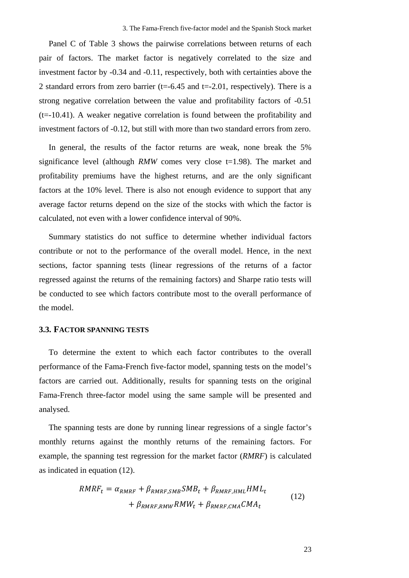Panel C of [Table 3](#page-29-0) shows the pairwise correlations between returns of each pair of factors. The market factor is negatively correlated to the size and investment factor by -0.34 and -0.11, respectively, both with certainties above the 2 standard errors from zero barrier (t=-6.45 and t=-2.01, respectively). There is a strong negative correlation between the value and profitability factors of -0.51 (t=-10.41). A weaker negative correlation is found between the profitability and investment factors of -0.12, but still with more than two standard errors from zero.

In general, the results of the factor returns are weak, none break the 5% significance level (although *RMW* comes very close  $t=1.98$ ). The market and profitability premiums have the highest returns, and are the only significant factors at the 10% level. There is also not enough evidence to support that any average factor returns depend on the size of the stocks with which the factor is calculated, not even with a lower confidence interval of 90%.

Summary statistics do not suffice to determine whether individual factors contribute or not to the performance of the overall model. Hence, in the next sections, factor spanning tests (linear regressions of the returns of a factor regressed against the returns of the remaining factors) and Sharpe ratio tests will be conducted to see which factors contribute most to the overall performance of the model.

#### <span id="page-30-0"></span>**3.3. FACTOR SPANNING TESTS**

To determine the extent to which each factor contributes to the overall performance of the Fama-French five-factor model, spanning tests on the model's factors are carried out. Additionally, results for spanning tests on the original Fama-French three-factor model using the same sample will be presented and analysed.

The spanning tests are done by running linear regressions of a single factor's monthly returns against the monthly returns of the remaining factors. For example, the spanning test regression for the market factor (*RMRF*) is calculated as indicated in equation (12).

$$
RMRF_t = \alpha_{RMRF} + \beta_{RMRF, SMB} SMB_t + \beta_{RMRF, HML} HML_t
$$
  
+  $\beta_{RMRF, RMW} RMW_t + \beta_{RMRF, CMA} CMA_t$  (12)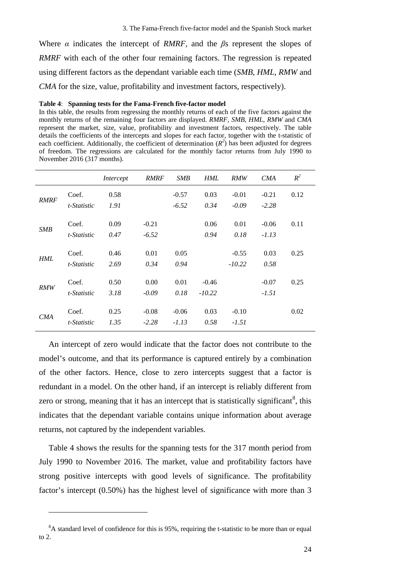Where *α* indicates the intercept of *RMRF*, and the *β*s represent the slopes of *RMRF* with each of the other four remaining factors. The regression is repeated using different factors as the dependant variable each time (*SMB*, *HML*, *RMW* and *CMA* for the size, value, profitability and investment factors, respectively).

#### <span id="page-31-0"></span>**Table 4**: **Spanning tests for the Fama-French five-factor model**

In this table, the results from regressing the monthly returns of each of the five factors against the monthly returns of the remaining four factors are displayed. *RMRF*, *SMB*, *HML*, *RMW* and *CMA* represent the market, size, value, profitability and investment factors, respectively. The table details the coefficients of the intercepts and slopes for each factor, together with the t-statistic of each coefficient. Additionally, the coefficient of determination  $(R^2)$  has been adjusted for degrees of freedom. The regressions are calculated for the monthly factor returns from July 1990 to November 2016 (317 months).

|             |             | Intercept | <b>RMRF</b> | SMB     | <b>HML</b> | RMW      | CMA     | $R^2$ |
|-------------|-------------|-----------|-------------|---------|------------|----------|---------|-------|
|             | Coef.       | 0.58      |             | $-0.57$ | 0.03       | $-0.01$  | $-0.21$ | 0.12  |
| <b>RMRF</b> | t-Statistic | 1.91      |             | $-6.52$ | 0.34       | $-0.09$  | $-2.28$ |       |
|             | Coef.       | 0.09      | $-0.21$     |         | 0.06       | 0.01     | $-0.06$ | 0.11  |
| SMB         | t-Statistic | 0.47      | $-6.52$     |         | 0.94       | 0.18     | $-1.13$ |       |
|             | Coef.       | 0.46      | 0.01        | 0.05    |            | $-0.55$  | 0.03    | 0.25  |
| HML         | t-Statistic | 2.69      | 0.34        | 0.94    |            | $-10.22$ | 0.58    |       |
|             | Coef.       | 0.50      | 0.00        | 0.01    | $-0.46$    |          | $-0.07$ | 0.25  |
| RMW         | t-Statistic | 3.18      | $-0.09$     | 0.18    | $-10.22$   |          | $-1.51$ |       |
|             |             |           |             |         |            |          |         |       |
| CMA         | Coef.       | 0.25      | $-0.08$     | $-0.06$ | 0.03       | $-0.10$  |         | 0.02  |
|             | t-Statistic | 1.35      | $-2.28$     | $-1.13$ | 0.58       | $-1.51$  |         |       |

An intercept of zero would indicate that the factor does not contribute to the model's outcome, and that its performance is captured entirely by a combination of the other factors. Hence, close to zero intercepts suggest that a factor is redundant in a model. On the other hand, if an intercept is reliably different from zero or strong, meaning that it has an intercept that is statistically significant<sup>[8](#page-31-1)</sup>, this indicates that the dependant variable contains unique information about average returns, not captured by the independent variables.

[Table 4](#page-31-0) shows the results for the spanning tests for the 317 month period from July 1990 to November 2016. The market, value and profitability factors have strong positive intercepts with good levels of significance. The profitability factor's intercept (0.50%) has the highest level of significance with more than 3

<u>.</u>

<span id="page-31-1"></span> ${}^{8}$ A standard level of confidence for this is 95%, requiring the t-statistic to be more than or equal to 2.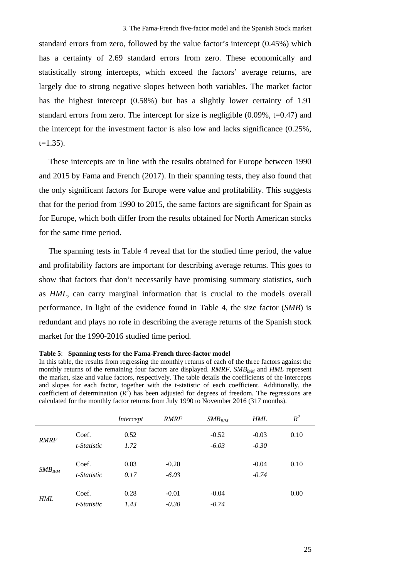standard errors from zero, followed by the value factor's intercept (0.45%) which has a certainty of 2.69 standard errors from zero. These economically and statistically strong intercepts, which exceed the factors' average returns, are largely due to strong negative slopes between both variables. The market factor has the highest intercept (0.58%) but has a slightly lower certainty of 1.91 standard errors from zero. The intercept for size is negligible  $(0.09\%, t=0.47)$  and the intercept for the investment factor is also low and lacks significance (0.25%,  $t=1.35$ ).

These intercepts are in line with the results obtained for Europe between 1990 and 2015 by Fama and French (2017). In their spanning tests, they also found that the only significant factors for Europe were value and profitability. This suggests that for the period from 1990 to 2015, the same factors are significant for Spain as for Europe, which both differ from the results obtained for North American stocks for the same time period.

The spanning tests in [Table 4](#page-31-0) reveal that for the studied time period, the value and profitability factors are important for describing average returns. This goes to show that factors that don't necessarily have promising summary statistics, such as *HML*, can carry marginal information that is crucial to the models overall performance. In light of the evidence found in [Table 4,](#page-31-0) the size factor (*SMB*) is redundant and plays no role in describing the average returns of the Spanish stock market for the 1990-2016 studied time period.

#### <span id="page-32-0"></span>**Table 5**: **Spanning tests for the Fama-French three-factor model**

In this table, the results from regressing the monthly returns of each of the three factors against the monthly returns of the remaining four factors are displayed. *RMRF*, *SMB<sub>RM</sub>* and *HML* represent the market, size and value factors, respectively. The table details the coefficients of the intercepts and slopes for each factor, together with the t-statistic of each coefficient. Additionally, the coefficient of determination  $(R^2)$  has been adjusted for degrees of freedom. The regressions are calculated for the monthly factor returns from July 1990 to November 2016 (317 months).

|             |                      | Intercept    | <b>RMRF</b>        | $SMB_{B/M}$        | <b>HML</b>         | $R^2$ |
|-------------|----------------------|--------------|--------------------|--------------------|--------------------|-------|
| <b>RMRF</b> | Coef.<br>t-Statistic | 0.52<br>1.72 |                    | $-0.52$<br>$-6.03$ | $-0.03$<br>$-0.30$ | 0.10  |
| $SMB_{B/M}$ | Coef.<br>t-Statistic | 0.03<br>0.17 | $-0.20$<br>$-6.03$ |                    | $-0.04$<br>$-0.74$ | 0.10  |
| <b>HML</b>  | Coef.<br>t-Statistic | 0.28<br>1.43 | $-0.01$<br>$-0.30$ | $-0.04$<br>$-0.74$ |                    | 0.00  |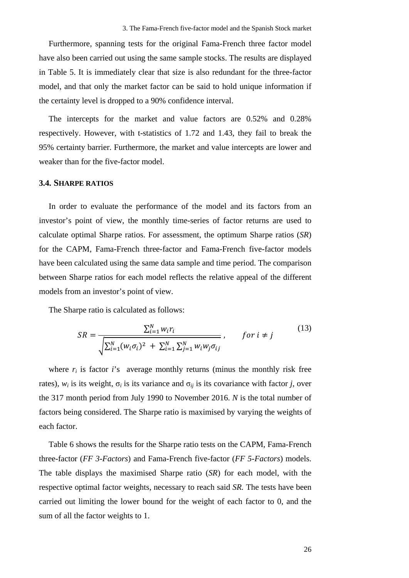Furthermore, spanning tests for the original Fama-French three factor model have also been carried out using the same sample stocks. The results are displayed in Table 5. It is immediately clear that size is also redundant for the three-factor model, and that only the market factor can be said to hold unique information if the certainty level is dropped to a 90% confidence interval.

The intercepts for the market and value factors are 0.52% and 0.28% respectively. However, with t-statistics of 1.72 and 1.43, they fail to break the 95% certainty barrier. Furthermore, the market and value intercepts are lower and weaker than for the five-factor model.

#### <span id="page-33-0"></span>**3.4. SHARPE RATIOS**

In order to evaluate the performance of the model and its factors from an investor's point of view, the monthly time-series of factor returns are used to calculate optimal Sharpe ratios. For assessment, the optimum Sharpe ratios (*SR*) for the CAPM, Fama-French three-factor and Fama-French five-factor models have been calculated using the same data sample and time period. The comparison between Sharpe ratios for each model reflects the relative appeal of the different models from an investor's point of view.

The Sharpe ratio is calculated as follows:

$$
SR = \frac{\sum_{i=1}^{N} w_i r_i}{\sqrt{\sum_{i=1}^{N} (w_i \sigma_i)^2 + \sum_{i=1}^{N} \sum_{j=1}^{N} w_i w_j \sigma_{ij}}}, \quad \text{for } i \neq j
$$
 (13)

where  $r_i$  is factor  $i$ 's average monthly returns (minus the monthly risk free rates),  $w_i$  is its weight,  $\sigma_i$  is its variance and  $\sigma_{ij}$  is its covariance with factor *j*, over the 317 month period from July 1990 to November 2016. *N* is the total number of factors being considered. The Sharpe ratio is maximised by varying the weights of each factor.

[Table 6](#page-34-0) shows the results for the Sharpe ratio tests on the CAPM, Fama-French three-factor (*FF 3-Factors*) and Fama-French five-factor (*FF 5-Factors*) models. The table displays the maximised Sharpe ratio (*SR*) for each model, with the respective optimal factor weights, necessary to reach said *SR.* The tests have been carried out limiting the lower bound for the weight of each factor to 0, and the sum of all the factor weights to 1.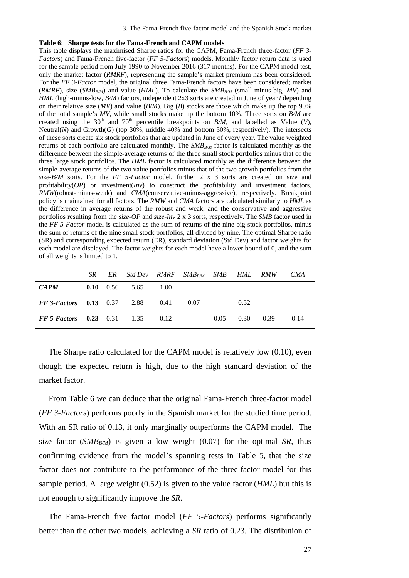#### <span id="page-34-0"></span>**Table 6**: **Sharpe tests for the Fama-French and CAPM models**

This table displays the maximised Sharpe ratios for the CAPM, Fama-French three-factor (*FF 3- Factors*) and Fama-French five-factor (*FF 5-Factors*) models. Monthly factor return data is used for the sample period from July 1990 to November 2016 (317 months). For the CAPM model test, only the market factor (*RMRF*), representing the sample's market premium has been considered. For the *FF 3-Factor* model, the original three Fama-French factors have been considered; market (*RMRF*), size (*SMB<sub>RM</sub>*) and value (*HML*). To calculate the *SMB<sub>RM</sub>* (small-minus-big, *MV*) and *HML* (high-minus-low, *B/M*) factors, independent 2x3 sorts are created in June of year *t* depending on their relative size (*MV*) and value (*B/M*). Big (*B*) stocks are those which make up the top 90% of the total sample's *MV,* while small stocks make up the bottom 10%. Three sorts on *B/M* are created using the 30<sup>th</sup> and 70<sup>th</sup> percentile breakpoints on  $B/M$ , and labelled as Value (V), Neutral(*N*) and Growth(*G*) (top 30%, middle 40% and bottom 30%, respectively). The intersects of these sorts create six stock portfolios that are updated in June of every year. The value weighted returns of each portfolio are calculated monthly. The SMB<sub>B/M</sub> factor is calculated monthly as the difference between the simple-average returns of the three small stock portfolios minus that of the three large stock portfolios. The *HML* factor is calculated monthly as the difference between the simple-average returns of the two value portfolios minus that of the two growth portfolios from the *size-B/M* sorts. For the *FF 5-Factor* model, further 2 x 3 sorts are created on size and profitability(*OP*) or investment(*Inv*) to construct the profitability and investment factors, *RMW*(robust-minus-weak) and *CMA*(conservative-minus-aggressive), respectively. Breakpoint policy is maintained for all factors. The *RMW* and *CMA* factors are calculated similarly to *HML* as the difference in average returns of the robust and weak, and the conservative and aggressive portfolios resulting from the *size-OP* and *size-Inv* 2 x 3 sorts, respectively. The *SMB* factor used in the *FF 5-Factor* model is calculated as the sum of returns of the nine big stock portfolios, minus the sum of returns of the nine small stock portfolios, all divided by nine. The optimal Sharpe ratio (SR) and corresponding expected return (ER), standard deviation (Std Dev) and factor weights for each model are displayed. The factor weights for each model have a lower bound of 0, and the sum of all weights is limited to 1.

|                                                 | SR | ER Std Dev RMRF SMB <sub>RM</sub> SMB HML RMW CMA |      |      |      |                   |      |
|-------------------------------------------------|----|---------------------------------------------------|------|------|------|-------------------|------|
| <b>CAPM</b>                                     |    | <b>0.10</b> 0.56 5.65 1.00                        |      |      |      |                   |      |
| <b>FF 3-Factors</b> $0.13$ $0.37$ $2.88$ $0.41$ |    |                                                   | 0.07 |      | 0.52 |                   |      |
| <b>FF 5-Factors</b> 0.23 0.31 1.35 0.12         |    |                                                   |      | 0.05 |      | $0.30\qquad 0.39$ | 0.14 |

The Sharpe ratio calculated for the CAPM model is relatively low (0.10), even though the expected return is high, due to the high standard deviation of the market factor.

From [Table 6](#page-34-0) we can deduce that the original Fama-French three-factor model (*FF 3-Factors*) performs poorly in the Spanish market for the studied time period. With an SR ratio of 0.13, it only marginally outperforms the CAPM model. The size factor (*SMB<sub>B/M</sub>*) is given a low weight (0.07) for the optimal *SR*, thus confirming evidence from the model's spanning tests in Table 5, that the size factor does not contribute to the performance of the three-factor model for this sample period. A large weight (0.52) is given to the value factor (*HML*) but this is not enough to significantly improve the *SR*.

The Fama-French five factor model (*FF 5-Factors*) performs significantly better than the other two models, achieving a *SR* ratio of 0.23. The distribution of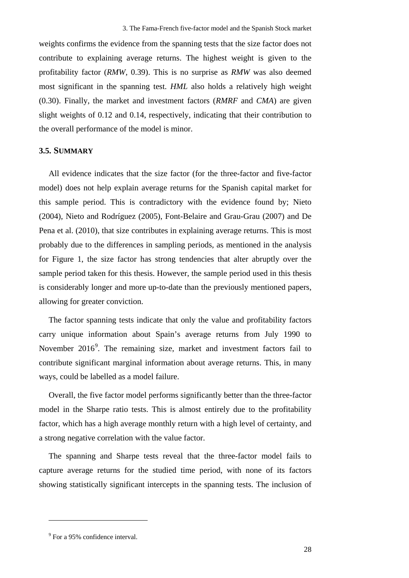weights confirms the evidence from the spanning tests that the size factor does not contribute to explaining average returns. The highest weight is given to the profitability factor (*RMW*, 0.39). This is no surprise as *RMW* was also deemed most significant in the spanning test. *HML* also holds a relatively high weight (0.30). Finally, the market and investment factors (*RMRF* and *CMA*) are given slight weights of 0.12 and 0.14, respectively, indicating that their contribution to the overall performance of the model is minor.

#### <span id="page-35-0"></span>**3.5. SUMMARY**

All evidence indicates that the size factor (for the three-factor and five-factor model) does not help explain average returns for the Spanish capital market for this sample period. This is contradictory with the evidence found by; Nieto (2004), Nieto and Rodríguez (2005), Font-Belaire and Grau-Grau (2007) and De Pena et al. (2010), that size contributes in explaining average returns. This is most probably due to the differences in sampling periods, as mentioned in the analysis for [Figure 1,](#page-27-1) the size factor has strong tendencies that alter abruptly over the sample period taken for this thesis. However, the sample period used in this thesis is considerably longer and more up-to-date than the previously mentioned papers, allowing for greater conviction.

The factor spanning tests indicate that only the value and profitability factors carry unique information about Spain's average returns from July 1990 to November 2016<sup>[9](#page-35-1)</sup>. The remaining size, market and investment factors fail to contribute significant marginal information about average returns. This, in many ways, could be labelled as a model failure.

Overall, the five factor model performs significantly better than the three-factor model in the Sharpe ratio tests. This is almost entirely due to the profitability factor, which has a high average monthly return with a high level of certainty, and a strong negative correlation with the value factor.

The spanning and Sharpe tests reveal that the three-factor model fails to capture average returns for the studied time period, with none of its factors showing statistically significant intercepts in the spanning tests. The inclusion of

<u>.</u>

<span id="page-35-1"></span><sup>&</sup>lt;sup>9</sup> For a 95% confidence interval.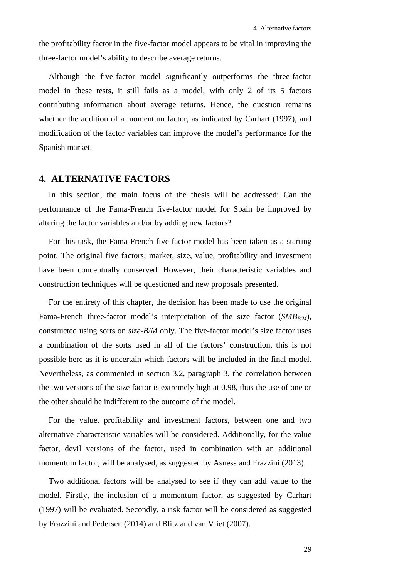the profitability factor in the five-factor model appears to be vital in improving the three-factor model's ability to describe average returns.

Although the five-factor model significantly outperforms the three-factor model in these tests, it still fails as a model, with only 2 of its 5 factors contributing information about average returns. Hence, the question remains whether the addition of a momentum factor, as indicated by Carhart (1997), and modification of the factor variables can improve the model's performance for the Spanish market.

# **4. ALTERNATIVE FACTORS**

In this section, the main focus of the thesis will be addressed: Can the performance of the Fama-French five-factor model for Spain be improved by altering the factor variables and/or by adding new factors?

For this task, the Fama-French five-factor model has been taken as a starting point. The original five factors; market, size, value, profitability and investment have been conceptually conserved. However, their characteristic variables and construction techniques will be questioned and new proposals presented.

For the entirety of this chapter, the decision has been made to use the original Fama-French three-factor model's interpretation of the size factor  $(SMB_{B/M})$ , constructed using sorts on *size-B/M* only. The five-factor model's size factor uses a combination of the sorts used in all of the factors' construction, this is not possible here as it is uncertain which factors will be included in the final model. Nevertheless, as commented in section [3.2,](#page-27-0) paragraph 3, the correlation between the two versions of the size factor is extremely high at 0.98, thus the use of one or the other should be indifferent to the outcome of the model.

For the value, profitability and investment factors, between one and two alternative characteristic variables will be considered. Additionally, for the value factor, devil versions of the factor, used in combination with an additional momentum factor, will be analysed, as suggested by Asness and Frazzini (2013).

Two additional factors will be analysed to see if they can add value to the model. Firstly, the inclusion of a momentum factor, as suggested by Carhart (1997) will be evaluated. Secondly, a risk factor will be considered as suggested by Frazzini and Pedersen (2014) and Blitz and van Vliet (2007).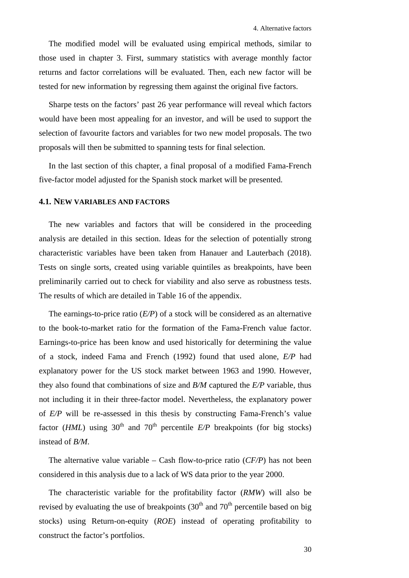The modified model will be evaluated using empirical methods, similar to those used in chapter 3. First, summary statistics with average monthly factor returns and factor correlations will be evaluated. Then, each new factor will be tested for new information by regressing them against the original five factors.

Sharpe tests on the factors' past 26 year performance will reveal which factors would have been most appealing for an investor, and will be used to support the selection of favourite factors and variables for two new model proposals. The two proposals will then be submitted to spanning tests for final selection.

In the last section of this chapter, a final proposal of a modified Fama-French five-factor model adjusted for the Spanish stock market will be presented.

# **4.1. NEW VARIABLES AND FACTORS**

The new variables and factors that will be considered in the proceeding analysis are detailed in this section. Ideas for the selection of potentially strong characteristic variables have been taken from Hanauer and Lauterbach (2018). Tests on single sorts, created using variable quintiles as breakpoints, have been preliminarily carried out to check for viability and also serve as robustness tests. The results of which are detailed in [Table 16](#page-67-0) of the appendix.

The earnings-to-price ratio (*E/P*) of a stock will be considered as an alternative to the book-to-market ratio for the formation of the Fama-French value factor. Earnings-to-price has been know and used historically for determining the value of a stock, indeed Fama and French (1992) found that used alone, *E/P* had explanatory power for the US stock market between 1963 and 1990. However, they also found that combinations of size and *B/M* captured the *E/P* variable, thus not including it in their three-factor model. Nevertheless, the explanatory power of *E/P* will be re-assessed in this thesis by constructing Fama-French's value factor (*HML*) using 30<sup>th</sup> and 70<sup>th</sup> percentile  $E/P$  breakpoints (for big stocks) instead of *B/M*.

The alternative value variable – Cash flow-to-price ratio (*CF/P*) has not been considered in this analysis due to a lack of WS data prior to the year 2000.

The characteristic variable for the profitability factor (*RMW*) will also be revised by evaluating the use of breakpoints  $(30<sup>th</sup>$  and  $70<sup>th</sup>$  percentile based on big stocks) using Return-on-equity (*ROE*) instead of operating profitability to construct the factor's portfolios.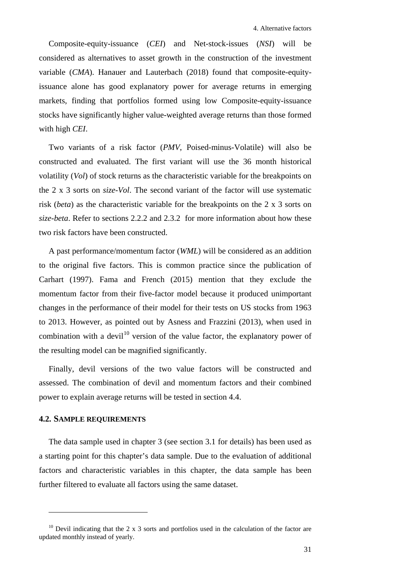Composite-equity-issuance (*CEI*) and Net-stock-issues (*NSI*) will be considered as alternatives to asset growth in the construction of the investment variable (*CMA*). Hanauer and Lauterbach (2018) found that composite-equityissuance alone has good explanatory power for average returns in emerging markets, finding that portfolios formed using low Composite-equity-issuance stocks have significantly higher value-weighted average returns than those formed with high *CEI*.

Two variants of a risk factor (*PMV*, Poised-minus-Volatile) will also be constructed and evaluated. The first variant will use the 36 month historical volatility (*Vol*) of stock returns as the characteristic variable for the breakpoints on the 2 x 3 sorts on *size-Vol*. The second variant of the factor will use systematic risk (*beta*) as the characteristic variable for the breakpoints on the 2 x 3 sorts on *size-beta*. Refer to sections [2.2.2](#page-21-0) and [2.3.2](#page-24-0) for more information about how these two risk factors have been constructed.

A past performance/momentum factor (*WML*) will be considered as an addition to the original five factors. This is common practice since the publication of Carhart (1997). Fama and French (2015) mention that they exclude the momentum factor from their five-factor model because it produced unimportant changes in the performance of their model for their tests on US stocks from 1963 to 2013. However, as pointed out by Asness and Frazzini (2013), when used in combination with a devil<sup>[10](#page-38-0)</sup> version of the value factor, the explanatory power of the resulting model can be magnified significantly.

Finally, devil versions of the two value factors will be constructed and assessed. The combination of devil and momentum factors and their combined power to explain average returns will be tested in section [4.4.](#page-46-0)

# <span id="page-38-1"></span>**4.2. SAMPLE REQUIREMENTS**

<u>.</u>

The data sample used in chapter 3 (see section [3.1](#page-26-0) for details) has been used as a starting point for this chapter's data sample. Due to the evaluation of additional factors and characteristic variables in this chapter, the data sample has been further filtered to evaluate all factors using the same dataset.

<span id="page-38-0"></span><sup>&</sup>lt;sup>10</sup> Devil indicating that the 2 x 3 sorts and portfolios used in the calculation of the factor are updated monthly instead of yearly.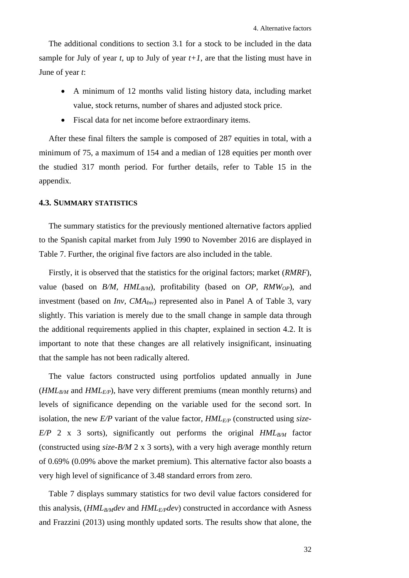The additional conditions to section [3.1](#page-26-0) for a stock to be included in the data sample for July of year *t*, up to July of year  $t+1$ , are that the listing must have in June of year *t*:

- A minimum of 12 months valid listing history data, including market value, stock returns, number of shares and adjusted stock price.
- Fiscal data for net income before extraordinary items.

After these final filters the sample is composed of 287 equities in total, with a minimum of 75, a maximum of 154 and a median of 128 equities per month over the studied 317 month period. For further details, refer to [Table 15](#page-67-1) in the appendix.

# **4.3. SUMMARY STATISTICS**

The summary statistics for the previously mentioned alternative factors applied to the Spanish capital market from July 1990 to November 2016 are displayed in [Table 7.](#page-42-0) Further, the original five factors are also included in the table.

Firstly, it is observed that the statistics for the original factors; market (*RMRF*), value (based on  $B/M$ ,  $HML_{B/M}$ ), profitability (based on  $OP$ ,  $RMW_{OP}$ ), and investment (based on *Inv*, *CMA<sub>Inv</sub>*) represented also in Panel A of [Table 3,](#page-29-0) vary slightly. This variation is merely due to the small change in sample data through the additional requirements applied in this chapter, explained in section [4.2.](#page-38-1) It is important to note that these changes are all relatively insignificant, insinuating that the sample has not been radically altered.

The value factors constructed using portfolios updated annually in June  $(HML_{B/M}$  and  $HML_{E/P}$ , have very different premiums (mean monthly returns) and levels of significance depending on the variable used for the second sort. In isolation, the new *E/P* variant of the value factor,  $HML_{E/P}$  (constructed using *size*- $E/P$  2 x 3 sorts), significantly out performs the original  $HML_{B/M}$  factor (constructed using *size-B/M* 2 x 3 sorts), with a very high average monthly return of 0.69% (0.09% above the market premium). This alternative factor also boasts a very high level of significance of 3.48 standard errors from zero.

[Table 7](#page-42-0) displays summary statistics for two devil value factors considered for this analysis, (*HML<sub>B/M</sub>dev* and *HML<sub>E/P</sub>dev*) constructed in accordance with Asness and Frazzini (2013) using monthly updated sorts. The results show that alone, the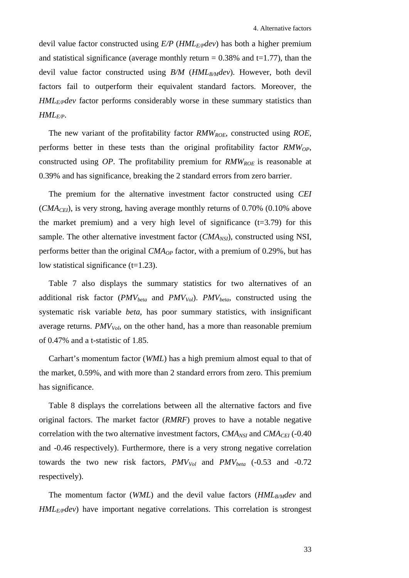devil value factor constructed using *E/P* (*HMLE/Pdev*) has both a higher premium and statistical significance (average monthly return  $= 0.38\%$  and t $= 1.77$ ), than the devil value factor constructed using *B/M* (*HML<sub>B/M</sub>dev*). However, both devil factors fail to outperform their equivalent standard factors. Moreover, the *HMLE/Pdev* factor performs considerably worse in these summary statistics than *HMLE/P*.

The new variant of the profitability factor *RMWROE*, constructed using *ROE*, performs better in these tests than the original profitability factor *RMW<sub>OP</sub>*, constructed using *OP*. The profitability premium for *RMW<sub>ROE</sub>* is reasonable at 0.39% and has significance, breaking the 2 standard errors from zero barrier.

The premium for the alternative investment factor constructed using *CEI*  $(CMA<sub>CFI</sub>)$ , is very strong, having average monthly returns of 0.70% (0.10% above the market premium) and a very high level of significance  $(t=3.79)$  for this sample. The other alternative investment factor (*CMA<sub>NSI</sub>*), constructed using NSI, performs better than the original *CMAOP* factor, with a premium of 0.29%, but has low statistical significance  $(t=1.23)$ .

[Table 7](#page-42-0) also displays the summary statistics for two alternatives of an additional risk factor (*PMV<sub>beta</sub>* and *PMV<sub>Vol</sub>*). *PMV<sub>beta</sub>*, constructed using the systematic risk variable *beta*, has poor summary statistics, with insignificant average returns.  $PMV_{Vol}$ , on the other hand, has a more than reasonable premium of 0.47% and a t-statistic of 1.85.

Carhart's momentum factor (*WML*) has a high premium almost equal to that of the market, 0.59%, and with more than 2 standard errors from zero. This premium has significance.

[Table](#page-43-0) 8 displays the correlations between all the alternative factors and five original factors. The market factor (*RMRF*) proves to have a notable negative correlation with the two alternative investment factors,  $CMA_{NSI}$  and  $CMA_{CEI}$  (-0.40) and -0.46 respectively). Furthermore, there is a very strong negative correlation towards the two new risk factors,  $PMV_{Vol}$  and  $PMV_{beta}$  (-0.53 and -0.72) respectively).

The momentum factor (*WML*) and the devil value factors (*HML<sub>B/M</sub>dev* and *HML<sub>E/P</sub>dev*) have important negative correlations. This correlation is strongest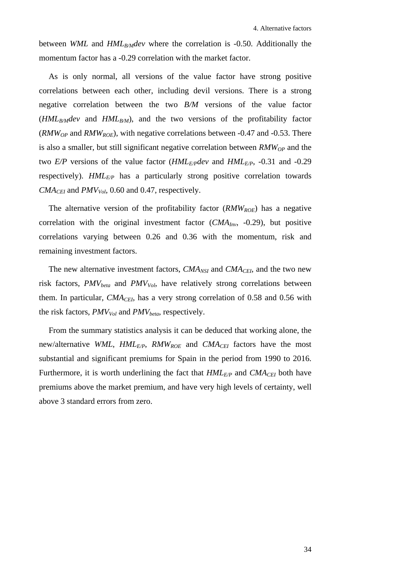between *WML* and *HML<sub>B/M</sub>dev* where the correlation is -0.50. Additionally the momentum factor has a -0.29 correlation with the market factor.

As is only normal, all versions of the value factor have strong positive correlations between each other, including devil versions. There is a strong negative correlation between the two *B/M* versions of the value factor  $(HML_{B/M}dev$  and  $HML_{B/M}$ , and the two versions of the profitability factor (*RMWOP* and *RMWROE*), with negative correlations between -0.47 and -0.53. There is also a smaller, but still significant negative correlation between *RMW<sub>OP</sub>* and the two  $E/P$  versions of the value factor ( $HML_{E/P}$ dev and  $HML_{E/P}$ , -0.31 and -0.29 respectively). *HML<sub>E/P</sub>* has a particularly strong positive correlation towards  $CMA<sub>CFI</sub>$  and  $PMV<sub>Vol</sub>$ , 0.60 and 0.47, respectively.

The alternative version of the profitability factor (*RMW<sub>ROE</sub>*) has a negative correlation with the original investment factor (*CMAInv*, -0.29), but positive correlations varying between 0.26 and 0.36 with the momentum, risk and remaining investment factors.

The new alternative investment factors, *CMA<sub>NSI</sub>* and *CMA<sub>CEI</sub>*, and the two new risk factors, *PMV*<sub>beta</sub> and *PMV<sub>Vol</sub>*, have relatively strong correlations between them. In particular,  $CMA<sub>CEI</sub>$ , has a very strong correlation of 0.58 and 0.56 with the risk factors,  $PMV_{Vol}$  and  $PMV_{beta}$ , respectively.

From the summary statistics analysis it can be deduced that working alone, the new/alternative *WML*, *HMLE/P*, *RMWROE* and *CMACEI* factors have the most substantial and significant premiums for Spain in the period from 1990 to 2016. Furthermore, it is worth underlining the fact that  $HML_{E/P}$  and  $CMA_{CEI}$  both have premiums above the market premium, and have very high levels of certainty, well above 3 standard errors from zero.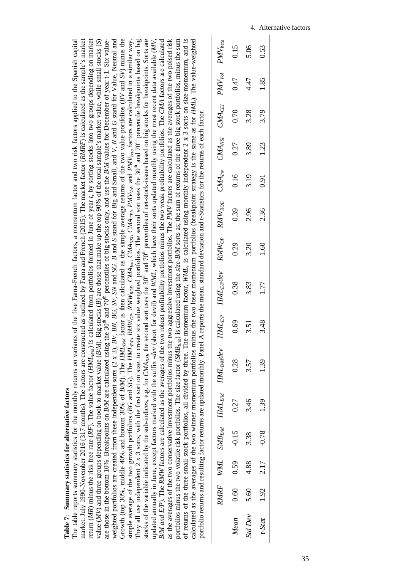<span id="page-42-0"></span>

| Ì<br>i             |
|--------------------|
|                    |
| í<br>ì<br>ļ        |
| $\overline{\zeta}$ |
| ı<br>ì             |

The table reports summary statistics for the monthly returns on variants of the five Fama-French factors, a momentum factor and two risk factors applied to the Spanish capital market: July 1990-November 2016 (317 months). The factors are constructed as outlined by Fama and French (2015). The market factor (*RMRF*) is calculated as the sample's market return (*MR*) minus the risk free rate (*RF*). The value factor (*HML<sub>B/M</sub>*) is calculated from portfolios formed in June of year *t*, by sorting stocks into two groups depending on market value (*MV*) and three groups depending on book-to-market value (*B/M*). Big stocks (*B*) are those that make up the top 90% of the total sample's market value, while small stocks (*S*) weighted portfolios are created from these independent sorts (2 x 3), *BV, BN, BG, SV, SN* and *SG*. *B* and *S* stand for Big and Small, and *V*, *N* and *G* stand for Value, Neutral and Growth (top 30%, middle 40% and bottom 30% of *B/M*). The *HMLB/M* factor is then calculated as the simple average returns of the two value portfolios (*BV* and *SV*) minus the simple average of the two growth portfolios (BG and SG). The HML<sub>E/P</sub>, RMW<sub>0</sub>, RMW<sub>0/P</sub>, RMW<sub>0/B</sub>, CMA<sub>n/b</sub>, CMA<sub>NSb</sub>, CMA<sub>CE/b</sub>, PMV<sub>v0b</sub>, and PMV<sub>beta</sub> factors are calculated in a similar way. They all use independent 2 x 3 sorts, with the first sort on size, to create six value weighted portfolios. The second sort uses the 30<sup>th</sup> and 70<sup>th</sup> percentile breakpoints based on big stocks of the variable indicated by the sub-indices, e.g. for *CMA<sub>NSI</sub>*, the second sort uses the 30<sup>th</sup> and 70<sup>th</sup> percentiles of net-stock-issues based on big stocks for breakpoints. Sorts are updated annually in June, except factors marked with the suffix -*dev* (short for devil) and *WML,* which have their sorts updated monthly using the most recent data available (*MV, B/M and E/P*). The *RMW* factors are calculated as the averages of the two robust profitability portfolios minus the two weak profitability portfolios. The *CMA* factors are calculated portfolios minus the two volatile risk portfolios. The size factor (*SMBB/M*) is calculated using the *size-B/M* sorts as; the sum of returns of the three big stock portfolios, minus the sum of returns of the three small stock portfolios, all divided by three. The momentum factor, *WML*, is calculated using monthly independent 2 x 3 sorts on size-momentum, and is calculated as the averages of the two winner momentum portfolios minus the two loser momentum portfolios (breakpoint strategy is the same as for *HML*). The value-weighted The table reports summary statistics for the monthly returns on variants of the five Fama-French factors, a momentum factor and two risk factors applied to the Spanish capital market: July 1990-November 2016 (317 months). The factors are constructed as outlined by Fama and French (2015). The market factor (RMRF) is calculated as the sample's market return (MR) minus the risk free rate (RF). The value factor (HML<sub>BM</sub>) is calculated from portfolios formed in June of year t, by sorting stocks into two groups depending on market value (MV) and three groups depending on book-to-market value (B/M). Big stocks (B) are those that make up the top 90% of the total sample's market value, while small stocks (S) are those in the bottom 10%. Breakpoints on *BM* are calculated using the 30<sup>th</sup> and 70<sup>th</sup> percentiles of big stocks only, and use the *BM* values for December of year t-1. Six valueweighted portfolios are created from these independent sorts  $(2 \times 3)$ , BV, BV, BG, SV, SN and SG. B and S stand for Big and Small, and V, N and G stand for Value, Neutral and Growth (top 30%, middle 40% and bottom 30% of *B/M)*. The *HML<sub>B/M</sub>* factor is then calculated as the simple average returns of the two value portfolios (*BV* and *SV*) minus the They all use independent 2 x 3 sorts, with the first sort on size, to create six value weighted portfolios. The second sort uses the 30<sup>th</sup> and 70<sup>th</sup> percentile breakpoints based on big stocks of the variable indicated by the sub-indices, e.g. for CMA<sub>NSb</sub>, the second sort uses the 30<sup>th</sup> and 70<sup>th</sup> percentiles of net-stock-issues based on big stocks for breakpoints. Sorts are B/M and E/P). The RMW factors are calculated as the averages of the two robust profitability portfolios weak profitability portfolios. The CMA factors are calculated as the averages of the two conservative investment portfolios minus the two aggressive investment portfolios. The PMV factors are calculated as the averages of the two poised risk as the averages of the two conservative investment portfolios minus the two aggressive investment portfolios. The *PMV* factors are calculated as the averages of the two poised risk portfolios minus the two volatile risk portfolios. The size factor (SMB<sub>BM</sub>) is calculated using the size-BM sorts as; the sum of returns of the three big stock portfolios, minus the sum of returns of the three small stock portfolios, all divided by three. The momentum factor, *WML*, is calculated using monthly independent  $2 \times 3$  sorts on size-momentum, and is are those in the bottom 10%. Breakpoints on *B/M* are calculated using the 30<sup>th</sup> percentiles of big stocks only, and use the *B/M* values for December of year t-1. Six valuecalculated as the averages of the two winner momentum portfolios minus the two loser momentum portfolios (breakpoint strategy is the same as for HML). The value-weighted simple average of the two growth portfolios (BG and SG). The HML<sub>EP</sub>, RMW<sub>op</sub>, RMW<sub>ROE</sub>, CMA<sub>IN3</sub>, CMA<sub>IN3</sub>, CMA<sub>CEI</sub>, PMV<sub>iol</sub>, and PMV<sub>ious</sub> factors are calculated in a similar way. updated annually in June, except factors marked with the suffix -dev (short for devil) and WML, which have their sorts updated monthly using the most recent data available (MV, portfolio returns and resulting factor returns are updated monthly. Panel A reports the mean, standard deviation and t-Statistics for the returns of each factor.

|                                                                                                                                                                   |                                                                                                                                           | 0.15                  | 5.06      | 0.53                     |
|-------------------------------------------------------------------------------------------------------------------------------------------------------------------|-------------------------------------------------------------------------------------------------------------------------------------------|-----------------------|-----------|--------------------------|
|                                                                                                                                                                   |                                                                                                                                           | 0.47                  | 4.47      | 1.85                     |
|                                                                                                                                                                   |                                                                                                                                           | 0.70                  | 3.28      | 3.79                     |
|                                                                                                                                                                   |                                                                                                                                           | 0.27                  | 3.89      | 1.23                     |
|                                                                                                                                                                   |                                                                                                                                           | 0.16                  | 3.19      | 0.91                     |
|                                                                                                                                                                   |                                                                                                                                           | 0.39                  | 2.96      | 2.36                     |
|                                                                                                                                                                   |                                                                                                                                           | 0.29                  | 3.20      | 1.60                     |
|                                                                                                                                                                   | $HML_{E\mathcal{P}}$ $HML_{E\mathcal{P}}dev$ $RMW_{\mathcal{O}P}$ $RMW_{ROE}$ $CMA_{inv}$ $CMA_{NS1}$ $CMA_{CE1}$ $PMV_{vol}$ $PMV_{rel}$ | 0.38                  | 3.83      | 1.77                     |
|                                                                                                                                                                   |                                                                                                                                           | 0.69                  | 3.51      | 3.48                     |
| portfolio returns and resulting factor returns are updated monthly. Panel A reports the mean, standard deviation and t-Statistics for the returns of each factor. | $RMRF$ WML SM $B_{BM}$ HM $L_{BM}$ HM $L_{BMd}$ ev                                                                                        | 0.28                  | 3.57      | 1.39                     |
|                                                                                                                                                                   |                                                                                                                                           | 0.27                  | 3.46      | 1.39                     |
|                                                                                                                                                                   |                                                                                                                                           |                       | 3.38      |                          |
|                                                                                                                                                                   |                                                                                                                                           | $0.60$ $0.59$ $-0.15$ |           |                          |
|                                                                                                                                                                   |                                                                                                                                           |                       | 5.60 4.88 | $t-Stat$ 1.92 2.17 -0.78 |
|                                                                                                                                                                   |                                                                                                                                           | Mean                  | StdDev    |                          |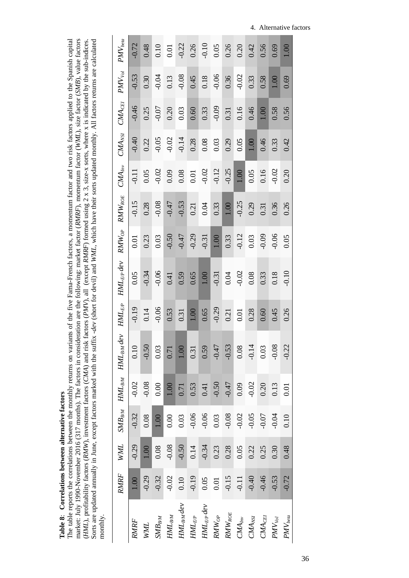<span id="page-43-0"></span>

| į      |
|--------|
| i      |
| ļ      |
| ζ<br>¢ |

The table reports the correlations between the monthly returns on variants of the five Fama-French factors, a momentum factor and two risk factors applied to the Spanish capital The table reports the correlations between the monthly returns on variants of the five Fama-French factors, a momentum factor and two risk factors applied to the Spanish capital market: July 1990-November 2016 (317 months). The factors in consideration are the following: market factor (RMRF), momentum factor (WML), size factor (SMB), value factors (HML), profitability factors (RMW), investment fac market: July 1990-November 2016 (317 months). The factors in consideration are the following: market factor (*RMRF*), momentum factor (*WML*), size factor (*SMB*), value factors (*HML*), profitability factors (*RMW*), investment factors (*CMA*) and risk factors (*PMV*), all (except *RMRF*) formed using 2 x 3, size-x sorts, where x is indicated by the sub-indices. Sorts are updated annually in June, except factors marked with the suffix -*dev* (short for devil) and *WML,* which have their sorts updated monthly. All factors returns are calculated monthly.

| $PMV_{beta}$                     | $-0.72$     | 0.48        | 0.10                | 0.01                | $-0.22$         | 0.26       | $-0.10$         | 0.05       | 0.26        | 0.20                  | 0.42        | 0.56                  | 0.69        | 1.00         |
|----------------------------------|-------------|-------------|---------------------|---------------------|-----------------|------------|-----------------|------------|-------------|-----------------------|-------------|-----------------------|-------------|--------------|
| $PMN_{Vol}$                      | $-0.53$     | 0.30        | $-0.04$             | 0.13                | $-0.08$         | 0.45       | 0.18            | $-0.06$    | 0.36        | $-0.02$               | 0.33        | 0.58                  | 1.00        | 0.69         |
| $\mathit{CMA}_\mathit{CEI}$      | $-0.46$     | 0.25        | $-0.07$             | 0.20                | 0.03            | 0.60       | 0.33            | $-0.09$    | 0.31        | 0.16                  | 0.46        | 1.00                  | 0.58        | 0.56         |
| $CMA_{NSI}$                      | $-0.40$     | 0.22        | $-0.05$             | $-0.02$             | $-0.14$         | 0.28       | 0.08            | 0.03       | 0.29        | 0.05                  | 1.00        | 0.46                  | 0.33        | 0.42         |
| $CMA_{Inv}$                      | $-0.11$     | 0.05        | $-0.02$             | 0.09                | 0.08            | $0.01\,$   | $-0.02$         | $-0.12$    | $-0.25$     | 1.00                  | 0.05        | 0.16                  | 0.02        | 0.20         |
| $RMW_{ROE}$                      | $-0.15$     | 0.28        | 0.08                | $-0.47$             | $-0.53$         | 0.21       | 0.04            | 0.33       | 1.00        | $-0.25$               | 0.29        | 0.31                  | 0.36        | 0.26         |
| $RMW_{OP}$                       | 0.01        | 0.23        | 0.03                | $-0.50$             | $-0.47$         | $-0.29$    | $-0.31$         | 1.00       | 0.33        | $-0.12$               | 0.03        | $-0.09$               | $-0.06$     | 0.05         |
| $HML_{E/P} dev$                  | 0.05        | $-0.34$     | 0.06                | 0.41                | 0.59            | 0.65       | $1.00\,$        | $-0.31$    | 0.04        | $-0.02$               | 0.08        | 0.33                  | 0.18        | $-0.10$      |
| $HML_{E/P}$                      | $-0.19$     | 0.14        | $-0.06$             | 0.53                | 0.31            | $1.00\,$   | 0.65            | $-0.29$    | 0.21        | 0.01                  | 0.28        | 0.60                  | 0.45        | 0.26         |
| $HML_{BM}$ $HML_{BM}$ dev        | 0.10        | $-0.50$     | 0.03                | 0.71                | 1.00            | 0.31       | 0.59            | $-0.47$    | $-0.53$     | 0.08                  | $-0.14$     | 0.03                  | $-0.08$     | $-0.22$      |
|                                  | $-0.02$     | $-0.08$     | 0.00                | 1.00                | 0.71            | 0.53       | 0.41            | $-0.50$    | $-0.47$     | 0.09                  | $-0.02$     | 0.20                  | 0.13        | 0.01         |
| $\ensuremath{\mathit{SMB}}_{BM}$ | $-0.32$     | 0.08        | 1.00                | 0.00                | 0.03            | $-0.06$    | $-0.06$         | 0.03       | $-0.08$     | $-0.02$               | 0.05        | 0.07                  | 0.04        | 0.10         |
| <b>WWL</b>                       | $-0.29$     | 1.00        | 0.08                | $-0.08$             | $-0.50$         | 0.14       | $-0.34$         | 0.23       | 0.28        | 0.05                  | 0.22        | 0.25                  | 0.30        | 0.48         |
| RMRF                             | 1.00        | $-0.29$     | $-0.32$             | $-0.02$             | 0.10            | $-0.19$    | 0.05            | 0.01       | $-0.15$     | $-0.11$               | $-0.40$     | $-0.46$               | $-0.53$     | $-0.72$      |
|                                  | <b>RMRF</b> | <b>NNIL</b> | $\mathit{SMB}_{BM}$ | $\mathit{HML}_{BM}$ | $HML_{B/M} dev$ | $HML_{EP}$ | $HML_{E/P} dev$ | $RMW_{OP}$ | $RMW_{ROE}$ | $\mathcal{CMA}_{Inv}$ | $CMA_{NSI}$ | $\mathcal{CMA}_{CEl}$ | $PMV_{Vol}$ | $PMV_{beta}$ |

4. Alternative factors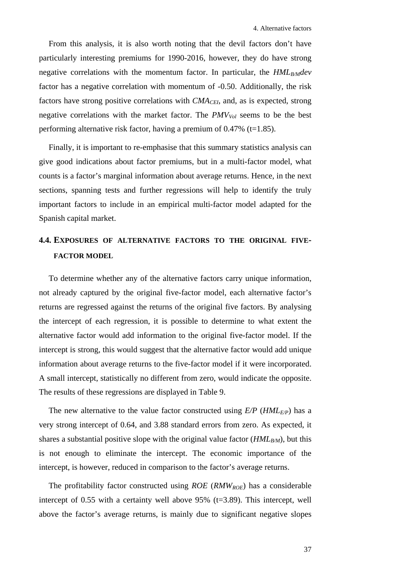From this analysis, it is also worth noting that the devil factors don't have particularly interesting premiums for 1990-2016, however, they do have strong negative correlations with the momentum factor. In particular, the *HML<sub>B/M</sub>dev* factor has a negative correlation with momentum of -0.50. Additionally, the risk factors have strong positive correlations with *CMA<sub>CEI*</sub>, and, as is expected, strong negative correlations with the market factor. The  $PMV_{Vol}$  seems to be the best performing alternative risk factor, having a premium of  $0.47\%$  (t=1.85).

Finally, it is important to re-emphasise that this summary statistics analysis can give good indications about factor premiums, but in a multi-factor model, what counts is a factor's marginal information about average returns. Hence, in the next sections, spanning tests and further regressions will help to identify the truly important factors to include in an empirical multi-factor model adapted for the Spanish capital market.

# **4.4. EXPOSURES OF ALTERNATIVE FACTORS TO THE ORIGINAL FIVE-FACTOR MODEL**

To determine whether any of the alternative factors carry unique information, not already captured by the original five-factor model, each alternative factor's returns are regressed against the returns of the original five factors. By analysing the intercept of each regression, it is possible to determine to what extent the alternative factor would add information to the original five-factor model. If the intercept is strong, this would suggest that the alternative factor would add unique information about average returns to the five-factor model if it were incorporated. A small intercept, statistically no different from zero, would indicate the opposite. The results of these regressions are displayed in [Table 9.](#page-46-1)

The new alternative to the value factor constructed using  $E/P$  ( $HML_{E/P}$ ) has a very strong intercept of 0.64, and 3.88 standard errors from zero. As expected, it shares a substantial positive slope with the original value factor  $(HML_{B/M})$ , but this is not enough to eliminate the intercept. The economic importance of the intercept, is however, reduced in comparison to the factor's average returns.

The profitability factor constructed using *ROE* (*RMWROE*) has a considerable intercept of  $0.55$  with a certainty well above  $95\%$  (t=3.89). This intercept, well above the factor's average returns, is mainly due to significant negative slopes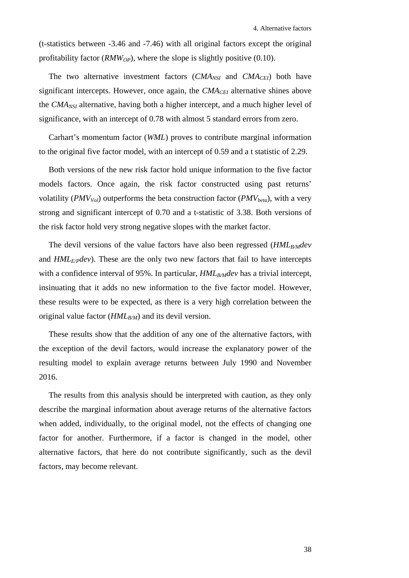(t-statistics between -3.46 and -7.46) with all original factors except the original profitability factor ( $RMW_{OP}$ ), where the slope is slightly positive (0.10).

The two alternative investment factors  $(CMA_{NSI}$  and  $CMA_{CEI}$ ) both have significant intercepts. However, once again, the *CMA<sub>CEI</sub>* alternative shines above the *CMANSI* alternative, having both a higher intercept, and a much higher level of significance, with an intercept of 0.78 with almost 5 standard errors from zero.

Carhart's momentum factor (*WML*) proves to contribute marginal information to the original five factor model, with an intercept of 0.59 and a t statistic of 2.29.

Both versions of the new risk factor hold unique information to the five factor models factors. Once again, the risk factor constructed using past returns' volatility ( $PMV_{Vol}$ ) outperforms the beta construction factor ( $PMV_{beta}$ ), with a very strong and significant intercept of 0.70 and a t-statistic of 3.38. Both versions of the risk factor hold very strong negative slopes with the market factor.

The devil versions of the value factors have also been regressed (*HML<sub>B/M</sub>dev* and *HMLE/Pdev*). These are the only two new factors that fail to have intercepts with a confidence interval of 95%. In particular, *HML<sub>B/M</sub>dev* has a trivial intercept, insinuating that it adds no new information to the five factor model. However, these results were to be expected, as there is a very high correlation between the original value factor (*HML<sub>B/M</sub>*) and its devil version.

These results show that the addition of any one of the alternative factors, with the exception of the devil factors, would increase the explanatory power of the resulting model to explain average returns between July 1990 and November 2016.

The results from this analysis should be interpreted with caution, as they only describe the marginal information about average returns of the alternative factors when added, individually, to the original model, not the effects of changing one factor for another. Furthermore, if a factor is changed in the model, other alternative factors, that here do not contribute significantly, such as the devil factors, may become relevant.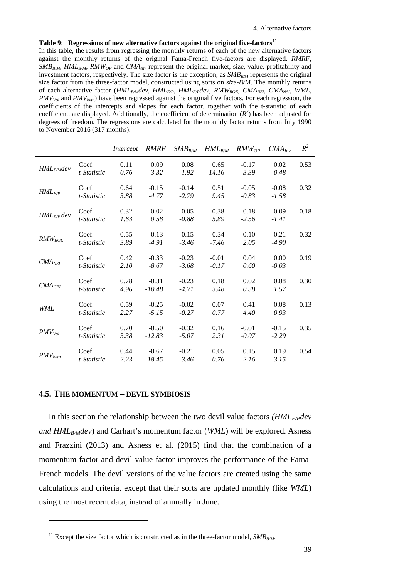## <span id="page-46-1"></span>**Table 9**: **Regressions of new alternative factors against the original five-factors[11](#page-46-2)**

In this table, the results from regressing the monthly returns of each of the new alternative factors against the monthly returns of the original Fama-French five-factors are displayed. *RMRF*, *SMB<sub>B/M</sub>*, *HML<sub>B/M</sub>*, *RMW<sub>OP</sub>* and *CMA<sub>Inv</sub>* represent the original market, size, value, profitability and investment factors, respectively. The size factor is the exception, as  $SMB_{RM}$  represents the original size factor from the three-factor model, constructed using sorts on *size-B/M*. The monthly returns of each alternative factor (*HMLB/Mdev, HMLE/P*, *HMLE/Pdev*, *RMWROE*, *CMANSI*, *CMANSI*, *WML*, *PMVVol* and *PMVbeta*) have been regressed against the original five factors. For each regression, the coefficients of the intercepts and slopes for each factor, together with the t-statistic of each coefficient, are displayed. Additionally, the coefficient of determination  $(R^2)$  has been adjusted for degrees of freedom. The regressions are calculated for the monthly factor returns from July 1990 to November 2016 (317 months).

|                    |                      | Intercept    | <i>RMRF</i>         | $SMB_{B/M}$        | $HML_{B/M}$        | $RMW_{OP}$         | $CMA_{Inv}$        | $R^2$ |
|--------------------|----------------------|--------------|---------------------|--------------------|--------------------|--------------------|--------------------|-------|
| $HML_{B/M}$ dev    | Coef.<br>t-Statistic | 0.11<br>0.76 | 0.09<br>3.32        | 0.08<br>1.92       | 0.65<br>14.16      | $-0.17$<br>$-3.39$ | 0.02<br>0.48       | 0.53  |
| $HML_{E/P}$        | Coef.<br>t-Statistic | 0.64<br>3.88 | $-0.15$<br>$-4.77$  | $-0.14$<br>$-2.79$ | 0.51<br>9.45       | $-0.05$<br>$-0.83$ | $-0.08$<br>$-1.58$ | 0.32  |
| $HML_{E/P}$ dev    | Coef.<br>t-Statistic | 0.32<br>1.63 | 0.02<br>0.58        | $-0.05$<br>$-0.88$ | 0.38<br>5.89       | $-0.18$<br>$-2.56$ | $-0.09$<br>$-1.41$ | 0.18  |
| $RMW_{ROE}$        | Coef.<br>t-Statistic | 0.55<br>3.89 | $-0.13$<br>$-4.91$  | $-0.15$<br>$-3.46$ | $-0.34$<br>$-7.46$ | 0.10<br>2.05       | $-0.21$<br>$-4.90$ | 0.32  |
| $CMA_{NSI}$        | Coef.<br>t-Statistic | 0.42<br>2.10 | $-0.33$<br>$-8.67$  | $-0.23$<br>$-3.68$ | $-0.01$<br>$-0.17$ | 0.04<br>0.60       | 0.00<br>$-0.03$    | 0.19  |
| CMA <sub>CEI</sub> | Coef.<br>t-Statistic | 0.78<br>4.96 | $-0.31$<br>$-10.48$ | $-0.23$<br>$-4.71$ | 0.18<br>3.48       | 0.02<br>0.38       | 0.08<br>1.57       | 0.30  |
| <b>WML</b>         | Coef.<br>t-Statistic | 0.59<br>2.27 | $-0.25$<br>$-5.15$  | $-0.02$<br>$-0.27$ | 0.07<br>0.77       | 0.41<br>4.40       | 0.08<br>0.93       | 0.13  |
| $PMV_{Vol}$        | Coef.<br>t-Statistic | 0.70<br>3.38 | $-0.50$<br>$-12.83$ | $-0.32$<br>$-5.07$ | 0.16<br>2.31       | $-0.01$<br>$-0.07$ | $-0.15$<br>$-2.29$ | 0.35  |
| $PMV_{beta}$       | Coef.<br>t-Statistic | 0.44<br>2.23 | $-0.67$<br>$-18.45$ | $-0.21$<br>$-3.46$ | 0.05<br>0.76       | 0.15<br>2.16       | 0.19<br>3.15       | 0.54  |

#### <span id="page-46-3"></span><span id="page-46-0"></span>**4.5. THE MOMENTUM – DEVIL SYMBIOSIS**

<u>.</u>

In this section the relationship between the two devil value factors *(HML<sub>E/P</sub>dev*) *and HML<sub>B/M</sub>dev*) and Carhart's momentum factor (*WML*) will be explored. Asness and Frazzini (2013) and Asness et al. (2015) find that the combination of a momentum factor and devil value factor improves the performance of the Fama-French models. The devil versions of the value factors are created using the same calculations and criteria, except that their sorts are updated monthly (like *WML*) using the most recent data, instead of annually in June.

<span id="page-46-2"></span><sup>&</sup>lt;sup>11</sup> Except the size factor which is constructed as in the three-factor model,  $SMB_{BM}$ .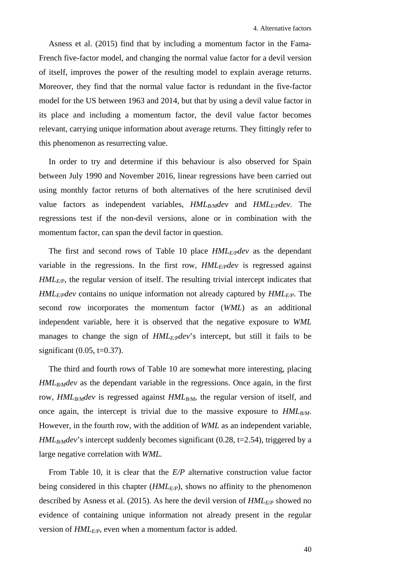Asness et al. (2015) find that by including a momentum factor in the Fama-French five-factor model, and changing the normal value factor for a devil version of itself, improves the power of the resulting model to explain average returns. Moreover, they find that the normal value factor is redundant in the five-factor model for the US between 1963 and 2014, but that by using a devil value factor in its place and including a momentum factor, the devil value factor becomes relevant, carrying unique information about average returns. They fittingly refer to this phenomenon as resurrecting value.

In order to try and determine if this behaviour is also observed for Spain between July 1990 and November 2016, linear regressions have been carried out using monthly factor returns of both alternatives of the here scrutinised devil value factors as independent variables,  $HML_{B/M}dev$  and  $HML_{E/P}dev$ . The regressions test if the non-devil versions, alone or in combination with the momentum factor, can span the devil factor in question.

The first and second rows of [Table 10](#page-48-0) place  $HML_{E/P}dev$  as the dependant variable in the regressions. In the first row, *HMLE/Pdev* is regressed against *HML<sub>E/P</sub>*, the regular version of itself. The resulting trivial intercept indicates that *HMLE/Pdev* contains no unique information not already captured by *HMLE/P*. The second row incorporates the momentum factor (*WML*) as an additional independent variable, here it is observed that the negative exposure to *WML* manages to change the sign of *HML<sub>E/P</sub>dev*'s intercept, but still it fails to be significant  $(0.05, t=0.37)$ .

The third and fourth rows of [Table 10](#page-48-0) are somewhat more interesting, placing *HML<sub>B/M</sub>dev* as the dependant variable in the regressions. Once again, in the first row, *HML<sub>B/M</sub>dev* is regressed against *HML<sub>B/M</sub>*, the regular version of itself, and once again, the intercept is trivial due to the massive exposure to  $HML_{B/M}$ . However, in the fourth row, with the addition of *WML* as an independent variable,  $HML_{B/M}$  intercept suddenly becomes significant (0.28, t=2.54), triggered by a large negative correlation with *WML.*

From [Table 10,](#page-48-0) it is clear that the *E/P* alternative construction value factor being considered in this chapter (*HML<sub>E/P</sub>*), shows no affinity to the phenomenon described by Asness et al. (2015). As here the devil version of  $HML_{E/P}$  showed no evidence of containing unique information not already present in the regular version of  $HML_{E/P}$ , even when a momentum factor is added.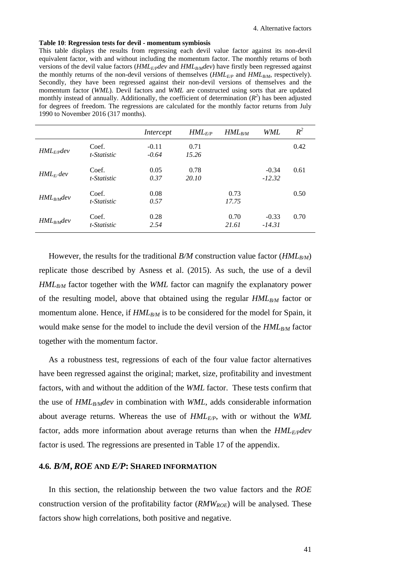#### <span id="page-48-0"></span>**Table 10**: **Regression tests for devil - momentum symbiosis**

This table displays the results from regressing each devil value factor against its non-devil equivalent factor, with and without including the momentum factor. The monthly returns of both versions of the devil value factors (*HML<sub>E/P</sub>dev* and *HML<sub>B/M</sub>dev*) have firstly been regressed against the monthly returns of the non-devil versions of themselves (*HML<sub>E/P</sub>* and *HML<sub>B/M</sub>*, respectively). Secondly, they have been regressed against their non-devil versions of themselves and the momentum factor (*WML*). Devil factors and *WML* are constructed using sorts that are updated monthly instead of annually. Additionally, the coefficient of determination  $(R^2)$  has been adjusted for degrees of freedom. The regressions are calculated for the monthly factor returns from July 1990 to November 2016 (317 months).

|                 |                      | Intercept          | $HML_{E/P}$   | $HML_{B/M}$   | WML                 | $R^2$ |
|-----------------|----------------------|--------------------|---------------|---------------|---------------------|-------|
| $HML_{E/P}$ dev | Coef.<br>t-Statistic | $-0.11$<br>$-0.64$ | 0.71<br>15.26 |               |                     | 0.42  |
| $HML_{F}/dev$   | Coef.<br>t-Statistic | 0.05<br>0.37       | 0.78<br>20.10 |               | $-0.34$<br>$-12.32$ | 0.61  |
| $HML_{B/M}$ dev | Coef.<br>t-Statistic | 0.08<br>0.57       |               | 0.73<br>17.75 |                     | 0.50  |
| $HML_{B/M}$ dev | Coef.<br>t-Statistic | 0.28<br>2.54       |               | 0.70<br>21.61 | $-0.33$<br>$-14.31$ | 0.70  |

However, the results for the traditional *B/M* construction value factor (*HML<sub>B/M</sub>*) replicate those described by Asness et al. (2015). As such, the use of a devil *HML<sub>B/M</sub>* factor together with the *WML* factor can magnify the explanatory power of the resulting model, above that obtained using the regular *HML<sub>B/M</sub>* factor or momentum alone. Hence, if  $HML_{B/M}$  is to be considered for the model for Spain, it would make sense for the model to include the devil version of the  $HML_{B/M}$  factor together with the momentum factor.

As a robustness test, regressions of each of the four value factor alternatives have been regressed against the original; market, size, profitability and investment factors, with and without the addition of the *WML* factor. These tests confirm that the use of *HML<sub>B/M</sub>dev* in combination with *WML*, adds considerable information about average returns. Whereas the use of *HMLE/P*, with or without the *WML* factor, adds more information about average returns than when the  $HML_{E/P}dev$ factor is used. The regressions are presented in [Table 17](#page-69-0) of the appendix.

# **4.6.** *B/M***,** *ROE* **AND** *E/P***: SHARED INFORMATION**

In this section, the relationship between the two value factors and the *ROE* construction version of the profitability factor (*RMWROE*) will be analysed. These factors show high correlations, both positive and negative.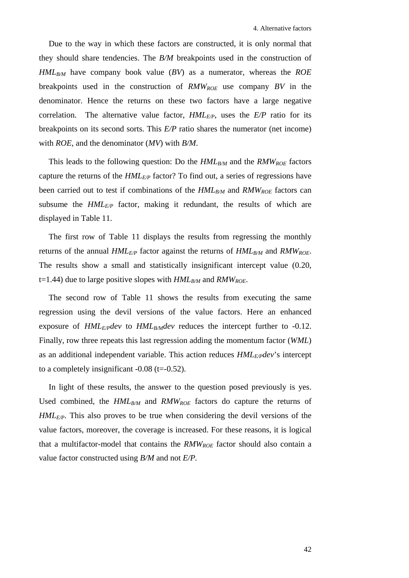Due to the way in which these factors are constructed, it is only normal that they should share tendencies. The *B/M* breakpoints used in the construction of  $HML_{B/M}$  have company book value (*BV*) as a numerator, whereas the *ROE* breakpoints used in the construction of *RMWROE* use company *BV* in the denominator. Hence the returns on these two factors have a large negative correlation. The alternative value factor,  $HML_{E/P}$ , uses the  $E/P$  ratio for its breakpoints on its second sorts. This *E/P* ratio shares the numerator (net income) with *ROE*, and the denominator (*MV*) with *B/M*.

This leads to the following question: Do the  $HML_{B/M}$  and the  $RMW_{ROE}$  factors capture the returns of the *HMLE/P* factor? To find out, a series of regressions have been carried out to test if combinations of the  $HML_{B/M}$  and  $RMW_{ROE}$  factors can subsume the  $HML_{E/P}$  factor, making it redundant, the results of which are displayed in [Table 11.](#page-50-0)

The first row of [Table 11](#page-50-0) displays the results from regressing the monthly returns of the annual  $HML_{E/P}$  factor against the returns of  $HML_{B/M}$  and  $RMW_{ROE}$ . The results show a small and statistically insignificant intercept value (0.20, t=1.44) due to large positive slopes with  $HML_{B/M}$  and  $RMW_{ROE}$ .

The second row of [Table 11](#page-50-0) shows the results from executing the same regression using the devil versions of the value factors. Here an enhanced exposure of  $HML_{E/P}$ *dev* to  $HML_{B/M}$ *dev* reduces the intercept further to -0.12. Finally, row three repeats this last regression adding the momentum factor (*WML*) as an additional independent variable. This action reduces  $HML_{E/P}dev$ 's intercept to a completely insignificant  $-0.08$  (t= $-0.52$ ).

In light of these results, the answer to the question posed previously is yes. Used combined, the  $HML_{B/M}$  and  $RMW_{ROE}$  factors do capture the returns of *HMLE/P*. This also proves to be true when considering the devil versions of the value factors, moreover, the coverage is increased. For these reasons, it is logical that a multifactor-model that contains the  $RMW_{ROE}$  factor should also contain a value factor constructed using *B/M* and not *E/P.*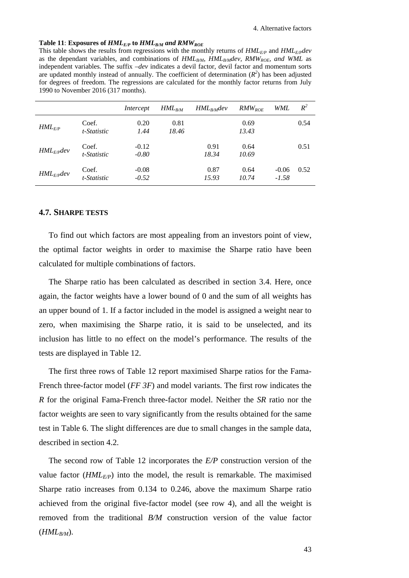#### <span id="page-50-0"></span>Table 11: Exposures of  $HML_{E/P}$  to  $HML_{B/M}$  and  $RMW_{ROE}$

This table shows the results from regressions with the monthly returns of  $HML_{E/P}$  and  $HML_{E/P}$ as the dependant variables, and combinations of  $HML_{B/M}$ ,  $HML_{B/M}$ ,  $RMW_{ROE}$ , and WML as independent variables. The suffix *–dev* indicates a devil factor, devil factor and momentum sorts are updated monthly instead of annually. The coefficient of determination  $(R^2)$  has been adjusted for degrees of freedom. The regressions are calculated for the monthly factor returns from July 1990 to November 2016 (317 months).

|                 |                      | Intercept          | $HML_{B/M}$   | $HML_{B/M}$ dev | $RMW_{ROE}$   | WML                | $R^2$ |
|-----------------|----------------------|--------------------|---------------|-----------------|---------------|--------------------|-------|
| $HML_{E/P}$     | Coef.<br>t-Statistic | 0.20<br>1.44       | 0.81<br>18.46 |                 | 0.69<br>13.43 |                    | 0.54  |
| $HML_{E/P}$ dev | Coef.<br>t-Statistic | $-0.12$<br>$-0.80$ |               | 0.91<br>18.34   | 0.64<br>10.69 |                    | 0.51  |
| $HML_{E/P}$ dev | Coef.<br>t-Statistic | $-0.08$<br>$-0.52$ |               | 0.87<br>15.93   | 0.64<br>10.74 | $-0.06$<br>$-1.58$ | 0.52  |

# **4.7. SHARPE TESTS**

To find out which factors are most appealing from an investors point of view, the optimal factor weights in order to maximise the Sharpe ratio have been calculated for multiple combinations of factors.

The Sharpe ratio has been calculated as described in section [3.4.](#page-33-0) Here, once again, the factor weights have a lower bound of 0 and the sum of all weights has an upper bound of 1. If a factor included in the model is assigned a weight near to zero, when maximising the Sharpe ratio, it is said to be unselected, and its inclusion has little to no effect on the model's performance. The results of the tests are displayed in [Table 12.](#page-53-0)

The first three rows of [Table 12](#page-53-0) report maximised Sharpe ratios for the Fama-French three-factor model (*FF 3F*) and model variants. The first row indicates the *R* for the original Fama-French three-factor model. Neither the *SR* ratio nor the factor weights are seen to vary significantly from the results obtained for the same test in [Table 6.](#page-34-0) The slight differences are due to small changes in the sample data, described in section [4.2.](#page-38-1)

The second row of [Table 12](#page-53-0) incorporates the *E/P* construction version of the value factor  $(HML_{E/P})$  into the model, the result is remarkable. The maximised Sharpe ratio increases from 0.134 to 0.246, above the maximum Sharpe ratio achieved from the original five-factor model (see row 4), and all the weight is removed from the traditional *B/M* construction version of the value factor  $(HML_{B/M})$ .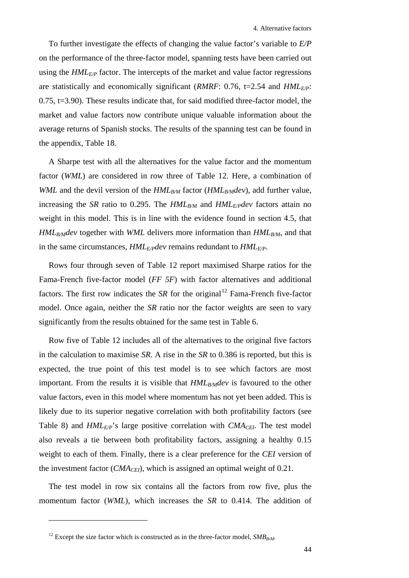To further investigate the effects of changing the value factor's variable to *E/P* on the performance of the three-factor model, spanning tests have been carried out using the  $HML_{E/P}$  factor. The intercepts of the market and value factor regressions are statistically and economically significant (*RMRF*: 0.76, t=2.54 and *HML<sub>E/P</sub>*:  $0.75$ ,  $t=3.90$ ). These results indicate that, for said modified three-factor model, the market and value factors now contribute unique valuable information about the average returns of Spanish stocks. The results of the spanning test can be found in the appendix, [Table 18.](#page-69-1)

A Sharpe test with all the alternatives for the value factor and the momentum factor (*WML*) are considered in row three of [Table 12.](#page-53-0) Here, a combination of *WML* and the devil version of the  $HML_{B/M}$  factor ( $HML_{B/M}$ dev), add further value, increasing the *SR* ratio to 0.295. The  $HML_{B/M}$  and  $HML_{E/P}$  factors attain no weight in this model. This is in line with the evidence found in section [4.5,](#page-46-3) that *HML<sub>B/M</sub>dev* together with *WML* delivers more information than *HML<sub>B/M</sub>*, and that in the same circumstances, *HMLE/Pdev* remains redundant to *HMLE/P*.

Rows four through seven of [Table 12](#page-53-0) report maximised Sharpe ratios for the Fama-French five-factor model (*FF 5F*) with factor alternatives and additional factors. The first row indicates the *SR* for the original<sup>[12](#page-51-0)</sup> Fama-French five-factor model. Once again, neither the *SR* ratio nor the factor weights are seen to vary significantly from the results obtained for the same test in [Table 6.](#page-34-0)

Row five of [Table 12](#page-53-0) includes all of the alternatives to the original five factors in the calculation to maximise *SR*. A rise in the *SR* to 0.386 is reported, but this is expected, the true point of this test model is to see which factors are most important. From the results it is visible that  $HML_{B/M}$  is favoured to the other value factors, even in this model where momentum has not yet been added. This is likely due to its superior negative correlation with both profitability factors (see [Table 8\)](#page-43-0) and  $HML_{E/P}$ 's large positive correlation with  $CMA_{CEI}$ . The test model also reveals a tie between both profitability factors, assigning a healthy 0.15 weight to each of them. Finally, there is a clear preference for the *CEI* version of the investment factor  $(CMA<sub>CEI</sub>)$ , which is assigned an optimal weight of 0.21.

The test model in row six contains all the factors from row five, plus the momentum factor (*WML*), which increases the *SR* to 0.414. The addition of

<u>.</u>

<span id="page-51-0"></span><sup>&</sup>lt;sup>12</sup> Except the size factor which is constructed as in the three-factor model,  $SMB_{BM}$ .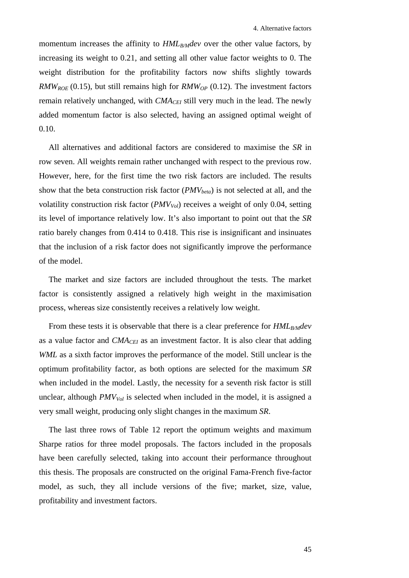momentum increases the affinity to *HML<sub>B/M</sub>dev* over the other value factors, by increasing its weight to 0.21, and setting all other value factor weights to 0. The weight distribution for the profitability factors now shifts slightly towards  $RMW_{ROE}$  (0.15), but still remains high for  $RMW_{OP}$  (0.12). The investment factors remain relatively unchanged, with *CMA<sub>CEI</sub>* still very much in the lead. The newly added momentum factor is also selected, having an assigned optimal weight of 0.10.

All alternatives and additional factors are considered to maximise the *SR* in row seven. All weights remain rather unchanged with respect to the previous row. However, here, for the first time the two risk factors are included. The results show that the beta construction risk factor (*PMV<sub>beta</sub>*) is not selected at all, and the volatility construction risk factor (*PMV<sub>Vol</sub>*) receives a weight of only 0.04, setting its level of importance relatively low. It's also important to point out that the *SR* ratio barely changes from 0.414 to 0.418. This rise is insignificant and insinuates that the inclusion of a risk factor does not significantly improve the performance of the model.

The market and size factors are included throughout the tests. The market factor is consistently assigned a relatively high weight in the maximisation process, whereas size consistently receives a relatively low weight.

From these tests it is observable that there is a clear preference for  $HML_{B/M}$ as a value factor and *CMACEI* as an investment factor. It is also clear that adding *WML* as a sixth factor improves the performance of the model. Still unclear is the optimum profitability factor, as both options are selected for the maximum *SR*  when included in the model. Lastly, the necessity for a seventh risk factor is still unclear, although *PMV<sub>Vol</sub>* is selected when included in the model, it is assigned a very small weight, producing only slight changes in the maximum *SR*.

The last three rows of [Table 12](#page-53-0) report the optimum weights and maximum Sharpe ratios for three model proposals. The factors included in the proposals have been carefully selected, taking into account their performance throughout this thesis. The proposals are constructed on the original Fama-French five-factor model, as such, they all include versions of the five; market, size, value, profitability and investment factors.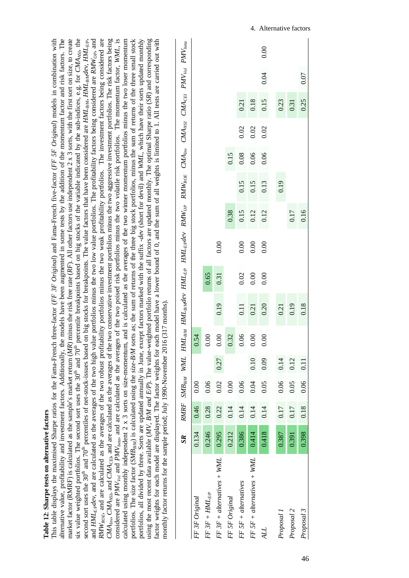<span id="page-53-0"></span>

| Table 12: Sharpe tests on alternative factors                                                                                                                                                                                                  |
|------------------------------------------------------------------------------------------------------------------------------------------------------------------------------------------------------------------------------------------------|
| This table displays the maximised Sharpe ratios for the Fama-French three-factor (FF 3F Original) and Fama-French five-factor (FF 5F Original) models in combination with                                                                      |
| alternative value, profitability and investment factors. Additionally, the models have been augmented in some tests by the addition of the momentum factor and risk factors. The                                                               |
| market factor (RNRF) is calculated as the sample's market return (MR) minus the risk free rate (RF). All other factors use independent 2 x 3 sorts, with the first sort on size, to create                                                     |
| six value weighted portfolios. The second sort uses the 30 <sup>th</sup> and 70 <sup>th</sup> percentile breakpoints based on big stocks of the variable indicated by the sub-indices, e.g. for CMA <sub>NSD</sub> , the                       |
| second sort uses the 30 <sup>th</sup> and 70 <sup>th</sup> percentiles of net-stock-issues based on big stocks for breakpoints. The value factors that have been considered are HML <sub>BM</sub> , HML <sub>BM</sub> dev, HML <sub>EP</sub> , |
| and $HML_{grad}$ and are calculated as the averages of the two high value portfolios minus the two low value portfolios. The profitability factors being considered are RMW <sub>op</sub> , and                                                |
| $RMW_{\text{ROE}}$ , and are calculated as the averages of the two robust profitability portfolios minus the two weak profitability portfolios. The investment factors being considered are                                                    |
| CMA <sub>nn</sub> , CMA <sub>030</sub> , and CMA <sub>CE</sub> , and are calculated as the averages of the two conservative investment portfolios minus the two aggressive investment portfolios. The risk factors being                       |
| considered are <i>PMV<sub>vol</sub></i> and <i>PMV<sub>vela</sub></i> , and are calculated as the averages of the two poised risk portfolios minus the two volatile risk portfolios. The momentum factor, WML, is                              |
| calculated using monthly independent $2 \times 3$ sorts on size-momentum, and is calculated as the averages of the two winner momentum portfolios minus the two loser momentum                                                                 |
| portfolios. The size factor (SMB <sub>BM</sub> ) is calculated using the size-B/M sorts as; the sum of returns of the three big stock portfolios, minus the sum of returns of the three small stock                                            |
| portfolios, all divided by three. Sorts are updated annually in June, except factors marked with the suffix -dev (short for devil) and WML, which have their sorts updated monthly                                                             |
| using the most recent data available (MV, BM and E/P). The value-weighted portfolio returns of all factors are updated monthly. The optimal Sharpe ratio (SR) and corresponding                                                                |
| factor weights for each model are displayed. The factor weights for each model have a lower bound of 0, and the sum of all weights is limited to 1. All tests are carried out with                                                             |
| monthly factor returns for the sample period; July 1990-November 2016 (317 months).                                                                                                                                                            |
| ister that the color control that the color that that that the color that the color that the color that the color<br>DAAD F CAAD<br>$\mathbf{a}$                                                                                               |

|                              | $S_{R}$ |      |      |      |      | RMRF SMB <sub>BM</sub> WML HML <sub>BM</sub> HML <sub>BM</sub> dev HML <sub>EP</sub> HML <sub>EP</sub> dev RMW <sub>op</sub> RMW <sub>ROE</sub> CMA <sub>nn</sub> , CMA <sub>cos</sub> CMA <sub>CEI</sub> PMV <sub>vol</sub> PMV <sub>eeu</sub> |      |      |      |      |      |      |      |      |      |
|------------------------------|---------|------|------|------|------|-------------------------------------------------------------------------------------------------------------------------------------------------------------------------------------------------------------------------------------------------|------|------|------|------|------|------|------|------|------|
| FF 3F Original               | 0.134   | 0.46 | 0.00 |      | .54  |                                                                                                                                                                                                                                                 |      |      |      |      |      |      |      |      |      |
| $FF3F + HML_{EP}$            | 0.246   | 0.28 | 0.06 |      | 0.00 |                                                                                                                                                                                                                                                 | 0.65 |      |      |      |      |      |      |      |      |
| $FF 3F + alternatives + WML$ | 0.295   | 0.22 | 0.02 | 0.27 | 0.00 | 0.19                                                                                                                                                                                                                                            | 0.31 | 0.00 |      |      |      |      |      |      |      |
| FF 5F Original               | 0.212   | 0.14 | 0.00 |      | 0.32 |                                                                                                                                                                                                                                                 |      |      | 0.38 |      | 0.15 |      |      |      |      |
| $FF5F + alternatives$        | 0.386   | 0.14 | 0.06 |      | 0.06 | 0.11                                                                                                                                                                                                                                            | 0.02 | 0.00 | 0.15 | 0.15 | 0.08 | 0.02 | 0.21 |      |      |
| $FF5F + alternatives + WML$  | 0.414   | 0.14 | 0.04 | 0.10 | 0.00 | 0.21                                                                                                                                                                                                                                            | 0.00 | 0.00 | 0.12 | 0.15 | 0.06 | 0.02 | 0.18 |      |      |
| ALL                          | 0.418   | 0.14 | 0.05 | 0.09 | 0.00 | 0.20                                                                                                                                                                                                                                            | 0.00 | 0.00 | 0.12 | 0.13 | 0.06 | 0.02 | 0.15 | 0.04 | 0.00 |
|                              |         |      |      |      |      |                                                                                                                                                                                                                                                 |      |      |      |      |      |      |      |      |      |
| Proposal 1                   | 0.387   | 0.17 | 0.06 | 0.14 |      | 0.21                                                                                                                                                                                                                                            |      |      |      | 0.19 |      |      | 0.23 |      |      |
| Proposal 2                   | 0.391   | 0.17 | 0.05 | 0.12 |      | 0.19                                                                                                                                                                                                                                            |      |      | 0.17 |      |      |      | 0.31 |      |      |
| Proposal 3                   | 0.398   | 0.18 | 0.06 | 0.11 |      | 0.18                                                                                                                                                                                                                                            |      |      | 0.16 |      |      |      | 0.25 | 0.07 |      |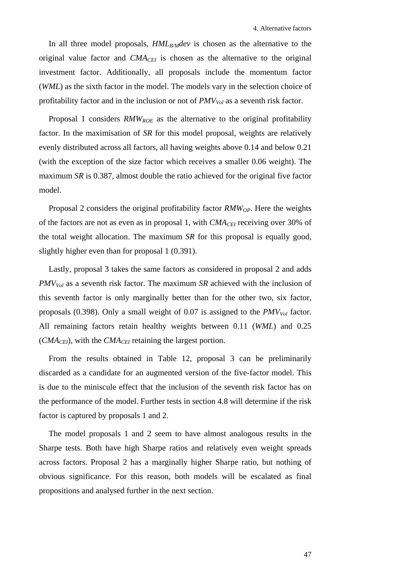In all three model proposals, *HML<sub>B/M</sub>dev* is chosen as the alternative to the original value factor and  $CMA<sub>CEI</sub>$  is chosen as the alternative to the original investment factor. Additionally, all proposals include the momentum factor (*WML*) as the sixth factor in the model. The models vary in the selection choice of profitability factor and in the inclusion or not of *PMV<sub>Vol</sub>* as a seventh risk factor.

Proposal 1 considers *RMW<sub>ROE</sub>* as the alternative to the original profitability factor. In the maximisation of *SR* for this model proposal, weights are relatively evenly distributed across all factors, all having weights above 0.14 and below 0.21 (with the exception of the size factor which receives a smaller 0.06 weight). The maximum *SR* is 0.387, almost double the ratio achieved for the original five factor model.

Proposal 2 considers the original profitability factor *RMW<sub>OP</sub>*. Here the weights of the factors are not as even as in proposal 1, with *CMACEI* receiving over 30% of the total weight allocation. The maximum *SR* for this proposal is equally good, slightly higher even than for proposal 1 (0.391).

Lastly, proposal 3 takes the same factors as considered in proposal 2 and adds *PMV<sub>Vol</sub>* as a seventh risk factor. The maximum *SR* achieved with the inclusion of this seventh factor is only marginally better than for the other two, six factor, proposals (0.398). Only a small weight of 0.07 is assigned to the  $PMV_{Vol}$  factor. All remaining factors retain healthy weights between 0.11 (*WML*) and 0.25  $(CMA<sub>CEI</sub>)$ , with the  $CMA<sub>CEI</sub>$  retaining the largest portion.

From the results obtained in [Table 12,](#page-53-0) proposal 3 can be preliminarily discarded as a candidate for an augmented version of the five-factor model. This is due to the miniscule effect that the inclusion of the seventh risk factor has on the performance of the model. Further tests in section 4.8 will determine if the risk factor is captured by proposals 1 and 2.

The model proposals 1 and 2 seem to have almost analogous results in the Sharpe tests. Both have high Sharpe ratios and relatively even weight spreads across factors. Proposal 2 has a marginally higher Sharpe ratio, but nothing of obvious significance. For this reason, both models will be escalated as final propositions and analysed further in the next section.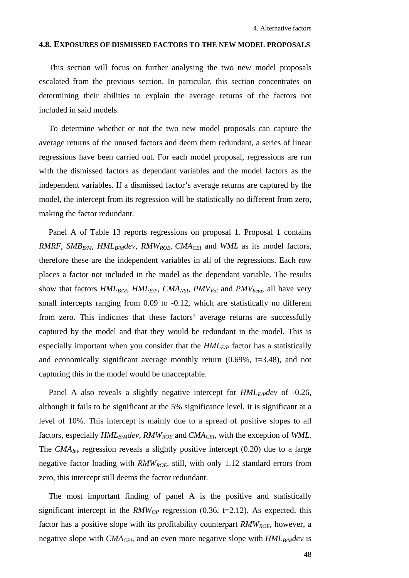# **4.8. EXPOSURES OF DISMISSED FACTORS TO THE NEW MODEL PROPOSALS**

This section will focus on further analysing the two new model proposals escalated from the previous section. In particular, this section concentrates on determining their abilities to explain the average returns of the factors not included in said models.

To determine whether or not the two new model proposals can capture the average returns of the unused factors and deem them redundant, a series of linear regressions have been carried out. For each model proposal, regressions are run with the dismissed factors as dependant variables and the model factors as the independent variables. If a dismissed factor's average returns are captured by the model, the intercept from its regression will be statistically no different from zero, making the factor redundant.

Panel A of [Table 13](#page-57-0) reports regressions on proposal 1. Proposal 1 contains *RMRF*, *SMB<sub>B/M</sub>*, *HML<sub>B/M</sub>dev*, *RMW<sub>ROE</sub>*, *CMA<sub>CEI</sub>* and *WML* as its model factors, therefore these are the independent variables in all of the regressions. Each row places a factor not included in the model as the dependant variable. The results show that factors  $HML_{B/M}$ ,  $HML_{E/P}$ ,  $CMA_{NSI}$ ,  $PMV_{Vol}$  and  $PMV_{beta}$ , all have very small intercepts ranging from 0.09 to -0.12, which are statistically no different from zero. This indicates that these factors' average returns are successfully captured by the model and that they would be redundant in the model. This is especially important when you consider that the  $HML_{E/P}$  factor has a statistically and economically significant average monthly return  $(0.69\% , t=3.48)$ , and not capturing this in the model would be unacceptable.

Panel A also reveals a slightly negative intercept for *HML<sub>E/P</sub>dev* of -0.26, although it fails to be significant at the 5% significance level, it is significant at a level of 10%. This intercept is mainly due to a spread of positive slopes to all factors, especially  $HML_{B/M}dev$ ,  $RMW_{ROE}$  and  $CMA_{CEI}$ , with the exception of *WML*. The *CMA<sub>Inv</sub>* regression reveals a slightly positive intercept (0.20) due to a large negative factor loading with *RMW<sub>ROE*</sub>, still, with only 1.12 standard errors from zero, this intercept still deems the factor redundant.

The most important finding of panel A is the positive and statistically significant intercept in the  $RMW_{OP}$  regression (0.36, t=2.12). As expected, this factor has a positive slope with its profitability counterpart *RMW<sub>ROE*</sub>, however, a negative slope with  $CMA_{CEI}$ , and an even more negative slope with  $HML_{B/M}$ dev is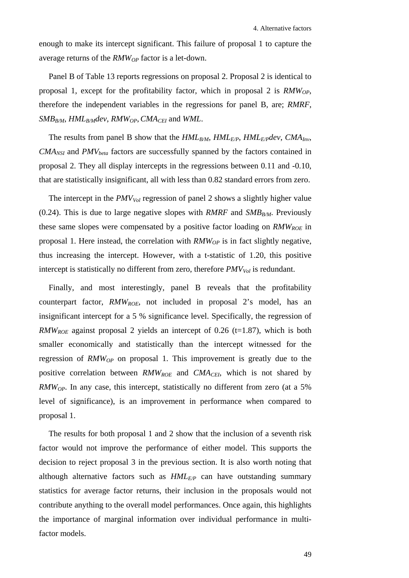enough to make its intercept significant. This failure of proposal 1 to capture the average returns of the *RMWOP* factor is a let-down.

Panel B of [Table 13](#page-57-0) reports regressions on proposal 2. Proposal 2 is identical to proposal 1, except for the profitability factor, which in proposal 2 is *RMWOP*, therefore the independent variables in the regressions for panel B, are; *RMRF*,  $SMB_{R/M}$ ,  $HML_{B/M}$ dev,  $RMW_{OP}$ ,  $CMA_{CH}$  and *WML*.

The results from panel B show that the  $HML_{B/M}$ ,  $HML_{E/P}$ ,  $HML_{E/P}dev$ ,  $CMA_{Inv}$ , *CMA<sub>NSI</sub>* and *PMV*<sub>beta</sub> factors are successfully spanned by the factors contained in proposal 2. They all display intercepts in the regressions between 0.11 and -0.10, that are statistically insignificant, all with less than 0.82 standard errors from zero.

The intercept in the  $PMV_{Vol}$  regression of panel 2 shows a slightly higher value (0.24). This is due to large negative slopes with *RMRF* and *SMB<sub>B/M</sub>*. Previously these same slopes were compensated by a positive factor loading on *RMW<sub>ROE</sub>* in proposal 1. Here instead, the correlation with *RMWOP* is in fact slightly negative, thus increasing the intercept. However, with a t-statistic of 1.20, this positive intercept is statistically no different from zero, therefore  $PMV_{Vol}$  is redundant.

Finally, and most interestingly, panel B reveals that the profitability counterpart factor, *RMWROE*, not included in proposal 2's model, has an insignificant intercept for a 5 % significance level. Specifically, the regression of *RMW<sub>ROE</sub>* against proposal 2 yields an intercept of 0.26 (t=1.87), which is both smaller economically and statistically than the intercept witnessed for the regression of *RMWOP* on proposal 1. This improvement is greatly due to the positive correlation between *RMWROE* and *CMACEI*, which is not shared by *RMW<sub>OP</sub>*. In any case, this intercept, statistically no different from zero (at a 5% level of significance), is an improvement in performance when compared to proposal 1.

The results for both proposal 1 and 2 show that the inclusion of a seventh risk factor would not improve the performance of either model. This supports the decision to reject proposal 3 in the previous section. It is also worth noting that although alternative factors such as  $HML_{E/P}$  can have outstanding summary statistics for average factor returns, their inclusion in the proposals would not contribute anything to the overall model performances. Once again, this highlights the importance of marginal information over individual performance in multifactor models.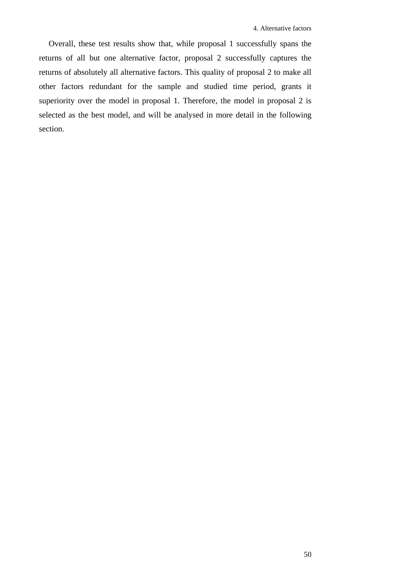<span id="page-57-0"></span>Overall, these test results show that, while proposal 1 successfully spans the returns of all but one alternative factor, proposal 2 successfully captures the returns of absolutely all alternative factors. This quality of proposal 2 to make all other factors redundant for the sample and studied time period, grants it superiority over the model in proposal 1. Therefore, the model in proposal 2 is selected as the best model, and will be analysed in more detail in the following section.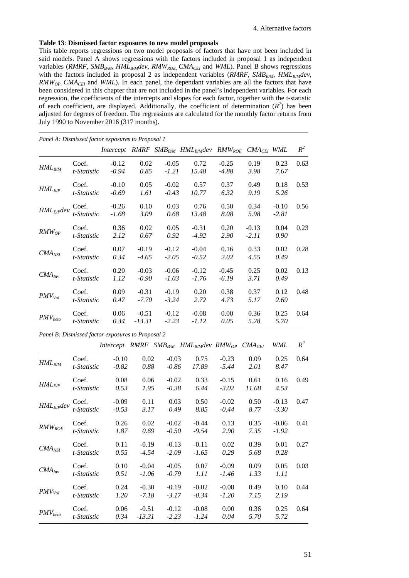#### **Table 13**: **Dismissed factor exposures to new model proposals**

This table reports regressions on two model proposals of factors that have not been included in said models. Panel A shows regressions with the factors included in proposal 1 as independent variables (RMRF, SMB<sub>B/M</sub>, HML<sub>B/M</sub>dev, RMW<sub>ROE,</sub> CMA<sub>CEI</sub> and WML). Panel B shows regressions with the factors included in proposal 2 as independent variables  $(RMRF, SMB_{RM}, HML_{BM}dev)$ , *RMW<sub>OP</sub>*, *CMA<sub>CEI</sub>* and *WML*). In each panel, the dependant variables are all the factors that have been considered in this chapter that are not included in the panel's independent variables. For each regression, the coefficients of the intercepts and slopes for each factor, together with the t-statistic of each coefficient, are displayed. Additionally, the coefficient of determination  $(R^2)$  has been adjusted for degrees of freedom. The regressions are calculated for the monthly factor returns from July 1990 to November 2016 (317 months).

| Panel A: Dismissed factor exposures to Proposal 1 |                      |                    |                     |                    |                                                                     |                    |                    |                    |       |
|---------------------------------------------------|----------------------|--------------------|---------------------|--------------------|---------------------------------------------------------------------|--------------------|--------------------|--------------------|-------|
|                                                   |                      |                    |                     |                    | Intercept RMRF $SMB_{B/M}$ HML <sub>BM</sub> dev RMW <sub>ROE</sub> |                    | $CMA_{CEI}$ WML    |                    | $R^2$ |
| $HML_{B/M}$                                       | Coef.<br>t-Statistic | $-0.12$<br>$-0.94$ | 0.02<br>0.85        | $-0.05$<br>$-1.21$ | 0.72<br>15.48                                                       | $-0.25$<br>-4.88   | 0.19<br>3.98       | 0.23<br>7.67       | 0.63  |
| $HML$ <sub>E/P</sub>                              | Coef.<br>t-Statistic | $-0.10$<br>$-0.69$ | 0.05<br>1.61        | $-0.02$<br>$-0.43$ | 0.57<br>10.77                                                       | 0.37<br>6.32       | 0.49<br>9.19       | 0.18<br>5.26       | 0.53  |
| $HML_{E/P}$ dev                                   | Coef.<br>t-Statistic | $-0.26$<br>$-1.68$ | 0.10<br>3.09        | 0.03<br>0.68       | 0.76<br>13.48                                                       | 0.50<br>8.08       | 0.34<br>5.98       | $-0.10$<br>$-2.81$ | 0.56  |
| $RMW_{OP}$                                        | Coef.<br>t-Statistic | 0.36<br>2.12       | 0.02<br>0.67        | 0.05<br>0.92       | $-0.31$<br>$-4.92$                                                  | 0.20<br>2.90       | $-0.13$<br>$-2.11$ | 0.04<br>0.90       | 0.23  |
| $CMA_{NSI}$                                       | Coef.<br>t-Statistic | 0.07<br>0.34       | $-0.19$<br>$-4.65$  | $-0.12$<br>$-2.05$ | $-0.04$<br>$-0.52$                                                  | 0.16<br>2.02       | 0.33<br>4.55       | 0.02<br>0.49       | 0.28  |
| $CMA_{Inv}$                                       | Coef.<br>t-Statistic | 0.20<br>1.12       | $-0.03$<br>$-0.90$  | $-0.06$<br>$-1.03$ | $-0.12$<br>$-1.76$                                                  | $-0.45$<br>$-6.19$ | 0.25<br>3.71       | 0.02<br>0.49       | 0.13  |
| $PMV_{Vol}$                                       | Coef.<br>t-Statistic | 0.09<br>0.47       | $-0.31$<br>$-7.70$  | $-0.19$<br>$-3.24$ | 0.20<br>2.72                                                        | 0.38<br>4.73       | 0.37<br>5.17       | 0.12<br>2.69       | 0.48  |
| $PMV_{beta}$                                      | Coef.<br>t-Statistic | 0.06<br>0.34       | $-0.51$<br>$-13.31$ | $-0.12$<br>$-2.23$ | $-0.08$<br>$-1.12$                                                  | 0.00<br>0.05       | 0.36<br>5.28       | 0.25<br>5.70       | 0.64  |

*Panel B: Dismissed factor exposures to Proposal 2*

|                      |                      |                    |                    |                    | Intercept RMRF SMB <sub>B/M</sub> HML <sub>B/M</sub> dev RMW <sub>OP</sub> CMA <sub>CEI</sub> |                    |                     | WML                | $R^2$ |
|----------------------|----------------------|--------------------|--------------------|--------------------|-----------------------------------------------------------------------------------------------|--------------------|---------------------|--------------------|-------|
| $HML_{B/M}$          | Coef.<br>t-Statistic | $-0.10$<br>$-0.82$ | 0.02<br>0.88       | $-0.03$<br>$-0.86$ | 0.75<br>17.89                                                                                 | $-0.23$<br>$-5.44$ | 0.09<br><i>2.01</i> | 0.25<br>8.47       | 0.64  |
| $HML$ <sub>E/P</sub> | Coef.<br>t-Statistic | 0.08<br>0.53       | 0.06<br>1.95       | $-0.02$<br>$-0.38$ | 0.33<br>6.44                                                                                  | $-0.15$<br>$-3.02$ | 0.61<br>11.68       | 0.16<br>4.53       | 0.49  |
| $HML_{E/P}$ dev      | Coef.<br>t-Statistic | $-0.09$<br>$-0.53$ | 0.11<br>3.17       | 0.03<br>0.49       | 0.50<br>8.85                                                                                  | $-0.02$<br>$-0.44$ | 0.50<br>8.77        | $-0.13$<br>$-3.30$ | 0.47  |
| $RMW_{ROE}$          | Coef.<br>t-Statistic | 0.26<br>1.87       | 0.02<br>0.69       | $-0.02$<br>$-0.50$ | $-0.44$<br>$-9.54$                                                                            | 0.13<br>2.90       | 0.35<br>7.35        | $-0.06$<br>$-1.92$ | 0.41  |
| $CMA_{NSI}$          | Coef.<br>t-Statistic | 0.11<br>0.55       | $-0.19$<br>$-4.54$ | $-0.13$<br>$-2.09$ | $-0.11$<br>$-1.65$                                                                            | 0.02<br>0.29       | 0.39<br>5.68        | 0.01<br>0.28       | 0.27  |
| $CMA_{Inv}$          | Coef.<br>t-Statistic | 0.10<br>0.51       | $-0.04$<br>$-1.06$ | $-0.05$<br>$-0.79$ | 0.07<br>1.11                                                                                  | $-0.09$<br>$-1.46$ | 0.09<br>1.33        | 0.05<br>1.11       | 0.03  |
| $PMV_{Vol}$          | Coef.<br>t-Statistic | 0.24<br>1.20       | $-0.30$<br>$-7.18$ | $-0.19$<br>$-3.17$ | $-0.02$<br>$-0.34$                                                                            | $-0.08$<br>$-1.20$ | 0.49<br>7.15        | 0.10<br>2.19       | 0.44  |
| $PMV_{beta}$         | Coef.<br>t-Statistic | 0.06<br>0.34       | $-0.51$<br>-13.31  | $-0.12$<br>$-2.23$ | $-0.08$<br>$-1.24$                                                                            | 0.00<br>0.04       | 0.36<br>5.70        | 0.25<br>5.72       | 0.64  |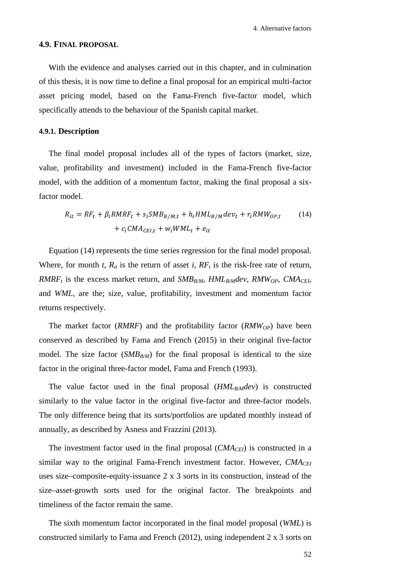## <span id="page-59-0"></span>**4.9. FINAL PROPOSAL**

With the evidence and analyses carried out in this chapter, and in culmination of this thesis, it is now time to define a final proposal for an empirical multi-factor asset pricing model, based on the Fama-French five-factor model, which specifically attends to the behaviour of the Spanish capital market.

# **4.9.1. Description**

The final model proposal includes all of the types of factors (market, size, value, profitability and investment) included in the Fama-French five-factor model, with the addition of a momentum factor, making the final proposal a sixfactor model.

$$
R_{it} = RF_t + \beta_i RMRF_t + s_i SMB_{B/M,t} + h_i HML_{B/M} dev_t + r_i RMW_{OP,t}
$$
\n
$$
+ c_i CMA_{CEI,t} + w_i WML_t + e_{it}
$$
\n(14)

Equation (14) represents the time series regression for the final model proposal. Where, for month *t*,  $R_{it}$  is the return of asset *i*,  $RF_t$  is the risk-free rate of return, *RMRF<sub>t</sub>* is the excess market return, and *SMB<sub>B/M</sub>*, *HML<sub>B/M</sub>dev*, *RMW<sub>OP</sub>*, *CMA<sub>CEI</sub>*, and *WML*, are the; size, value, profitability, investment and momentum factor returns respectively.

The market factor (*RMRF*) and the profitability factor (*RMW<sub>OP</sub>*) have been conserved as described by Fama and French (2015) in their original five-factor model. The size factor  $(SMB_{B/M})$  for the final proposal is identical to the size factor in the original three-factor model, Fama and French (1993).

The value factor used in the final proposal (*HML<sub>B/M</sub>dev*) is constructed similarly to the value factor in the original five-factor and three-factor models. The only difference being that its sorts/portfolios are updated monthly instead of annually, as described by Asness and Frazzini (2013).

The investment factor used in the final proposal  $(CMA<sub>CEI</sub>)$  is constructed in a similar way to the original Fama-French investment factor. However, *CMA<sub>CEI</sub>* uses size–composite-equity-issuance 2 x 3 sorts in its construction, instead of the size–asset-growth sorts used for the original factor. The breakpoints and timeliness of the factor remain the same.

The sixth momentum factor incorporated in the final model proposal (*WML*) is constructed similarly to Fama and French (2012), using independent  $2 \times 3$  sorts on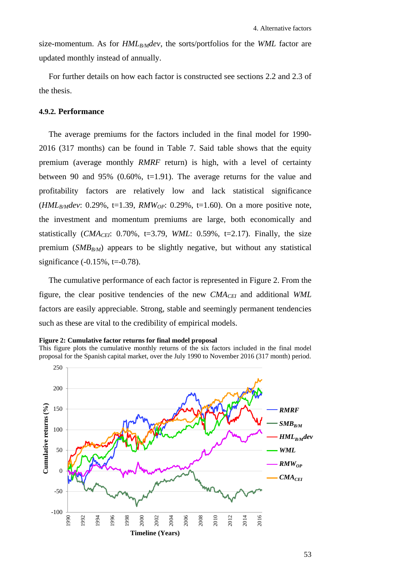size-momentum. As for *HML<sub>B/M</sub>dev*, the sorts/portfolios for the *WML* factor are updated monthly instead of annually.

For further details on how each factor is constructed see sections [2.2](#page-20-0) and [2.3](#page-22-0) of the thesis.

# **4.9.2. Performance**

The average premiums for the factors included in the final model for 1990- 2016 (317 months) can be found in [Table 7.](#page-42-0) Said table shows that the equity premium (average monthly *RMRF* return) is high, with a level of certainty between 90 and 95% (0.60%, t=1.91). The average returns for the value and profitability factors are relatively low and lack statistical significance (*HMLB/Mdev*: 0.29%, t=1.39, *RMWOP*: 0.29%, t=1.60). On a more positive note, the investment and momentum premiums are large, both economically and statistically  $(CMA_{CEI}: 0.70\%$ , t=3.79, *WML*: 0.59%, t=2.17). Finally, the size premium  $(SMB_{B/M})$  appears to be slightly negative, but without any statistical significance  $(-0.15\%, t=0.78)$ .

The cumulative performance of each factor is represented in [Figure 2.](#page-60-0) From the figure, the clear positive tendencies of the new *CMACEI* and additional *WML* factors are easily appreciable. Strong, stable and seemingly permanent tendencies such as these are vital to the credibility of empirical models.

<span id="page-60-0"></span>

This figure plots the cumulative monthly returns of the six factors included in the final model proposal for the Spanish capital market, over the July 1990 to November 2016 (317 month) period.

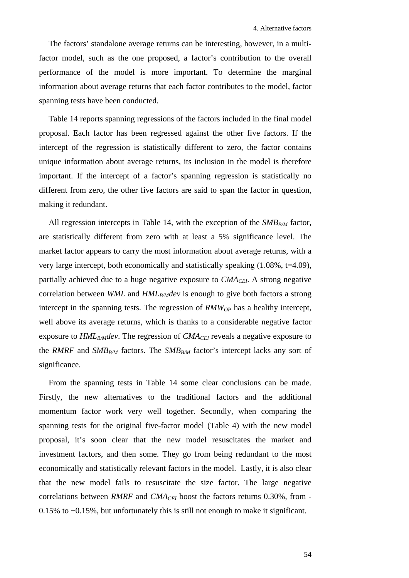The factors' standalone average returns can be interesting, however, in a multifactor model, such as the one proposed, a factor's contribution to the overall performance of the model is more important. To determine the marginal information about average returns that each factor contributes to the model, factor spanning tests have been conducted.

[Table 14](#page-62-0) reports spanning regressions of the factors included in the final model proposal. Each factor has been regressed against the other five factors. If the intercept of the regression is statistically different to zero, the factor contains unique information about average returns, its inclusion in the model is therefore important. If the intercept of a factor's spanning regression is statistically no different from zero, the other five factors are said to span the factor in question, making it redundant.

All regression intercepts in [Table 14,](#page-62-0) with the exception of the  $SMB_{B/M}$  factor, are statistically different from zero with at least a 5% significance level. The market factor appears to carry the most information about average returns, with a very large intercept, both economically and statistically speaking (1.08%, t=4.09), partially achieved due to a huge negative exposure to *CMA<sub>CEI</sub>*. A strong negative correlation between *WML* and *HML<sub>B/M</sub>dev* is enough to give both factors a strong intercept in the spanning tests. The regression of  $RMW_{OP}$  has a healthy intercept, well above its average returns, which is thanks to a considerable negative factor exposure to  $HML_{B/M}$  dev. The regression of  $CMA_{CH}$  reveals a negative exposure to the *RMRF* and *SMB<sub>B/M</sub>* factors. The *SMB<sub>B/M</sub>* factor's intercept lacks any sort of significance.

From the spanning tests in [Table 14](#page-62-0) some clear conclusions can be made. Firstly, the new alternatives to the traditional factors and the additional momentum factor work very well together. Secondly, when comparing the spanning tests for the original five-factor model [\(Table 4\)](#page-31-0) with the new model proposal, it's soon clear that the new model resuscitates the market and investment factors, and then some. They go from being redundant to the most economically and statistically relevant factors in the model. Lastly, it is also clear that the new model fails to resuscitate the size factor. The large negative correlations between *RMRF* and *CMA<sub>CEI</sub>* boost the factors returns 0.30%, from -0.15% to +0.15%, but unfortunately this is still not enough to make it significant.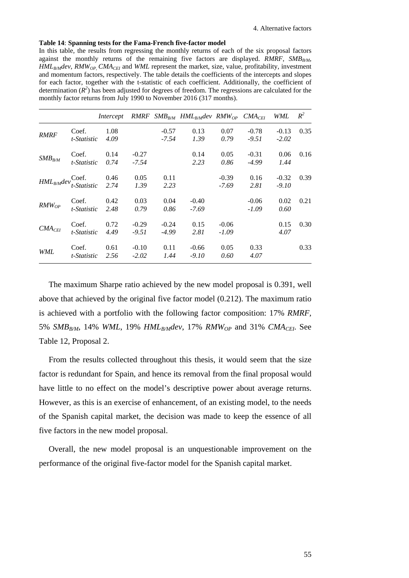#### <span id="page-62-0"></span>**Table 14**: **Spanning tests for the Fama-French five-factor model**

In this table, the results from regressing the monthly returns of each of the six proposal factors against the monthly returns of the remaining five factors are displayed. *RMRF*,  $SMB_{BM}$ , *HMLB/Mdev*, *RMWOP*, *CMACEI* and *WML* represent the market, size, value, profitability, investment and momentum factors, respectively. The table details the coefficients of the intercepts and slopes for each factor, together with the t-statistic of each coefficient. Additionally, the coefficient of determination  $(R^2)$  has been adjusted for degrees of freedom. The regressions are calculated for the monthly factor returns from July 1990 to November 2016 (317 months).

|                    |             | Intercept |         |         | $RMRF$ SMB <sub>B/M</sub> HML <sub>B/M</sub> dev RMW <sub>OP</sub> CMA <sub>CEI</sub> |         |         | WML     | $R^2$ |
|--------------------|-------------|-----------|---------|---------|---------------------------------------------------------------------------------------|---------|---------|---------|-------|
| <b>RMRF</b>        | Coef.       | 1.08      |         | $-0.57$ | 0.13                                                                                  | 0.07    | $-0.78$ | $-0.13$ | 0.35  |
|                    | t-Statistic | 4.09      |         | $-7.54$ | 1.39                                                                                  | 0.79    | $-9.51$ | $-2.02$ |       |
|                    | Coef.       | 0.14      | $-0.27$ |         | 0.14                                                                                  | 0.05    | $-0.31$ | 0.06    | 0.16  |
| $SMB_{BM}$         | t-Statistic | 0.74      | -7.54   |         | 2.23                                                                                  | 0.86    | -4.99   | 1.44    |       |
|                    | Coef.       | 0.46      | 0.05    | 0.11    |                                                                                       | $-0.39$ | 0.16    | $-0.32$ | 0.39  |
| $HML_{B/M}$ dev    | t-Statistic | 2.74      | 1.39    | 2.23    |                                                                                       | $-7.69$ | 2.81    | $-9.10$ |       |
|                    | Coef.       | 0.42      | 0.03    | 0.04    | $-0.40$                                                                               |         | $-0.06$ | 0.02    | 0.21  |
| $RMW_{OP}$         | t-Statistic | 2.48      | 0.79    | 0.86    | $-7.69$                                                                               |         | $-1.09$ | 0.60    |       |
|                    | Coef.       | 0.72      | $-0.29$ | $-0.24$ | 0.15                                                                                  | $-0.06$ |         | 0.15    | 0.30  |
| CMA <sub>CEI</sub> | t-Statistic | 4.49      | $-9.51$ | $-4.99$ | 2.81                                                                                  | $-1.09$ |         | 4.07    |       |
|                    | Coef.       | 0.61      | $-0.10$ | 0.11    | $-0.66$                                                                               | 0.05    | 0.33    |         | 0.33  |
| <b>WML</b>         | t-Statistic | 2.56      | $-2.02$ | 1.44    | $-9.10$                                                                               | 0.60    | 4.07    |         |       |

The maximum Sharpe ratio achieved by the new model proposal is 0.391, well above that achieved by the original five factor model (0.212). The maximum ratio is achieved with a portfolio with the following factor composition: 17% *RMRF,*  5% *SMBB/M*, 14% *WML*, 19% *HMLB/Mdev*, 17% *RMWOP* and 31% *CMACEI*. See [Table 12,](#page-53-0) Proposal 2.

From the results collected throughout this thesis, it would seem that the size factor is redundant for Spain, and hence its removal from the final proposal would have little to no effect on the model's descriptive power about average returns. However, as this is an exercise of enhancement, of an existing model, to the needs of the Spanish capital market, the decision was made to keep the essence of all five factors in the new model proposal.

Overall, the new model proposal is an unquestionable improvement on the performance of the original five-factor model for the Spanish capital market.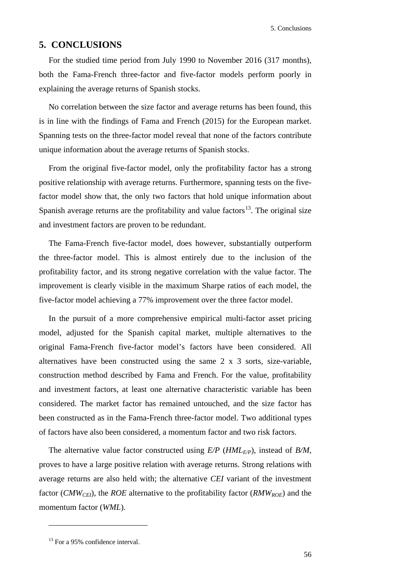# **5. CONCLUSIONS**

For the studied time period from July 1990 to November 2016 (317 months), both the Fama-French three-factor and five-factor models perform poorly in explaining the average returns of Spanish stocks.

No correlation between the size factor and average returns has been found, this is in line with the findings of Fama and French (2015) for the European market. Spanning tests on the three-factor model reveal that none of the factors contribute unique information about the average returns of Spanish stocks.

From the original five-factor model, only the profitability factor has a strong positive relationship with average returns. Furthermore, spanning tests on the fivefactor model show that, the only two factors that hold unique information about Spanish average returns are the profitability and value factors<sup>[13](#page-63-0)</sup>. The original size and investment factors are proven to be redundant.

The Fama-French five-factor model, does however, substantially outperform the three-factor model. This is almost entirely due to the inclusion of the profitability factor, and its strong negative correlation with the value factor. The improvement is clearly visible in the maximum Sharpe ratios of each model, the five-factor model achieving a 77% improvement over the three factor model.

In the pursuit of a more comprehensive empirical multi-factor asset pricing model, adjusted for the Spanish capital market, multiple alternatives to the original Fama-French five-factor model's factors have been considered. All alternatives have been constructed using the same 2 x 3 sorts, size-variable, construction method described by Fama and French. For the value, profitability and investment factors, at least one alternative characteristic variable has been considered. The market factor has remained untouched, and the size factor has been constructed as in the Fama-French three-factor model. Two additional types of factors have also been considered, a momentum factor and two risk factors.

The alternative value factor constructed using  $E/P$  ( $HML_{E/P}$ ), instead of  $B/M$ , proves to have a large positive relation with average returns. Strong relations with average returns are also held with; the alternative *CEI* variant of the investment factor (*CMW<sub>CEI</sub>*), the *ROE* alternative to the profitability factor (*RMW<sub>ROE</sub>*) and the momentum factor (*WML*).

<u>.</u>

<span id="page-63-0"></span><sup>&</sup>lt;sup>13</sup> For a 95% confidence interval.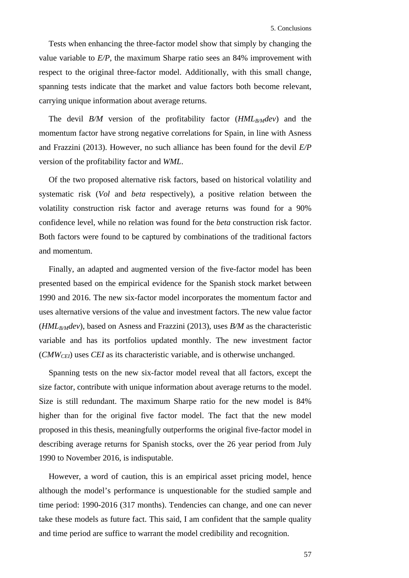Tests when enhancing the three-factor model show that simply by changing the value variable to *E/P*, the maximum Sharpe ratio sees an 84% improvement with respect to the original three-factor model. Additionally, with this small change, spanning tests indicate that the market and value factors both become relevant, carrying unique information about average returns.

The devil *B/M* version of the profitability factor  $(HML_{B/M}dev)$  and the momentum factor have strong negative correlations for Spain, in line with Asness and Frazzini (2013). However, no such alliance has been found for the devil *E/P* version of the profitability factor and *WML*.

Of the two proposed alternative risk factors, based on historical volatility and systematic risk (*Vol* and *beta* respectively), a positive relation between the volatility construction risk factor and average returns was found for a 90% confidence level, while no relation was found for the *beta* construction risk factor. Both factors were found to be captured by combinations of the traditional factors and momentum.

Finally, an adapted and augmented version of the five-factor model has been presented based on the empirical evidence for the Spanish stock market between 1990 and 2016. The new six-factor model incorporates the momentum factor and uses alternative versions of the value and investment factors. The new value factor (*HMLB/Mdev*), based on Asness and Frazzini (2013), uses *B/M* as the characteristic variable and has its portfolios updated monthly. The new investment factor (*CMWCEI*) uses *CEI* as its characteristic variable, and is otherwise unchanged.

Spanning tests on the new six-factor model reveal that all factors, except the size factor, contribute with unique information about average returns to the model. Size is still redundant. The maximum Sharpe ratio for the new model is 84% higher than for the original five factor model. The fact that the new model proposed in this thesis, meaningfully outperforms the original five-factor model in describing average returns for Spanish stocks, over the 26 year period from July 1990 to November 2016, is indisputable.

However, a word of caution, this is an empirical asset pricing model, hence although the model's performance is unquestionable for the studied sample and time period: 1990-2016 (317 months). Tendencies can change, and one can never take these models as future fact. This said, I am confident that the sample quality and time period are suffice to warrant the model credibility and recognition.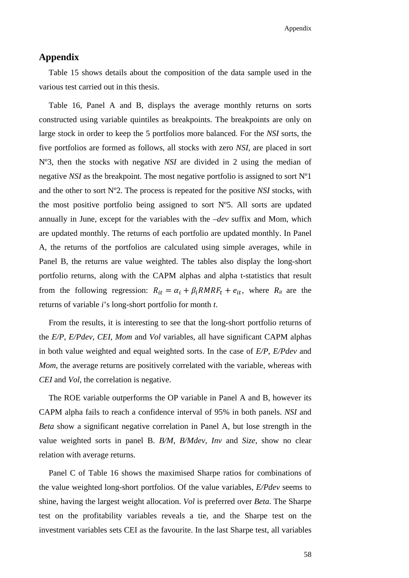# **Appendix**

[Table 15](#page-67-1) shows details about the composition of the data sample used in the various test carried out in this thesis.

[Table 16,](#page-68-0) Panel A and B, displays the average monthly returns on sorts constructed using variable quintiles as breakpoints. The breakpoints are only on large stock in order to keep the 5 portfolios more balanced. For the *NSI* sorts, the five portfolios are formed as follows, all stocks with zero *NSI*, are placed in sort Nº3, then the stocks with negative *NSI* are divided in 2 using the median of negative *NSI* as the breakpoint. The most negative portfolio is assigned to sort Nº1 and the other to sort  $N^{\circ}2$ . The process is repeated for the positive *NSI* stocks, with the most positive portfolio being assigned to sort Nº5. All sorts are updated annually in June, except for the variables with the *–dev* suffix and Mom, which are updated monthly. The returns of each portfolio are updated monthly. In Panel A, the returns of the portfolios are calculated using simple averages, while in Panel B, the returns are value weighted. The tables also display the long-short portfolio returns, along with the CAPM alphas and alpha t-statistics that result from the following regression:  $R_{it} = \alpha_i + \beta_i RMRF_t + e_{it}$ , where  $R_{it}$  are the returns of variable *i*'s long-short portfolio for month *t*.

From the results, it is interesting to see that the long-short portfolio returns of the *E/P*, *E/Pdev*, *CEI*, *Mom* and *Vol* variables, all have significant CAPM alphas in both value weighted and equal weighted sorts. In the case of *E/P*, *E/Pdev* and *Mom*, the average returns are positively correlated with the variable, whereas with *CEI* and *Vol*, the correlation is negative.

The ROE variable outperforms the OP variable in Panel A and B, however its CAPM alpha fails to reach a confidence interval of 95% in both panels. *NSI* and *Beta* show a significant negative correlation in Panel A, but lose strength in the value weighted sorts in panel B. *B/M*, *B/Mdev*, *Inv* and *Size*, show no clear relation with average returns.

Panel C of [Table 16](#page-68-0) shows the maximised Sharpe ratios for combinations of the value weighted long-short portfolios. Of the value variables, *E/Pdev* seems to shine, having the largest weight allocation. *Vol* is preferred over *Beta*. The Sharpe test on the profitability variables reveals a tie, and the Sharpe test on the investment variables sets CEI as the favourite. In the last Sharpe test, all variables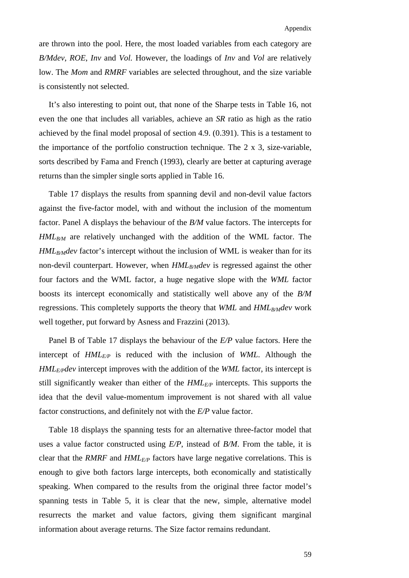are thrown into the pool. Here, the most loaded variables from each category are *B/Mdev*, *ROE*, *Inv* and *Vol.* However, the loadings of *Inv* and *Vol* are relatively low. The *Mom* and *RMRF* variables are selected throughout, and the size variable is consistently not selected.

It's also interesting to point out, that none of the Sharpe tests in [Table 16,](#page-68-0) not even the one that includes all variables, achieve an *SR* ratio as high as the ratio achieved by the final model proposal of section [4.9.](#page-59-0) (0.391). This is a testament to the importance of the portfolio construction technique. The 2 x 3, size-variable, sorts described by Fama and French (1993), clearly are better at capturing average returns than the simpler single sorts applied in [Table 16.](#page-68-0)

[Table 17](#page-69-0) displays the results from spanning devil and non-devil value factors against the five-factor model, with and without the inclusion of the momentum factor. Panel A displays the behaviour of the *B/M* value factors. The intercepts for  $HML_{B/M}$  are relatively unchanged with the addition of the WML factor. The *HML<sub>B/M</sub>dev* factor's intercept without the inclusion of WML is weaker than for its non-devil counterpart. However, when *HML<sub>B/M</sub>dev* is regressed against the other four factors and the WML factor, a huge negative slope with the *WML* factor boosts its intercept economically and statistically well above any of the *B/M*  regressions. This completely supports the theory that *WML* and *HML<sub>B/M</sub>dev* work well together, put forward by Asness and Frazzini (2013).

Panel B of [Table 17](#page-69-0) displays the behaviour of the *E/P* value factors. Here the intercept of *HMLE/P* is reduced with the inclusion of *WML*. Although the *HMLE/Pdev* intercept improves with the addition of the *WML* factor, its intercept is still significantly weaker than either of the *HMLE/P* intercepts. This supports the idea that the devil value-momentum improvement is not shared with all value factor constructions, and definitely not with the *E/P* value factor.

[Table 18](#page-69-1) displays the spanning tests for an alternative three-factor model that uses a value factor constructed using *E/P*, instead of *B/M*. From the table, it is clear that the *RMRF* and *HMLE/P* factors have large negative correlations. This is enough to give both factors large intercepts, both economically and statistically speaking. When compared to the results from the original three factor model's spanning tests in [Table 5,](#page-32-0) it is clear that the new, simple, alternative model resurrects the market and value factors, giving them significant marginal information about average returns. The Size factor remains redundant.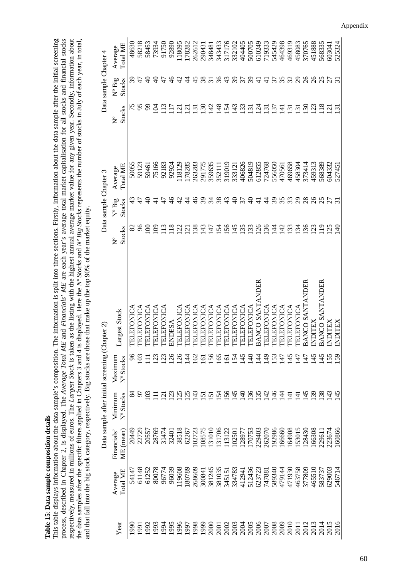<span id="page-67-0"></span>Table 15: Data sample composition details **Table 15**: **Data sample composition details**

<span id="page-67-1"></span>This table displays information about the data sample's composition. The information is split into three sections. Firstly, information about the data sample after the initial screening<br>process, described in Chapter 2, is This table displays information about the data sample's composition. The information is split into three sections. Firstly, information about the data sample after the initial screening process, described in Chapter 2, is displayed. The *Average Total ME* and *Financials' ME* are each year's average total market capitalisation for all stocks and financial stocks respectively, measured in millions of euros. The *Largest Stock* is taken as the listing with the highest annual average market value for any given year. Secondly, information about the data samples after the specific filters applied in Chapters 3 and 4 is displayed. Here the *Nº Stocks* and *Nº Big Stocks* represents the number of stocks in July of each year, in total, and that fall into the big stock category, respectively. Big stocks are those that make up the top 90% of the market equity. and that fall into the big stock category, respectively. Big stocks are those that make up the top 90% of the market equity.

|                                                 | $\rm Total\,ME$<br>Average              | 48630             | 58218             | 58453      | 73934            | 91750             | 92890           | 118095                | 178282            | 262612            | 290431            | 348481          | 343433          | 317176                | 332102          | 404405               | 500705                      | 610249                       | 719333            | 545429           | 464398           | 469319            | 458083                      | 370765          | 451888          | 568335          | 603041         | 525324             |
|-------------------------------------------------|-----------------------------------------|-------------------|-------------------|------------|------------------|-------------------|-----------------|-----------------------|-------------------|-------------------|-------------------|-----------------|-----------------|-----------------------|-----------------|----------------------|-----------------------------|------------------------------|-------------------|------------------|------------------|-------------------|-----------------------------|-----------------|-----------------|-----------------|----------------|--------------------|
| Data sample Chapter 4                           | $\mathrm{N}^{\mathrm{o}}$ Big<br>Stocks | 39                | 47                | ੩          | ₹                |                   | $\frac{6}{4}$   | 4                     |                   | 45                | $\frac{8}{3}$     | $\overline{31}$ | 36              | $\frac{4}{3}$         | 39              | 57                   | $\mathcal{S}^{\mathcal{S}}$ | 급                            | $\exists$         | 35               |                  | $\Im$             | $\mathcal{S}^{\mathcal{O}}$ | $\delta$        | $\delta$        |                 |                |                    |
|                                                 | Stocks<br>ż                             |                   | 95                | 3          | S                |                   | $\overline{17}$ | $\overline{c}$        | $\overline{c}$    | $\overline{5}$    | $\mathcal{S}$     | स्              | $\frac{8}{4}$   | $\dot{2}$             | स्              | $\overline{3}$       | $\tilde{\omega}$            | Ş                            | $\tilde{\bm{c}}$  | $\tilde{\omega}$ | $\pm$            | $\tilde{\omega}$  | $\tilde{\omega}$            | $\frac{6}{2}$   | $\mathcal{L}$   | $\frac{8}{18}$  | $\overline{c}$ | $\tilde{\epsilon}$ |
|                                                 | Total ME<br>Average                     | 50055             | 59123             | 59461      | 75166            | 92183             | 92924           | .18129                | 178285            | 263283            | 291775            | 359635          | 35211           | 319019                | 333121          | 406826               | 504819                      | 612855                       | 724768            | 556050           | 470561           | 469658            | 458304                      | 373414          | 459313          | 568389          | 604332         | 527451             |
| Data sample Chapter 3                           | $N^{\circ}$ Big<br>Stocks               | 43                | $\ddot{t}$        | ₽          |                  |                   |                 | 4                     |                   | $\frac{9}{4}$     | $\Im$             | 34              | 38              | $\frac{4}{3}$         | $\theta$        | 57                   | ¥                           |                              | 4                 | $\mathcal{E}$    | 35               | 33                | $\overline{c}$              | 28              | $\delta$        |                 |                |                    |
|                                                 | Stocks<br>ż                             | 82                | 66                | S          | $\Theta$         | $\overline{13}$   | $\frac{8}{18}$  | $\overline{2}$        | $\overline{c}$    | 38                | $\frac{43}{5}$    | $\overline{47}$ | $\overline{54}$ | 56                    | $\overline{45}$ | $\overline{35}$      | $\overline{3}$              | 26                           | $\frac{36}{5}$    | $\overline{4}$   | $\overline{42}$  | 33                | $\overline{34}$             | 36              | $\overline{23}$ | $\frac{9}{2}$   | 25             | $\Theta$           |
|                                                 | Largest Stock                           | <b>TELEFONICA</b> | <b>TELEFONICA</b> | TELEFONICA | TELEFONICA       | <b>TELEFONICA</b> | ENDESA          | <b>TELEFONICA</b>     | <b>TELEFONICA</b> | <b>TELEFONICA</b> | <b>TELEFONICA</b> | TELEFONICA      | TELEFONICA      | <b>TELEFONICA</b>     | TELEFONICA      | <b>TELEFONICA</b>    | TELEFONICA                  | BANCO SANTANDER              | <b>TELEFONICA</b> | TELEFONICA       | TELEFONICA       | <b>TELEFONICA</b> | <b>TELEFONICA</b>           | BANCO SANTANDER | <b>INDITEX</b>  | BANCO SANTANDER | INDITEX        | <b>INDITEX</b>     |
| Data sample after initial screening (Chapter 2) | Maximum<br>Nº Stocks                    | 96                | $\mathfrak{S}$    |            | $\tilde{\omega}$ | 23                | 26              | $\tilde{\mathcal{S}}$ | $\vec{A}$         | 62                | ତ୍ର               | 56              | <u>591</u>      | $\tilde{\mathcal{O}}$ | $\frac{2}{4}$   | $\frac{45}{5}$       | $\hat{H}$                   | र्च                          | $\frac{1}{2}$     | 53               | $\overline{147}$ | $\frac{45}{5}$    | 47                          | $\ddot{t}$      | $\frac{45}{5}$  | $\overline{45}$ | 55             | 59                 |
|                                                 | Minimum<br>Nº Stocks                    | 84                | 5                 | S          | Ξ                | $\overline{c}$    | $\mathcal{Z}$   | $\tilde{\mathcal{L}}$ | $\overline{25}$   | 43                | $\overline{2}$    | $\overline{2}$  | $\mathcal{L}$   | 56                    | $\frac{45}{5}$  | $\overline{4}$       | $\frac{36}{5}$              | $\overline{.35}$             | $\overline{42}$   | $\frac{9}{2}$    | $\dot{A}$        | ਚ                 | ਚ                           | 45              | $\mathcal{S}$   | $\frac{38}{2}$  | $\ddot{a}$     | 45                 |
|                                                 | ME (mean)<br>Financials'                | 20449             | 22729             | 20557      | 28769            | 31474             | 32401           | 38518                 | 62267             | 102723            | 108575            | 131010          | 131706          | 113122                | 102501          | 128977               | 170753                      | 229403                       | 262070            | 192986           | 199991           | 164908            | 153015                      | 128430          | 166308          | 229611          | 223674         | 160866             |
|                                                 | $\rm Total\,ME$<br>Average              | 54147             | 61148             | 61252      | 80078            | 96774             | 96039           | .19608                | 180789            | 268609            | 300841            | 381245          | 381035          | 345151                | 334783          | 412941               | 512436                      | 623723                       | 747881            | 589340           | 479144           | 471930            | 463758                      | 377809          | 465510          | 583737          | 629003         | 546714             |
|                                                 | Year                                    | 1990              | 1991              | 1992       | 1993             | 1994              | 1995            | 1996                  | 1997              | 1998              |                   | 2000            | 2001            |                       |                 | 2003<br>2003<br>2004 |                             | 2005<br>2007<br>2008<br>2009 |                   |                  |                  | 2010              | 2011<br>2012                |                 | 2013            | 2014            | 2015           | 2016               |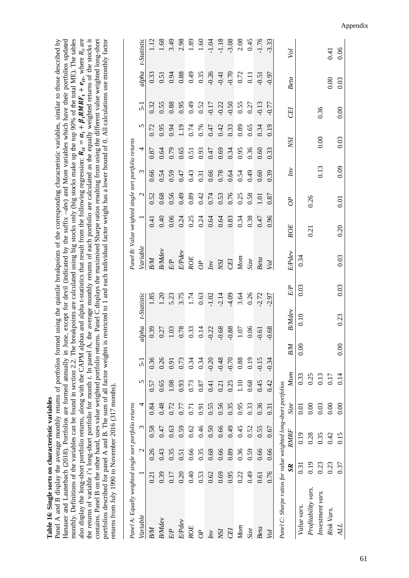l'able 16: Single sorts on characteristic variables **Table 16**: **Single sorts on characteristic variables**

<span id="page-68-0"></span>Panel A and B display the average monthly returns of portfolios formed using the quintile breakpoints of the corresponding characteristic variables, similar to those described by Hanauer and Lauterbach (2018). Portfolios are formed annually in June, except for devil (indicated by the suffix -dev) and Mom variables which have their portfolios updated<br>monthly. Definitions of the variables can be foun monthly. Definitions of the variables can be found in section [2.2.](#page-20-1) The breakpoints are calculated using big stocks only (big stocks make up the top 90% of the total ME). The tables also display the long-short portfolio returns, along with the CAPM alphas and alpha t-statistics that result from the following regression:  $R_{it} = \alpha_i + \beta_i RMRF_t + e_{it}$ , where  $R_{it}$  are the returns of variable *i*'s long-short portfolio for month *t*. In panel A, the average monthly returns of each portfolio are calculated as the equally weighted returns of the stocks it contains. Panel B on the other hand, uses value weighted portfolio returns. Panel C displays the maximised Sharpe ratios resulting from using the different value weighted long-short contains. Panel B on the other hand, uses value weighted portfolio returns. Panel C displays the maximised Sharpe ratios resulting from using the different value weighted long-short portfolios described for panel A and B. The sum of all factor weights is restricted to 1 and each individual factor weight has a lower bound of 0. All calculations use monthly factor Panel A and B display the average monthly returns of portfolios formed using the quintile breakpoints of the corresponding characteristic variables, similar to those described by also display the long-short portfolio returns, along with the CAPM alphas and alpha t-statistics that result from the following regression:  $R_{tt} = \alpha_t + \beta_t RMRF_t + e_{tt}$ , where  $R_{it}$  are the returns of variable i's long-short portfolio for month t. In panel A, the average monthly returns of each portfolio are calculated as the equally weighted returns of the stocks it portfolios described for panel A and B. The sum of all factor weights is restricted to 1 and each individual factor weight has a lower bound of 0. All calculations use monthly factor Hanauer and Lauterbach (2018). Portfolios are formed annually in June, except for devil (indicated by the suffix *–dev*) and M*om* variables which have their portfolios updated returns from July 1990 to November 2016 (317 months). returns from July 1990 to November 2016 (317 months).

| Panel A: Equally weighted single sort portfolio returns         |                  |               |             |                   |          |                |         |                     |                                 | Panel B: Value weighted single sort portfolio returns |                  |                |                      |      |                      |                   |                                      |                            |
|-----------------------------------------------------------------|------------------|---------------|-------------|-------------------|----------|----------------|---------|---------------------|---------------------------------|-------------------------------------------------------|------------------|----------------|----------------------|------|----------------------|-------------------|--------------------------------------|----------------------------|
| Variable                                                        |                  | $\mathcal{L}$ | $\epsilon$  | 4                 | 5        | $5-1$          | alpha   | t-Statistic         | Variable                        |                                                       |                  | $\mathcal{L}$  | $\omega$             | 4    | 5                    | $\overline{5}$ -1 |                                      | alpha t-Statistic          |
| B/M                                                             | 0.21             | 0.26          | 0.58        | 0.84              | 0.57     | 0.36           | 0.39    | 1.85                | BM                              |                                                       | 0.41             | 0.52           | 0.66                 | 0.87 | 0.72                 | 0.32              |                                      |                            |
| <b>B</b> Mdev                                                   | 0.39             | 0.43          | 0.47        | 0.48              | 0.65     | 0.26           | 0.27    | 1.20                | <b>B</b> Mdev                   |                                                       | 0.40             | 0.68           | 0.54                 | 0.64 | 0.95                 | 0.55              |                                      | .68                        |
| $E/P$                                                           | 0.17             | 0.35          | 0.63        | 0.72              | $1.08\,$ | 0.91           | 1.03    | 5.23                | $\cal{EP}$                      |                                                       | 0.06             | 0.56           | 0.59                 | 0.79 | 0.94                 | 0.88              | 0.33<br>0.51<br>0.94<br>0.88         | 3.49                       |
| E/Pdev                                                          | 0.20             | 0.51          | 0.59        | 0.77              | 0.93     | 0.73           | 0.78    | 3.75                | <b>EPdev</b>                    |                                                       | 0.24             | 0.49           | 0.47                 | 0.65 | 1.19                 | 0.95              |                                      | 2.98                       |
| ROE                                                             | 0.40             | 0.66          | 0.62        | $\overline{0.71}$ | 0.73     | 0.34           | 0.33    |                     | $ROE$                           |                                                       |                  | 0.89           |                      | 0.51 | 0.74                 | 64.0              |                                      | 1.89                       |
|                                                                 | 0.53             | 0.35          | 0.46        | 0.91              | 0.87     | 0.34           | 0.14    |                     | $\frac{\partial P}{\partial n}$ |                                                       | $0.25$<br>$0.24$ |                |                      |      |                      |                   |                                      | 1.60                       |
| $\frac{dP}{dQ}$                                                 | 0.62             | 0.68          | 0.50        | 0.55              | 0.41     | $-0.20$        | $-0.22$ | $\frac{1.74}{0.63}$ |                                 |                                                       | 0.64             | $0.42$<br>0.74 | 0.43<br>0.31<br>0.66 | 0.93 | 0.76<br>0.47<br>0.42 | 0.52              | $0.49$<br>$0.35$<br>$0.26$<br>$0.41$ | 1.04                       |
|                                                                 | 0.69             | 0.66          | 0.66        | 0.56              | 0.21     | $-0.48$        | $-0.68$ | 2.14                | VSI<br>CEI                      |                                                       |                  | 0.53<br>0.76   | 0.78                 | 0.69 |                      | $-0.22$           |                                      | $-1.18$                    |
| NSI<br>CEI                                                      | 0.95             | 0.89          | 0.49        | 0.35              | 0.25     | $-0.70$        | 0.88    | -4.09               |                                 |                                                       | 0.83             |                | 0.64                 | 0.34 | 0.33                 | 0.50              | $-0.70$                              |                            |
| Mom                                                             | 0.22             | 0.36          | 0.45        | 0.95              | $1.10\,$ | 0.88           | 1.07    | 3.64                | Mon                             |                                                       | 0.34             | 0.25           | 0.54                 | 0.95 | 0.89                 | 0.55              | 0.72                                 | $3.08$<br>$2.08$<br>$0.45$ |
| Size                                                            | 64.0             | 0.59          | 0.52        | 0.33              | 0.68     | 0.19           | 0.06    | 0.26                | Size                            |                                                       | 0.38             | 0.58           | 0.49                 | 0.36 | 0.65                 | 0.27              | $\overline{0}$                       |                            |
| <b>Beta</b>                                                     | 0.61             | 0.66          | 0.55        | 0.36              | 0.45     | $-0.15$        | $-0.61$ | $-2.72$             | Beta                            |                                                       | 0.47             | 1.01           | 0.60                 | 0.60 | 0.34                 | $-0.13$           | 0.51                                 | 1.76                       |
| Vol                                                             | 0.76             | 0.66          | 0.67        | 0.31              | 0.42     | $-0.34$        | $-0.68$ | $-2.97$             | $\overline{M}$                  |                                                       | 0.96             | 0.87           | 0.39                 | 0.33 | 0.19                 | $-0.77$           | <b>L60</b>                           | 3.33                       |
| Panel C: Sharpe ratios for value weighted long-short portfolios |                  |               |             |                   |          |                |         |                     |                                 |                                                       |                  |                |                      |      |                      |                   |                                      |                            |
|                                                                 | $S_{R}$          |               | <b>RMRF</b> | Size              | Mom      | B/M            |         | E/P<br>BMdev        | EPdev                           | <b>ROE</b>                                            |                  | $\partial P$   | $\hat{I}$            | XSI  |                      | СEI               | Beta                                 | Vol                        |
| Value vars.                                                     | $\overline{0.3}$ |               | 0.19        | 0.01              | 0.33     | $\frac{8}{10}$ | 0.10    | 0.03                | 0.34                            |                                                       |                  |                |                      |      |                      |                   |                                      |                            |
| Profitability vars.                                             | 0.19             |               | 0.28        | 0.00              | 0.25     |                |         |                     |                                 | 0.21                                                  |                  | 0.26           |                      |      |                      |                   |                                      |                            |
| Investment vars.                                                | 0.23             |               | 0.35        | 0.03              | 0.13     |                |         |                     |                                 |                                                       |                  |                | 0.13                 | 0.00 |                      | 0.36              |                                      |                            |
| Risk Vars.                                                      | 0.23             |               | 0.42        | 0.00              | 0.17     |                |         |                     |                                 |                                                       |                  |                |                      |      |                      |                   | 0.00                                 | 0.41                       |
| ALL                                                             | 0.37             |               | 0.15        | 0.00              | 0.14     | $_{0.00}$      |         | 0.03<br>0.23        | 0.03                            | 0.20                                                  |                  | 0.01           | 0.09                 | 0.03 |                      | 0.00              | 0.03                                 | 0.06                       |

Appendix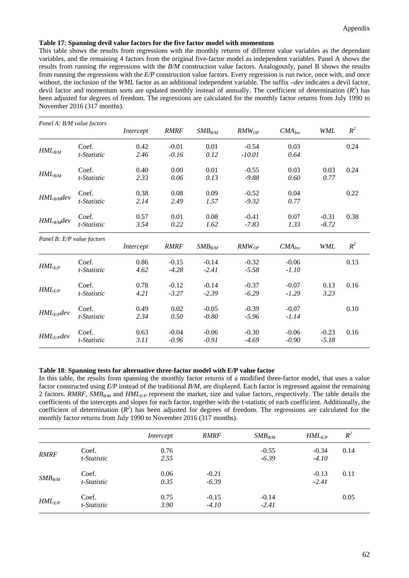#### <span id="page-69-0"></span>**Table 17**: **Spanning devil value factors for the five factor model with momentum**

This table shows the results from regressions with the monthly returns of different value variables as the dependant variables, and the remaining 4 factors from the original five-factor model as independent variables. Panel A shows the results from running the regressions with the *B/M* construction value factors. Analogously, panel B shows the results from running the regressions with the *E/P* construction value factors. Every regression is run twice, once with, and once without, the inclusion of the *WML* factor as an additional independent variable. The suffix *–dev* indicates a devil factor, devil factor and momentum sorts are updated monthly instead of annually. The coefficient of determination  $(R^2)$  has been adjusted for degrees of freedom. The regressions are calculated for the monthly factor returns from July 1990 to November 2016 (317 months).

| Panel A: B/M value factors |                      | Intercept    | <b>RMRF</b>        | $SMB_{B/M}$        | $RMW_{OP}$          | $CMA_{Inv}$        | <b>WML</b>         | $R^2$ |
|----------------------------|----------------------|--------------|--------------------|--------------------|---------------------|--------------------|--------------------|-------|
| $HML_{B/M}$                | Coef.<br>t-Statistic | 0.42<br>2.46 | $-0.01$<br>$-0.16$ | 0.01<br>0.12       | $-0.54$<br>$-10.01$ | 0.03<br>0.64       |                    | 0.24  |
| $HML_{B/M}$                | Coef.<br>t-Statistic | 0.40<br>2.33 | 0.00<br>0.06       | 0.01<br>0.13       | $-0.55$<br>$-9.88$  | 0.03<br>0.60       | 0.03<br>0.77       | 0.24  |
| $HML_{B/M}$ dev            | Coef.<br>t-Statistic | 0.38<br>2.14 | 0.08<br>2.49       | 0.09<br>1.57       | $-0.52$<br>$-9.32$  | 0.04<br>0.77       |                    | 0.22  |
| $HML_{B/M}$ dev            | Coef.<br>t-Statistic | 0.57<br>3.54 | 0.01<br>0.22       | 0.08<br>1.62       | $-0.41$<br>$-7.83$  | 0.07<br>1.33       | $-0.31$<br>$-8.72$ | 0.38  |
| Panel B: E/P value factors |                      | Intercept    | <b>RMRF</b>        | $SMB_{B/M}$        | $RMW_{OP}$          | $CMA_{Inv}$        | <b>WML</b>         | $R^2$ |
|                            |                      |              |                    |                    |                     |                    |                    |       |
| $HML$ <sub>E/P</sub>       | Coef.<br>t-Statistic | 0.86<br>4.62 | $-0.15$<br>$-4.28$ | $-0.14$<br>$-2.41$ | $-0.32$<br>$-5.58$  | $-0.06$<br>$-1.10$ |                    | 0.13  |
| $HML$ <sub>E/P</sub>       | Coef.<br>t-Statistic | 0.78<br>4.21 | $-0.12$<br>$-3.27$ | $-0.14$<br>$-2.39$ | $-0.37$<br>$-6.29$  | $-0.07$<br>$-1.29$ | 0.13<br>3.23       | 0.16  |
| $HML_{E/P}$ dev            | Coef.<br>t-Statistic | 0.49<br>2.34 | 0.02<br>0.50       | $-0.05$<br>$-0.80$ | $-0.39$<br>$-5.96$  | $-0.07$<br>$-1.14$ |                    | 0.10  |

# <span id="page-69-1"></span>**Table 18**: **Spanning tests for alternative three-factor model with E/P value factor**

In this table, the results from spanning the monthly factor returns of a modified three-factor model, that uses a value factor constructed using *E/P* instead of the traditional *B/M*, are displayed. Each factor is regressed against the remaining 2 factors. *RMRF*, *SMB<sub>B/M</sub>* and *HML<sub>E/P</sub>* represent the market, size and value factors, respectively. The table details the coefficients of the intercepts and slopes for each factor, together with the t-statistic of each coefficient. Additionally, the coefficient of determination  $(R^2)$  has been adjusted for degrees of freedom. The regressions are calculated for the monthly factor returns from July 1990 to November 2016 (317 months).

|             |                      | Intercept    | <i><b>RMRF</b></i> | $SMB_{B/M}$        | $HML$ <sub>E/P</sub> | $R^2$ |
|-------------|----------------------|--------------|--------------------|--------------------|----------------------|-------|
| <b>RMRF</b> | Coef.<br>t-Statistic | 0.76<br>2.55 |                    | $-0.55$<br>$-6.39$ | $-0.34$<br>$-4.10$   | 0.14  |
| $SMB_{B/M}$ | Coef.<br>t-Statistic | 0.06<br>0.35 | $-0.21$<br>$-6.39$ |                    | $-0.13$<br>$-2.41$   | 0.11  |
| $HML_{E/P}$ | Coef.<br>t-Statistic | 0.75<br>3.90 | $-0.15$<br>$-4.10$ | $-0.14$<br>$-2.41$ |                      | 0.05  |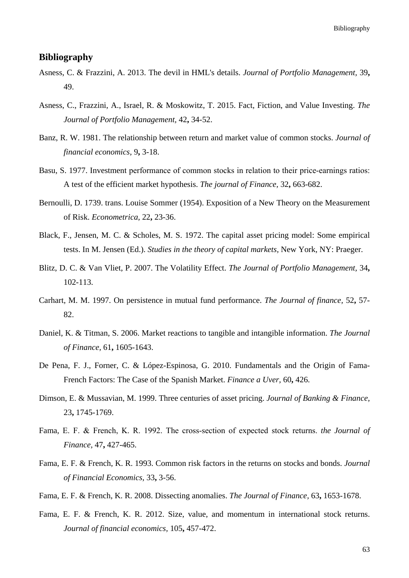Bibliography

# **Bibliography**

- Asness, C. & Frazzini, A. 2013. The devil in HML's details. *Journal of Portfolio Management,* 39**,** 49.
- Asness, C., Frazzini, A., Israel, R. & Moskowitz, T. 2015. Fact, Fiction, and Value Investing. *The Journal of Portfolio Management,* 42**,** 34-52.
- Banz, R. W. 1981. The relationship between return and market value of common stocks. *Journal of financial economics,* 9**,** 3-18.
- Basu, S. 1977. Investment performance of common stocks in relation to their price-earnings ratios: A test of the efficient market hypothesis. *The journal of Finance,* 32**,** 663-682.
- Bernoulli, D. 1739. trans. Louise Sommer (1954). Exposition of a New Theory on the Measurement of Risk. *Econometrica,* 22**,** 23-36.
- Black, F., Jensen, M. C. & Scholes, M. S. 1972. The capital asset pricing model: Some empirical tests. In M. Jensen (Ed.). *Studies in the theory of capital markets,* New York, NY: Praeger.
- Blitz, D. C. & Van Vliet, P. 2007. The Volatility Effect. *The Journal of Portfolio Management,* 34**,** 102-113.
- Carhart, M. M. 1997. On persistence in mutual fund performance. *The Journal of finance,* 52**,** 57- 82.
- Daniel, K. & Titman, S. 2006. Market reactions to tangible and intangible information. *The Journal of Finance,* 61**,** 1605-1643.
- De Pena, F. J., Forner, C. & López-Espinosa, G. 2010. Fundamentals and the Origin of Fama-French Factors: The Case of the Spanish Market. *Finance a Uver,* 60**,** 426.
- Dimson, E. & Mussavian, M. 1999. Three centuries of asset pricing. *Journal of Banking & Finance,* 23**,** 1745-1769.
- Fama, E. F. & French, K. R. 1992. The cross‐section of expected stock returns. *the Journal of Finance,* 47**,** 427-465.
- Fama, E. F. & French, K. R. 1993. Common risk factors in the returns on stocks and bonds. *Journal of Financial Economics,* 33**,** 3-56.
- Fama, E. F. & French, K. R. 2008. Dissecting anomalies. *The Journal of Finance,* 63**,** 1653-1678.
- Fama, E. F. & French, K. R. 2012. Size, value, and momentum in international stock returns. *Journal of financial economics,* 105**,** 457-472.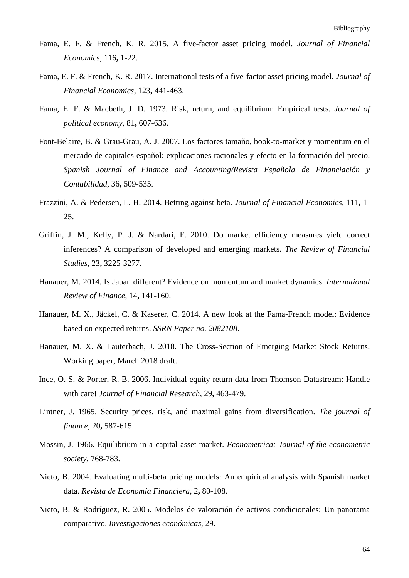- Fama, E. F. & French, K. R. 2015. A five-factor asset pricing model. *Journal of Financial Economics,* 116**,** 1-22.
- Fama, E. F. & French, K. R. 2017. International tests of a five-factor asset pricing model. *Journal of Financial Economics,* 123**,** 441-463.
- Fama, E. F. & Macbeth, J. D. 1973. Risk, return, and equilibrium: Empirical tests. *Journal of political economy,* 81**,** 607-636.
- Font-Belaire, B. & Grau-Grau, A. J. 2007. Los factores tamaño, book-to-market y momentum en el mercado de capitales español: explicaciones racionales y efecto en la formación del precio. *Spanish Journal of Finance and Accounting/Revista Española de Financiación y Contabilidad,* 36**,** 509-535.
- Frazzini, A. & Pedersen, L. H. 2014. Betting against beta. *Journal of Financial Economics,* 111**,** 1- 25.
- Griffin, J. M., Kelly, P. J. & Nardari, F. 2010. Do market efficiency measures yield correct inferences? A comparison of developed and emerging markets. *The Review of Financial Studies,* 23**,** 3225-3277.
- Hanauer, M. 2014. Is Japan different? Evidence on momentum and market dynamics. *International Review of Finance,* 14**,** 141-160.
- Hanauer, M. X., Jäckel, C. & Kaserer, C. 2014. A new look at the Fama-French model: Evidence based on expected returns. *SSRN Paper no. 2082108*.
- Hanauer, M. X. & Lauterbach, J. 2018. The Cross-Section of Emerging Market Stock Returns. Working paper, March 2018 draft.
- Ince, O. S. & Porter, R. B. 2006. Individual equity return data from Thomson Datastream: Handle with care! *Journal of Financial Research,* 29**,** 463-479.
- Lintner, J. 1965. Security prices, risk, and maximal gains from diversification. *The journal of finance,* 20**,** 587-615.
- Mossin, J. 1966. Equilibrium in a capital asset market. *Econometrica: Journal of the econometric society***,** 768-783.
- Nieto, B. 2004. Evaluating multi-beta pricing models: An empirical analysis with Spanish market data. *Revista de Economía Financiera,* 2**,** 80-108.
- Nieto, B. & Rodríguez, R. 2005. Modelos de valoración de activos condicionales: Un panorama comparativo. *Investigaciones económicas,* 29.